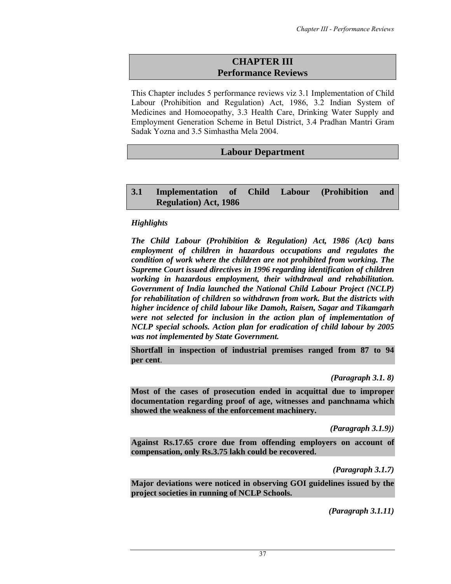# **CHAPTER III Performance Reviews**

This Chapter includes 5 performance reviews viz 3.1 Implementation of Child Labour (Prohibition and Regulation) Act, 1986, 3.2 Indian System of Medicines and Homoeopathy, 3.3 Health Care, Drinking Water Supply and Employment Generation Scheme in Betul District, 3.4 Pradhan Mantri Gram Sadak Yozna and 3.5 Simhastha Mela 2004.

# **Labour Department**

## **3.1 Implementation of Child Labour (Prohibition and Regulation) Act, 1986**

## *Highlights*

*The Child Labour (Prohibition & Regulation) Act, 1986 (Act) bans employment of children in hazardous occupations and regulates the condition of work where the children are not prohibited from working. The Supreme Court issued directives in 1996 regarding identification of children working in hazardous employment, their withdrawal and rehabilitation. Government of India launched the National Child Labour Project (NCLP) for rehabilitation of children so withdrawn from work. But the districts with higher incidence of child labour like Damoh, Raisen, Sagar and Tikamgarh were not selected for inclusion in the action plan of implementation of NCLP special schools. Action plan for eradication of child labour by 2005 was not implemented by State Government.* 

**Shortfall in inspection of industrial premises ranged from 87 to 94 per cent**.

*(Paragraph 3.1. 8)* 

**Most of the cases of prosecution ended in acquittal due to improper documentation regarding proof of age, witnesses and panchnama which showed the weakness of the enforcement machinery.** 

*(Paragraph 3.1.9))* 

**Against Rs.17.65 crore due from offending employers on account of compensation, only Rs.3.75 lakh could be recovered.** 

*(Paragraph 3.1.7)* 

**Major deviations were noticed in observing GOI guidelines issued by the project societies in running of NCLP Schools.** 

*(Paragraph 3.1.11)*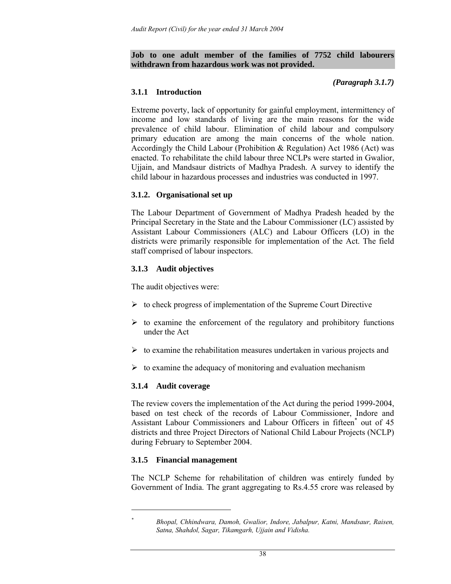**Job to one adult member of the families of 7752 child labourers withdrawn from hazardous work was not provided.** 

### *(Paragraph 3.1.7)*

### **3.1.1 Introduction**

Extreme poverty, lack of opportunity for gainful employment, intermittency of income and low standards of living are the main reasons for the wide prevalence of child labour. Elimination of child labour and compulsory primary education are among the main concerns of the whole nation. Accordingly the Child Labour (Prohibition & Regulation) Act 1986 (Act) was enacted. To rehabilitate the child labour three NCLPs were started in Gwalior, Ujjain, and Mandsaur districts of Madhya Pradesh. A survey to identify the child labour in hazardous processes and industries was conducted in 1997.

### **3.1.2. Organisational set up**

The Labour Department of Government of Madhya Pradesh headed by the Principal Secretary in the State and the Labour Commissioner (LC) assisted by Assistant Labour Commissioners (ALC) and Labour Officers (LO) in the districts were primarily responsible for implementation of the Act. The field staff comprised of labour inspectors.

## **3.1.3 Audit objectives**

The audit objectives were:

- $\triangleright$  to check progress of implementation of the Supreme Court Directive
- $\triangleright$  to examine the enforcement of the regulatory and prohibitory functions under the Act
- $\triangleright$  to examine the rehabilitation measures undertaken in various projects and
- $\triangleright$  to examine the adequacy of monitoring and evaluation mechanism

### **3.1.4 Audit coverage**

The review covers the implementation of the Act during the period 1999-2004, based on test check of the records of Labour Commissioner, Indore and Assistant Labour Commissioners and Labour Officers in fifteen<sup>\*</sup> out of 45 districts and three Project Directors of National Child Labour Projects (NCLP) during February to September 2004.

### **3.1.5 Financial management**

 $\overline{a}$ *\**

The NCLP Scheme for rehabilitation of children was entirely funded by Government of India. The grant aggregating to Rs.4.55 crore was released by

*Bhopal, Chhindwara, Damoh, Gwalior, Indore, Jabalpur, Katni, Mandsaur, Raisen, Satna, Shahdol, Sagar, Tikamgarh, Ujjain and Vidisha.*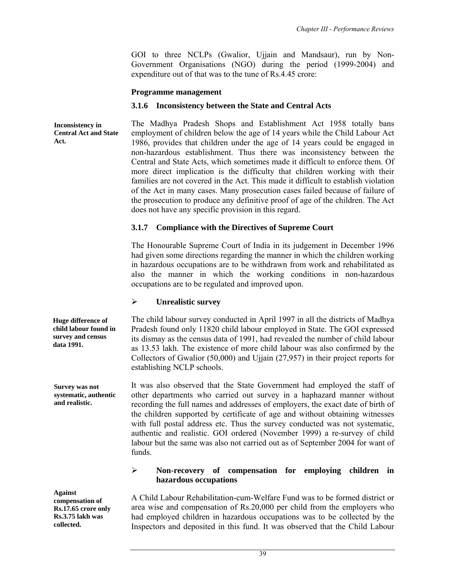GOI to three NCLPs (Gwalior, Ujjain and Mandsaur), run by Non-Government Organisations (NGO) during the period (1999-2004) and expenditure out of that was to the tune of Rs.4.45 crore:

#### **Programme management**

#### **3.1.6 Inconsistency between the State and Central Acts**

The Madhya Pradesh Shops and Establishment Act 1958 totally bans employment of children below the age of 14 years while the Child Labour Act 1986, provides that children under the age of 14 years could be engaged in non-hazardous establishment. Thus there was inconsistency between the Central and State Acts, which sometimes made it difficult to enforce them. Of more direct implication is the difficulty that children working with their families are not covered in the Act. This made it difficult to establish violation of the Act in many cases. Many prosecution cases failed because of failure of the prosecution to produce any definitive proof of age of the children. The Act does not have any specific provision in this regard. **Inconsistency in Central Act and State Act.** 

#### **3.1.7 Compliance with the Directives of Supreme Court**

The Honourable Supreme Court of India in its judgement in December 1996 had given some directions regarding the manner in which the children working in hazardous occupations are to be withdrawn from work and rehabilitated as also the manner in which the working conditions in non-hazardous occupations are to be regulated and improved upon.

#### ¾ **Unrealistic survey**

The child labour survey conducted in April 1997 in all the districts of Madhya Pradesh found only 11820 child labour employed in State. The GOI expressed its dismay as the census data of 1991, had revealed the number of child labour as 13.53 lakh. The existence of more child labour was also confirmed by the Collectors of Gwalior (50,000) and Ujjain (27,957) in their project reports for establishing NCLP schools.

It was also observed that the State Government had employed the staff of other departments who carried out survey in a haphazard manner without recording the full names and addresses of employers, the exact date of birth of the children supported by certificate of age and without obtaining witnesses with full postal address etc. Thus the survey conducted was not systematic, authentic and realistic. GOI ordered (November 1999) a re-survey of child labour but the same was also not carried out as of September 2004 for want of funds.

### ¾ **Non-recovery of compensation for employing children in hazardous occupations**

A Child Labour Rehabilitation-cum-Welfare Fund was to be formed district or area wise and compensation of Rs.20,000 per child from the employers who had employed children in hazardous occupations was to be collected by the Inspectors and deposited in this fund. It was observed that the Child Labour

**Huge difference of child labour found in survey and census data 1991.** 

**Survey was not systematic, authentic and realistic.** 

**Against compensation of Rs.17.65 crore only Rs.3.75 lakh was collected.**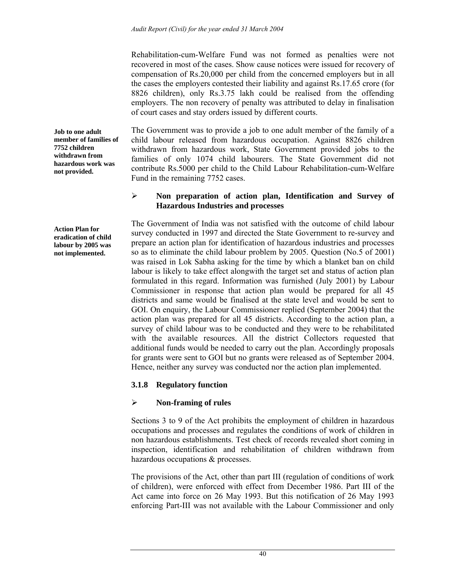Rehabilitation-cum-Welfare Fund was not formed as penalties were not recovered in most of the cases. Show cause notices were issued for recovery of compensation of Rs.20,000 per child from the concerned employers but in all the cases the employers contested their liability and against Rs.17.65 crore (for 8826 children), only Rs.3.75 lakh could be realised from the offending employers. The non recovery of penalty was attributed to delay in finalisation of court cases and stay orders issued by different courts.

The Government was to provide a job to one adult member of the family of a child labour released from hazardous occupation. Against 8826 children withdrawn from hazardous work, State Government provided jobs to the families of only 1074 child labourers. The State Government did not contribute Rs.5000 per child to the Child Labour Rehabilitation-cum-Welfare Fund in the remaining 7752 cases.

## ¾ **Non preparation of action plan, Identification and Survey of Hazardous Industries and processes**

The Government of India was not satisfied with the outcome of child labour survey conducted in 1997 and directed the State Government to re-survey and prepare an action plan for identification of hazardous industries and processes so as to eliminate the child labour problem by 2005. Question (No.5 of 2001) was raised in Lok Sabha asking for the time by which a blanket ban on child labour is likely to take effect alongwith the target set and status of action plan formulated in this regard. Information was furnished (July 2001) by Labour Commissioner in response that action plan would be prepared for all 45 districts and same would be finalised at the state level and would be sent to GOI. On enquiry, the Labour Commissioner replied (September 2004) that the action plan was prepared for all 45 districts. According to the action plan, a survey of child labour was to be conducted and they were to be rehabilitated with the available resources. All the district Collectors requested that additional funds would be needed to carry out the plan. Accordingly proposals for grants were sent to GOI but no grants were released as of September 2004. Hence, neither any survey was conducted nor the action plan implemented.

# **3.1.8 Regulatory function**

# ¾ **Non-framing of rules**

Sections 3 to 9 of the Act prohibits the employment of children in hazardous occupations and processes and regulates the conditions of work of children in non hazardous establishments. Test check of records revealed short coming in inspection, identification and rehabilitation of children withdrawn from hazardous occupations & processes.

The provisions of the Act, other than part III (regulation of conditions of work of children), were enforced with effect from December 1986. Part III of the Act came into force on 26 May 1993. But this notification of 26 May 1993 enforcing Part-III was not available with the Labour Commissioner and only

**Job to one adult member of families of 7752 children withdrawn from hazardous work was not provided.** 

**Action Plan for eradication of child labour by 2005 was not implemented.**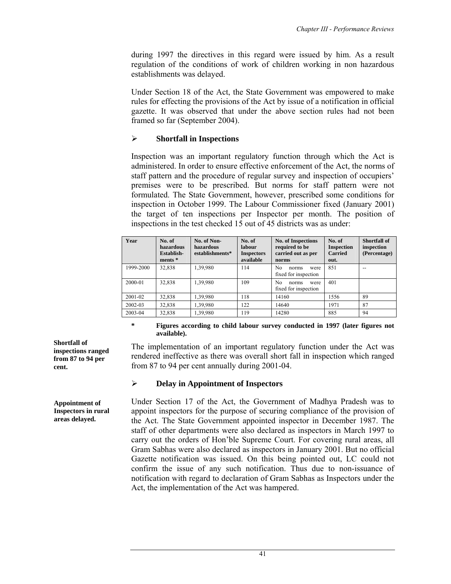during 1997 the directives in this regard were issued by him. As a result regulation of the conditions of work of children working in non hazardous establishments was delayed.

Under Section 18 of the Act, the State Government was empowered to make rules for effecting the provisions of the Act by issue of a notification in official gazette. It was observed that under the above section rules had not been framed so far (September 2004).

## ¾ **Shortfall in Inspections**

Inspection was an important regulatory function through which the Act is administered. In order to ensure effective enforcement of the Act, the norms of staff pattern and the procedure of regular survey and inspection of occupiers' premises were to be prescribed. But norms for staff pattern were not formulated. The State Government, however, prescribed some conditions for inspection in October 1999. The Labour Commissioner fixed (January 2001) the target of ten inspections per Inspector per month. The position of inspections in the test checked 15 out of 45 districts was as under:

| Year      | No. of<br>hazardous<br>Establish-<br>$ments *$ | No. of Non-<br>hazardous<br>establishments* | No. of<br>labour<br><b>Inspectors</b><br>available | <b>No. of Inspections</b><br>required to be<br>carried out as per<br>norms | No. of<br><b>Inspection</b><br><b>Carried</b><br>out. | Shortfall of<br>inspection<br>(Percentage) |
|-----------|------------------------------------------------|---------------------------------------------|----------------------------------------------------|----------------------------------------------------------------------------|-------------------------------------------------------|--------------------------------------------|
| 1999-2000 | 32,838                                         | 1,39,980                                    | 114                                                | N <sub>0</sub><br>norms<br>were<br>fixed for inspection                    | 851                                                   |                                            |
| 2000-01   | 32,838                                         | 1,39,980                                    | 109                                                | N <sub>0</sub><br>norms<br>were<br>fixed for inspection                    | 401                                                   |                                            |
| 2001-02   | 32,838                                         | 1,39,980                                    | 118                                                | 14160                                                                      | 1556                                                  | 89                                         |
| 2002-03   | 32,838                                         | 1,39,980                                    | 122                                                | 14640                                                                      | 1971                                                  | 87                                         |
| 2003-04   | 32,838                                         | 1,39,980                                    | 119                                                | 14280                                                                      | 885                                                   | 94                                         |

#### **\* Figures according to child labour survey conducted in 1997 (later figures not available).**

The implementation of an important regulatory function under the Act was rendered ineffective as there was overall short fall in inspection which ranged from 87 to 94 per cent annually during 2001-04.

### ¾ **Delay in Appointment of Inspectors**

Under Section 17 of the Act, the Government of Madhya Pradesh was to appoint inspectors for the purpose of securing compliance of the provision of the Act. The State Government appointed inspector in December 1987. The staff of other departments were also declared as inspectors in March 1997 to carry out the orders of Hon'ble Supreme Court. For covering rural areas, all Gram Sabhas were also declared as inspectors in January 2001. But no official Gazette notification was issued. On this being pointed out, LC could not confirm the issue of any such notification. Thus due to non-issuance of notification with regard to declaration of Gram Sabhas as Inspectors under the Act, the implementation of the Act was hampered.

**Shortfall of inspections ranged from 87 to 94 per cent.** 

**Appointment of Inspectors in rural areas delayed.**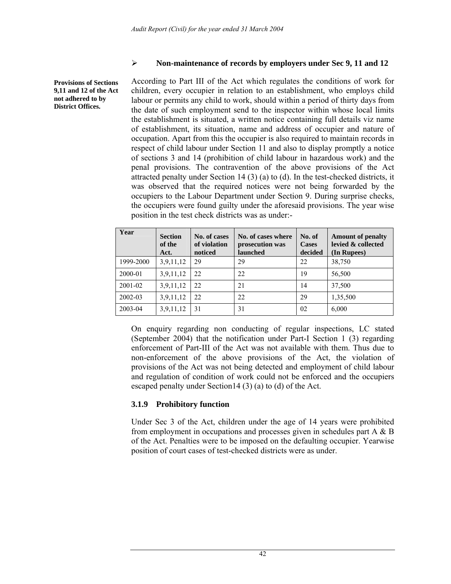### ¾ **Non-maintenance of records by employers under Sec 9, 11 and 12**

**Provisions of Sections 9,11 and 12 of the Act not adhered to by District Offices.** 

According to Part III of the Act which regulates the conditions of work for children, every occupier in relation to an establishment, who employs child labour or permits any child to work, should within a period of thirty days from the date of such employment send to the inspector within whose local limits the establishment is situated, a written notice containing full details viz name of establishment, its situation, name and address of occupier and nature of occupation. Apart from this the occupier is also required to maintain records in respect of child labour under Section 11 and also to display promptly a notice of sections 3 and 14 (prohibition of child labour in hazardous work) and the penal provisions. The contravention of the above provisions of the Act attracted penalty under Section 14 (3) (a) to (d). In the test-checked districts, it was observed that the required notices were not being forwarded by the occupiers to the Labour Department under Section 9. During surprise checks, the occupiers were found guilty under the aforesaid provisions. The year wise position in the test check districts was as under:-

| Year      | <b>Section</b><br>of the<br>Act. | No. of cases<br>of violation<br>noticed | No. of cases where<br>prosecution was<br>launched | No. of<br><b>Cases</b><br>decided | <b>Amount of penalty</b><br>levied & collected<br>(In Rupees) |
|-----------|----------------------------------|-----------------------------------------|---------------------------------------------------|-----------------------------------|---------------------------------------------------------------|
| 1999-2000 | 3,9,11,12                        | 29                                      | 29                                                | 22                                | 38,750                                                        |
| 2000-01   | 3,9,11,12                        | 22                                      | 22                                                | 19                                | 56,500                                                        |
| 2001-02   | 3,9,11,12                        | 22                                      | 21                                                | 14                                | 37,500                                                        |
| 2002-03   | 3,9,11,12                        | 22                                      | 22                                                | 29                                | 1,35,500                                                      |
| 2003-04   | 3,9,11,12                        | 31                                      | 31                                                | 02                                | 6,000                                                         |

On enquiry regarding non conducting of regular inspections, LC stated (September 2004) that the notification under Part-I Section 1 (3) regarding enforcement of Part-III of the Act was not available with them. Thus due to non-enforcement of the above provisions of the Act, the violation of provisions of the Act was not being detected and employment of child labour and regulation of condition of work could not be enforced and the occupiers escaped penalty under Section14 (3) (a) to (d) of the Act.

### **3.1.9 Prohibitory function**

Under Sec 3 of the Act, children under the age of 14 years were prohibited from employment in occupations and processes given in schedules part A & B of the Act. Penalties were to be imposed on the defaulting occupier. Yearwise position of court cases of test-checked districts were as under.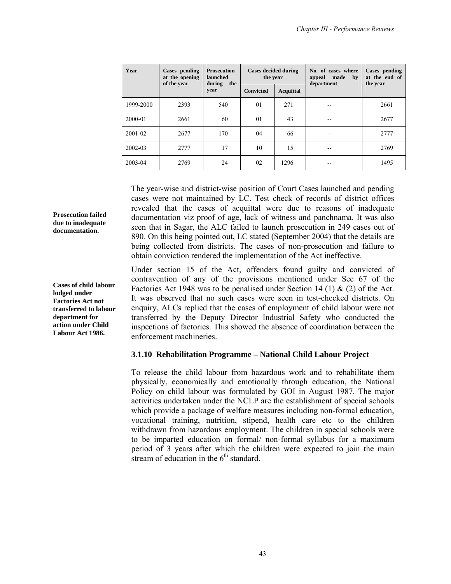| Year      | Cases pending<br><b>Prosecution</b><br><b>Cases decided during</b><br>at the opening<br>launched<br>the year<br>during<br>of the year<br>the |      |                  | No. of cases where<br>made<br>appeal<br>by<br>department | Cases pending<br>at the end of<br>the year |      |
|-----------|----------------------------------------------------------------------------------------------------------------------------------------------|------|------------------|----------------------------------------------------------|--------------------------------------------|------|
|           |                                                                                                                                              | year | <b>Convicted</b> | Acquittal                                                |                                            |      |
| 1999-2000 | 2393                                                                                                                                         | 540  | 01               | 271                                                      |                                            | 2661 |
| 2000-01   | 2661                                                                                                                                         | 60   | 01               | 43                                                       | --                                         | 2677 |
| 2001-02   | 2677                                                                                                                                         | 170  | 04               | 66                                                       | --                                         | 2777 |
| 2002-03   | 2777                                                                                                                                         | 17   | 10               | 15                                                       |                                            | 2769 |
| 2003-04   | 2769                                                                                                                                         | 24   | 02               | 1296                                                     | --                                         | 1495 |

The year-wise and district-wise position of Court Cases launched and pending cases were not maintained by LC. Test check of records of district offices revealed that the cases of acquittal were due to reasons of inadequate documentation viz proof of age, lack of witness and panchnama. It was also seen that in Sagar, the ALC failed to launch prosecution in 249 cases out of 890. On this being pointed out, LC stated (September 2004) that the details are being collected from districts. The cases of non-prosecution and failure to obtain conviction rendered the implementation of the Act ineffective.

Under section 15 of the Act, offenders found guilty and convicted of contravention of any of the provisions mentioned under Sec 67 of the Factories Act 1948 was to be penalised under Section 14 (1)  $\&$  (2) of the Act. It was observed that no such cases were seen in test-checked districts. On enquiry, ALCs replied that the cases of employment of child labour were not transferred by the Deputy Director Industrial Safety who conducted the inspections of factories. This showed the absence of coordination between the enforcement machineries.

### **3.1.10 Rehabilitation Programme – National Child Labour Project**

To release the child labour from hazardous work and to rehabilitate them physically, economically and emotionally through education, the National Policy on child labour was formulated by GOI in August 1987. The major activities undertaken under the NCLP are the establishment of special schools which provide a package of welfare measures including non-formal education, vocational training, nutrition, stipend, health care etc to the children withdrawn from hazardous employment. The children in special schools were to be imparted education on formal/ non-formal syllabus for a maximum period of 3 years after which the children were expected to join the main stream of education in the  $6<sup>th</sup>$  standard.

**Prosecution failed due to inadequate documentation.** 

**Cases of child labour lodged under Factories Act not transferred to labour department for action under Child Labour Act 1986.**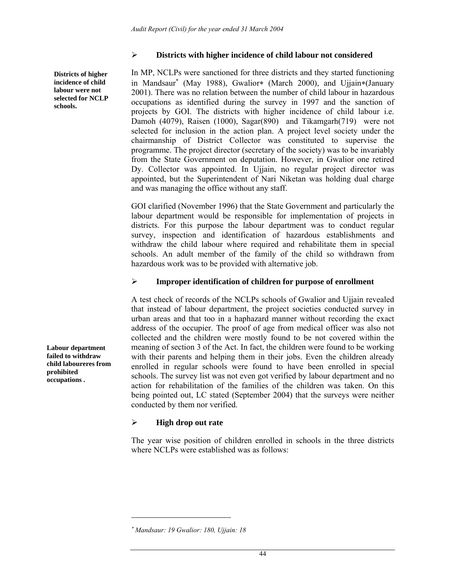**Districts of higher incidence of child labour were not selected for NCLP schools.** 

### ¾ **Districts with higher incidence of child labour not considered**

In MP, NCLPs were sanctioned for three districts and they started functioning in Mandsaur<sup>∗</sup> (May 1988), Gwalior∗ (March 2000), and Ujjain∗(January 2001). There was no relation between the number of child labour in hazardous occupations as identified during the survey in 1997 and the sanction of projects by GOI. The districts with higher incidence of child labour i.e. Damoh (4079), Raisen (1000), Sagar(890) and Tikamgarh(719) were not selected for inclusion in the action plan. A project level society under the chairmanship of District Collector was constituted to supervise the programme. The project director (secretary of the society) was to be invariably from the State Government on deputation. However, in Gwalior one retired Dy. Collector was appointed. In Ujjain, no regular project director was appointed, but the Superintendent of Nari Niketan was holding dual charge and was managing the office without any staff.

GOI clarified (November 1996) that the State Government and particularly the labour department would be responsible for implementation of projects in districts. For this purpose the labour department was to conduct regular survey, inspection and identification of hazardous establishments and withdraw the child labour where required and rehabilitate them in special schools. An adult member of the family of the child so withdrawn from hazardous work was to be provided with alternative job.

### ¾ **Improper identification of children for purpose of enrollment**

A test check of records of the NCLPs schools of Gwalior and Ujjain revealed that instead of labour department, the project societies conducted survey in urban areas and that too in a haphazard manner without recording the exact address of the occupier. The proof of age from medical officer was also not collected and the children were mostly found to be not covered within the meaning of section 3 of the Act. In fact, the children were found to be working with their parents and helping them in their jobs. Even the children already enrolled in regular schools were found to have been enrolled in special schools. The survey list was not even got verified by labour department and no action for rehabilitation of the families of the children was taken. On this being pointed out, LC stated (September 2004) that the surveys were neither conducted by them nor verified.

### ¾ **High drop out rate**

The year wise position of children enrolled in schools in the three districts where NCLPs were established was as follows:

 $\overline{a}$ 

**Labour department failed to withdraw child laboureres from prohibited occupations .** 

<sup>∗</sup> *Mandsaur: 19 Gwalior: 180, Ujjain: 18*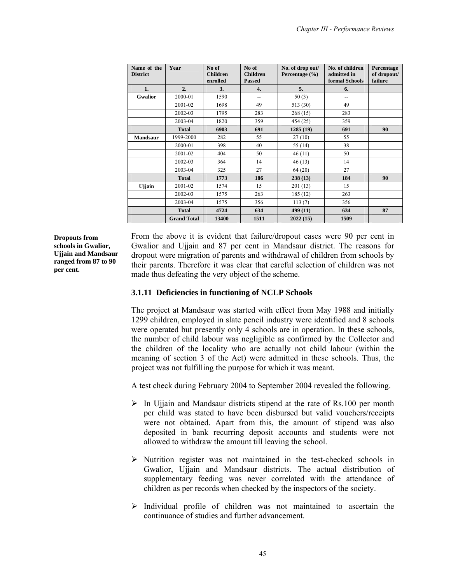| Name of the<br><b>District</b> | Year               | No of<br><b>Children</b><br>enrolled | No of<br><b>Children</b><br><b>Passed</b> | No. of drop out/<br>Percentage $(\% )$ | No. of children<br>admitted in<br>formal Schools | Percentage<br>of dropout/<br>failure |
|--------------------------------|--------------------|--------------------------------------|-------------------------------------------|----------------------------------------|--------------------------------------------------|--------------------------------------|
| 1.                             | 2.                 | 3.                                   | 4.                                        | 5.                                     | 6.                                               |                                      |
| <b>Gwalior</b>                 | 2000-01            | 1590                                 | --                                        | 50(3)                                  | $\overline{\phantom{a}}$                         |                                      |
|                                | 2001-02            | 1698                                 | 49                                        | 513 (30)                               | 49                                               |                                      |
|                                | 2002-03            | 1795                                 | 283                                       | 268(15)                                | 283                                              |                                      |
|                                | 2003-04            | 1820                                 | 359                                       | 454 (25)                               | 359                                              |                                      |
|                                | <b>Total</b>       | 6903                                 | 691                                       | 1285(19)                               | 691                                              | 90                                   |
| <b>Mandsaur</b>                | 1999-2000          | 282                                  | 55                                        | 27(10)                                 | 55                                               |                                      |
|                                | 2000-01            | 398                                  | 40                                        | 55 (14)                                | 38                                               |                                      |
|                                | 2001-02            | 404                                  | 50                                        | 46(11)                                 | 50                                               |                                      |
|                                | 2002-03            | 364                                  | 14                                        | 46(13)                                 | 14                                               |                                      |
|                                | 2003-04            | 325                                  | 27                                        | 64 (20)                                | 27                                               |                                      |
|                                | <b>Total</b>       | 1773                                 | 186                                       | 238(13)                                | 184                                              | 90                                   |
| Ujjain                         | 2001-02            | 1574                                 | 15                                        | 201(13)                                | 15                                               |                                      |
|                                | 2002-03            | 1575                                 | 263                                       | 185 (12)                               | 263                                              |                                      |
|                                | 2003-04            | 1575                                 | 356                                       | 113(7)                                 | 356                                              |                                      |
|                                | <b>Total</b>       | 4724                                 | 634                                       | 499 (11)                               | 634                                              | 87                                   |
|                                | <b>Grand Total</b> | 13400                                | 1511                                      | 2022(15)                               | 1509                                             |                                      |

**Dropouts from schools in Gwalior, Ujjain and Mandsaur ranged from 87 to 90 per cent.** 

From the above it is evident that failure/dropout cases were 90 per cent in Gwalior and Ujjain and 87 per cent in Mandsaur district. The reasons for dropout were migration of parents and withdrawal of children from schools by their parents. Therefore it was clear that careful selection of children was not made thus defeating the very object of the scheme.

# **3.1.11 Deficiencies in functioning of NCLP Schools**

The project at Mandsaur was started with effect from May 1988 and initially 1299 children, employed in slate pencil industry were identified and 8 schools were operated but presently only 4 schools are in operation. In these schools, the number of child labour was negligible as confirmed by the Collector and the children of the locality who are actually not child labour (within the meaning of section 3 of the Act) were admitted in these schools. Thus, the project was not fulfilling the purpose for which it was meant.

A test check during February 2004 to September 2004 revealed the following.

- $\triangleright$  In Ujjain and Mandsaur districts stipend at the rate of Rs.100 per month per child was stated to have been disbursed but valid vouchers/receipts were not obtained. Apart from this, the amount of stipend was also deposited in bank recurring deposit accounts and students were not allowed to withdraw the amount till leaving the school.
- ¾ Nutrition register was not maintained in the test-checked schools in Gwalior, Ujjain and Mandsaur districts. The actual distribution of supplementary feeding was never correlated with the attendance of children as per records when checked by the inspectors of the society.
- $\triangleright$  Individual profile of children was not maintained to ascertain the continuance of studies and further advancement.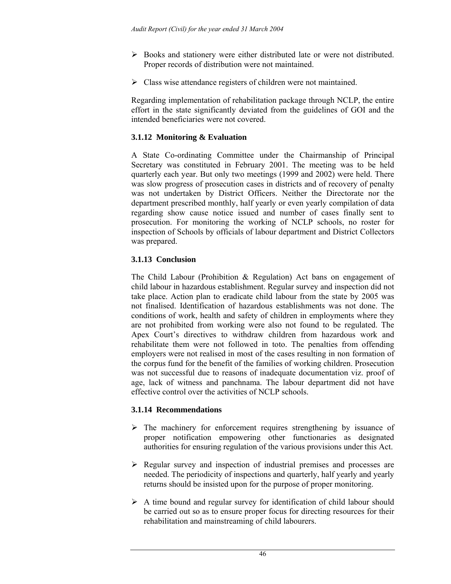- ¾ Books and stationery were either distributed late or were not distributed. Proper records of distribution were not maintained.
- $\triangleright$  Class wise attendance registers of children were not maintained.

Regarding implementation of rehabilitation package through NCLP, the entire effort in the state significantly deviated from the guidelines of GOI and the intended beneficiaries were not covered.

## **3.1.12 Monitoring & Evaluation**

A State Co-ordinating Committee under the Chairmanship of Principal Secretary was constituted in February 2001. The meeting was to be held quarterly each year. But only two meetings (1999 and 2002) were held. There was slow progress of prosecution cases in districts and of recovery of penalty was not undertaken by District Officers. Neither the Directorate nor the department prescribed monthly, half yearly or even yearly compilation of data regarding show cause notice issued and number of cases finally sent to prosecution. For monitoring the working of NCLP schools, no roster for inspection of Schools by officials of labour department and District Collectors was prepared.

# **3.1.13 Conclusion**

The Child Labour (Prohibition & Regulation) Act bans on engagement of child labour in hazardous establishment. Regular survey and inspection did not take place. Action plan to eradicate child labour from the state by 2005 was not finalised. Identification of hazardous establishments was not done. The conditions of work, health and safety of children in employments where they are not prohibited from working were also not found to be regulated. The Apex Court's directives to withdraw children from hazardous work and rehabilitate them were not followed in toto. The penalties from offending employers were not realised in most of the cases resulting in non formation of the corpus fund for the benefit of the families of working children. Prosecution was not successful due to reasons of inadequate documentation viz. proof of age, lack of witness and panchnama. The labour department did not have effective control over the activities of NCLP schools.

# **3.1.14 Recommendations**

- $\triangleright$  The machinery for enforcement requires strengthening by issuance of proper notification empowering other functionaries as designated authorities for ensuring regulation of the various provisions under this Act.
- ¾ Regular survey and inspection of industrial premises and processes are needed. The periodicity of inspections and quarterly, half yearly and yearly returns should be insisted upon for the purpose of proper monitoring.
- $\triangleright$  A time bound and regular survey for identification of child labour should be carried out so as to ensure proper focus for directing resources for their rehabilitation and mainstreaming of child labourers.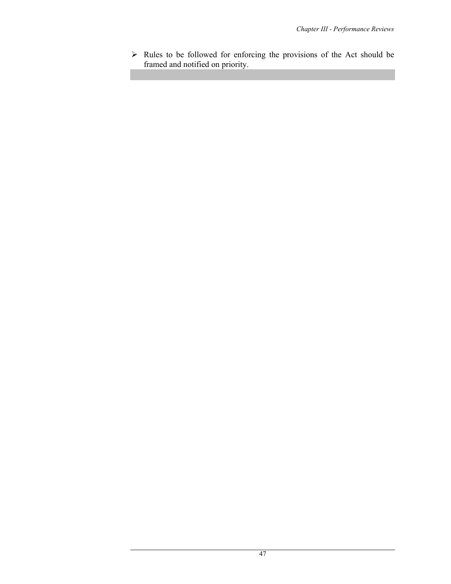$\triangleright$  Rules to be followed for enforcing the provisions of the Act should be framed and notified on priority.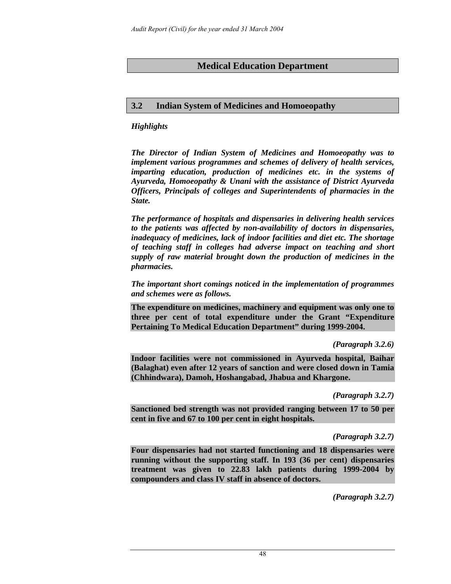# **Medical Education Department**

## **3.2 Indian System of Medicines and Homoeopathy**

## *Highlights*

*The Director of Indian System of Medicines and Homoeopathy was to implement various programmes and schemes of delivery of health services, imparting education, production of medicines etc. in the systems of Ayurveda, Homoeopathy & Unani with the assistance of District Ayurveda Officers, Principals of colleges and Superintendents of pharmacies in the State.* 

*The performance of hospitals and dispensaries in delivering health services to the patients was affected by non-availability of doctors in dispensaries, inadequacy of medicines, lack of indoor facilities and diet etc. The shortage of teaching staff in colleges had adverse impact on teaching and short supply of raw material brought down the production of medicines in the pharmacies.* 

*The important short comings noticed in the implementation of programmes and schemes were as follows.* 

**The expenditure on medicines, machinery and equipment was only one to three per cent of total expenditure under the Grant "Expenditure Pertaining To Medical Education Department" during 1999-2004.** 

### *(Paragraph 3.2.6)*

**Indoor facilities were not commissioned in Ayurveda hospital, Baihar (Balaghat) even after 12 years of sanction and were closed down in Tamia (Chhindwara), Damoh, Hoshangabad, Jhabua and Khargone.** 

### *(Paragraph 3.2.7)*

**Sanctioned bed strength was not provided ranging between 17 to 50 per cent in five and 67 to 100 per cent in eight hospitals.** 

### *(Paragraph 3.2.7)*

**Four dispensaries had not started functioning and 18 dispensaries were running without the supporting staff. In 193 (36 per cent) dispensaries treatment was given to 22.83 lakh patients during 1999-2004 by compounders and class IV staff in absence of doctors.** 

*(Paragraph 3.2.7)*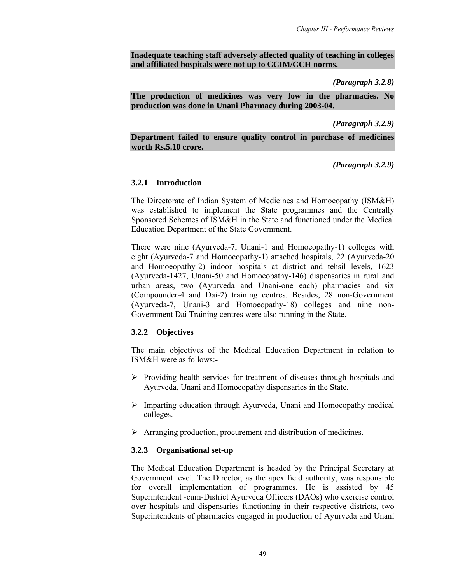### **Inadequate teaching staff adversely affected quality of teaching in colleges and affiliated hospitals were not up to CCIM/CCH norms.**

#### *(Paragraph 3.2.8)*

**The production of medicines was very low in the pharmacies. No production was done in Unani Pharmacy during 2003-04.** 

*(Paragraph 3.2.9)* 

**Department failed to ensure quality control in purchase of medicines worth Rs.5.10 crore.** 

*(Paragraph 3.2.9)* 

### **3.2.1 Introduction**

The Directorate of Indian System of Medicines and Homoeopathy (ISM&H) was established to implement the State programmes and the Centrally Sponsored Schemes of ISM&H in the State and functioned under the Medical Education Department of the State Government.

There were nine (Ayurveda-7, Unani-1 and Homoeopathy-1) colleges with eight (Ayurveda-7 and Homoeopathy-1) attached hospitals, 22 (Ayurveda-20 and Homoeopathy-2) indoor hospitals at district and tehsil levels, 1623 (Ayurveda-1427, Unani-50 and Homoeopathy-146) dispensaries in rural and urban areas, two (Ayurveda and Unani-one each) pharmacies and six (Compounder-4 and Dai-2) training centres. Besides, 28 non-Government (Ayurveda-7, Unani-3 and Homoeopathy-18) colleges and nine non-Government Dai Training centres were also running in the State.

### **3.2.2 Objectives**

The main objectives of the Medical Education Department in relation to ISM&H were as follows:-

- ¾ Providing health services for treatment of diseases through hospitals and Ayurveda, Unani and Homoeopathy dispensaries in the State.
- $\triangleright$  Imparting education through Ayurveda, Unani and Homoeopathy medical colleges.
- $\triangleright$  Arranging production, procurement and distribution of medicines.

### **3.2.3 Organisational set-up**

The Medical Education Department is headed by the Principal Secretary at Government level. The Director, as the apex field authority, was responsible for overall implementation of programmes. He is assisted by 45 Superintendent -cum-District Ayurveda Officers (DAOs) who exercise control over hospitals and dispensaries functioning in their respective districts, two Superintendents of pharmacies engaged in production of Ayurveda and Unani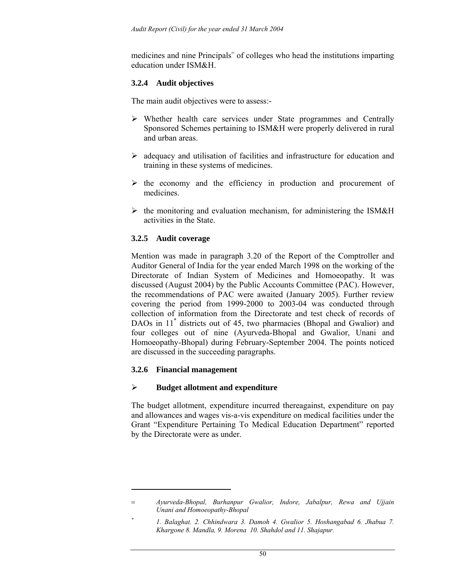medicines and nine Principals<sup>=</sup> of colleges who head the institutions imparting education under ISM&H.

## **3.2.4 Audit objectives**

The main audit objectives were to assess:-

- ¾ Whether health care services under State programmes and Centrally Sponsored Schemes pertaining to ISM&H were properly delivered in rural and urban areas.
- $\triangleright$  adequacy and utilisation of facilities and infrastructure for education and training in these systems of medicines.
- $\triangleright$  the economy and the efficiency in production and procurement of medicines.
- $\triangleright$  the monitoring and evaluation mechanism, for administering the ISM&H activities in the State.

## **3.2.5 Audit coverage**

Mention was made in paragraph 3.20 of the Report of the Comptroller and Auditor General of India for the year ended March 1998 on the working of the Directorate of Indian System of Medicines and Homoeopathy. It was discussed (August 2004) by the Public Accounts Committee (PAC). However, the recommendations of PAC were awaited (January 2005). Further review covering the period from 1999-2000 to 2003-04 was conducted through collection of information from the Directorate and test check of records of DAOs in 11<sup>\*</sup> districts out of 45, two pharmacies (Bhopal and Gwalior) and four colleges out of nine (Ayurveda-Bhopal and Gwalior, Unani and Homoeopathy-Bhopal) during February-September 2004. The points noticed are discussed in the succeeding paragraphs.

### **3.2.6 Financial management**

 $\overline{\phantom{a}}$ 

### ¾ **Budget allotment and expenditure**

The budget allotment, expenditure incurred thereagainst, expenditure on pay and allowances and wages vis-a-vis expenditure on medical facilities under the Grant "Expenditure Pertaining To Medical Education Department" reported by the Directorate were as under.

<sup>=</sup> *Ayurveda-Bhopal, Burhanpur Gwalior, Indore, Jabalpur, Rewa and Ujjain Unani and Homoeopathy-Bhopal* 

*<sup>\*</sup> 1. Balaghat. 2. Chhindwara 3. Damoh 4. Gwalior 5. Hoshangabad 6. Jhabua 7. Khargone 8. Mandla, 9. Morena 10. Shahdol and 11. Shajapur.*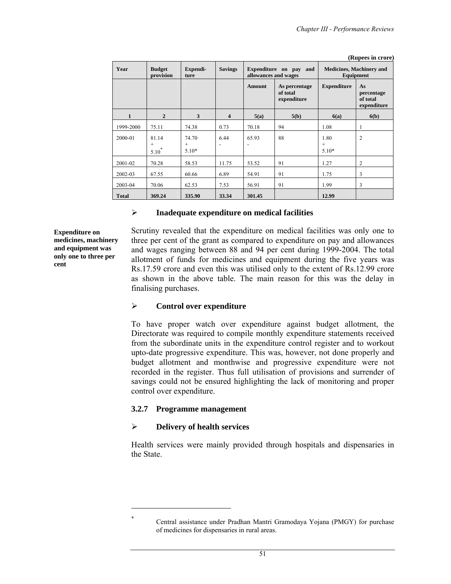**(Rupees in crore)** 

| Year         | <b>Budget</b><br>provision    | Expendi-<br>ture           | <b>Savings</b>          | allowances and wages | Expenditure on pay<br>and                | <b>Medicines, Machinery and</b><br>Equipment |                                             |  |
|--------------|-------------------------------|----------------------------|-------------------------|----------------------|------------------------------------------|----------------------------------------------|---------------------------------------------|--|
|              |                               |                            |                         | <b>Amount</b>        | As percentage<br>of total<br>expenditure | <b>Expenditure</b>                           | As<br>percentage<br>of total<br>expenditure |  |
| 1            | $\overline{2}$                | 3                          | $\overline{\mathbf{4}}$ | 5(a)                 | 5(b)                                     | 6(a)                                         | 6(b)                                        |  |
| 1999-2000    | 75.11                         | 74.38                      | 0.73                    | 70.18                | 94                                       | 1.08                                         | 1                                           |  |
| 2000-01      | 81.14<br>$^{+}$<br>$5.10^{1}$ | 74.70<br>$^{+}$<br>$5.10*$ | 6.44                    | 65.93                | 88                                       | 1.80<br>$^{+}$<br>$5.10*$                    | $\overline{c}$                              |  |
| 2001-02      | 70.28                         | 58.53                      | 11.75                   | 53.52                | 91                                       | 1.27                                         | 2                                           |  |
| 2002-03      | 67.55                         | 60.66                      | 6.89                    | 54.91                | 91                                       | 1.75                                         | 3                                           |  |
| 2003-04      | 70.06                         | 62.53                      | 7.53                    | 56.91                | 91                                       | 1.99                                         | 3                                           |  |
| <b>Total</b> | 369.24                        | 335.90                     | 33.34                   | 301.45               |                                          | 12.99                                        |                                             |  |

#### ¾ **Inadequate expenditure on medical facilities**

**Expenditure on medicines, machinery and equipment was only one to three per cent** 

Scrutiny revealed that the expenditure on medical facilities was only one to three per cent of the grant as compared to expenditure on pay and allowances and wages ranging between 88 and 94 per cent during 1999-2004. The total allotment of funds for medicines and equipment during the five years was Rs.17.59 crore and even this was utilised only to the extent of Rs.12.99 crore as shown in the above table. The main reason for this was the delay in finalising purchases.

#### ¾ **Control over expenditure**

To have proper watch over expenditure against budget allotment, the Directorate was required to compile monthly expenditure statements received from the subordinate units in the expenditure control register and to workout upto-date progressive expenditure. This was, however, not done properly and budget allotment and monthwise and progressive expenditure were not recorded in the register. Thus full utilisation of provisions and surrender of savings could not be ensured highlighting the lack of monitoring and proper control over expenditure.

#### **3.2.7 Programme management**

### ¾ **Delivery of health services**

 $\overline{\phantom{a}}$ \*

Health services were mainly provided through hospitals and dispensaries in the State.

Central assistance under Pradhan Mantri Gramodaya Yojana (PMGY) for purchase of medicines for dispensaries in rural areas.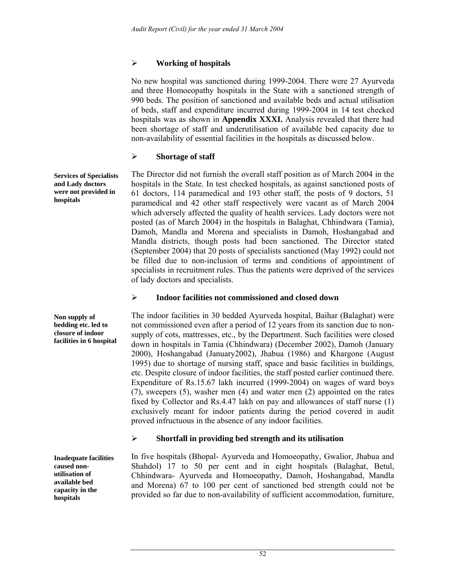# ¾ **Working of hospitals**

No new hospital was sanctioned during 1999-2004. There were 27 Ayurveda and three Homoeopathy hospitals in the State with a sanctioned strength of 990 beds. The position of sanctioned and available beds and actual utilisation of beds, staff and expenditure incurred during 1999-2004 in 14 test checked hospitals was as shown in **Appendix XXXI.** Analysis revealed that there had been shortage of staff and underutilisation of available bed capacity due to non-availability of essential facilities in the hospitals as discussed below.

# ¾ **Shortage of staff**

The Director did not furnish the overall staff position as of March 2004 in the hospitals in the State. In test checked hospitals, as against sanctioned posts of 61 doctors, 114 paramedical and 193 other staff, the posts of 9 doctors, 51 paramedical and 42 other staff respectively were vacant as of March 2004 which adversely affected the quality of health services. Lady doctors were not posted (as of March 2004) in the hospitals in Balaghat, Chhindwara (Tamia), Damoh, Mandla and Morena and specialists in Damoh, Hoshangabad and Mandla districts, though posts had been sanctioned. The Director stated (September 2004) that 20 posts of specialists sanctioned (May 1992) could not be filled due to non-inclusion of terms and conditions of appointment of specialists in recruitment rules. Thus the patients were deprived of the services of lady doctors and specialists.

# ¾ **Indoor facilities not commissioned and closed down**

The indoor facilities in 30 bedded Ayurveda hospital, Baihar (Balaghat) were not commissioned even after a period of 12 years from its sanction due to nonsupply of cots, mattresses, etc., by the Department. Such facilities were closed down in hospitals in Tamia (Chhindwara) (December 2002), Damoh (January 2000), Hoshangabad (January2002), Jhabua (1986) and Khargone (August 1995) due to shortage of nursing staff, space and basic facilities in buildings, etc. Despite closure of indoor facilities, the staff posted earlier continued there. Expenditure of Rs.15.67 lakh incurred (1999-2004) on wages of ward boys (7), sweepers (5), washer men (4) and water men (2) appointed on the rates fixed by Collector and Rs.4.47 lakh on pay and allowances of staff nurse (1) exclusively meant for indoor patients during the period covered in audit proved infructuous in the absence of any indoor facilities.

# ¾ **Shortfall in providing bed strength and its utilisation**

In five hospitals (Bhopal- Ayurveda and Homoeopathy, Gwalior, Jhabua and Shahdol) 17 to 50 per cent and in eight hospitals (Balaghat, Betul, Chhindwara- Ayurveda and Homoeopathy, Damoh, Hoshangabad, Mandla and Morena) 67 to 100 per cent of sanctioned bed strength could not be provided so far due to non-availability of sufficient accommodation, furniture,

**Services of Specialists and Lady doctors were not provided in hospitals** 

**Non supply of bedding etc. led to closure of indoor facilities in 6 hospital** 

**Inadequate facilities caused nonutilisation of available bed capacity in the hospitals**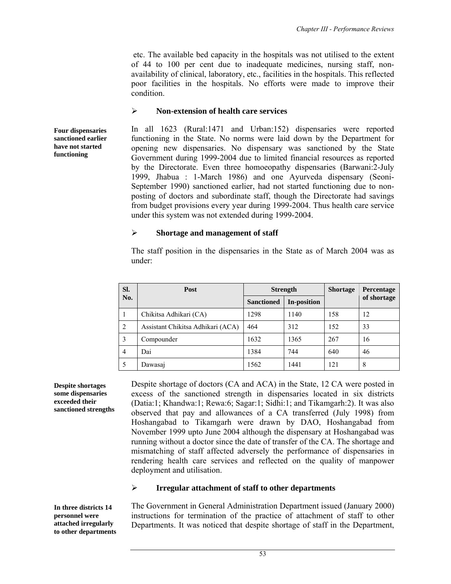etc. The available bed capacity in the hospitals was not utilised to the extent of 44 to 100 per cent due to inadequate medicines, nursing staff, nonavailability of clinical, laboratory, etc., facilities in the hospitals. This reflected poor facilities in the hospitals. No efforts were made to improve their condition.

#### ¾ **Non-extension of health care services**

In all 1623 (Rural:1471 and Urban:152) dispensaries were reported functioning in the State. No norms were laid down by the Department for opening new dispensaries. No dispensary was sanctioned by the State Government during 1999-2004 due to limited financial resources as reported by the Directorate. Even three homoeopathy dispensaries (Barwani:2-July 1999, Jhabua : 1-March 1986) and one Ayurveda dispensary (Seoni-September 1990) sanctioned earlier, had not started functioning due to nonposting of doctors and subordinate staff, though the Directorate had savings from budget provisions every year during 1999-2004. Thus health care service under this system was not extended during 1999-2004.

#### ¾ **Shortage and management of staff**

The staff position in the dispensaries in the State as of March 2004 was as under:

| SI.            | <b>Post</b>                       |                   | <b>Strength</b> | <b>Shortage</b> | <b>Percentage</b> |
|----------------|-----------------------------------|-------------------|-----------------|-----------------|-------------------|
| No.            |                                   | <b>Sanctioned</b> | In-position     |                 | of shortage       |
|                | Chikitsa Adhikari (CA)            | 1298              | 1140            | 158             | 12                |
| 2              | Assistant Chikitsa Adhikari (ACA) | 464               | 312             | 152             | 33                |
| 3              | Compounder                        | 1632              | 1365            | 267             | 16                |
| $\overline{4}$ | Dai                               | 1384              | 744             | 640             | 46                |
| 5              | Dawasai                           | 1562              | 1441            | 121             | 8                 |

**Despite shortages some dispensaries exceeded their sanctioned strengths**  Despite shortage of doctors (CA and ACA) in the State, 12 CA were posted in excess of the sanctioned strength in dispensaries located in six districts (Datia:1; Khandwa:1; Rewa:6; Sagar:1; Sidhi:1; and Tikamgarh:2). It was also observed that pay and allowances of a CA transferred (July 1998) from Hoshangabad to Tikamgarh were drawn by DAO, Hoshangabad from November 1999 upto June 2004 although the dispensary at Hoshangabad was running without a doctor since the date of transfer of the CA. The shortage and mismatching of staff affected adversely the performance of dispensaries in rendering health care services and reflected on the quality of manpower deployment and utilisation.

### ¾ **Irregular attachment of staff to other departments**

**In three districts 14 personnel were attached irregularly to other departments**  The Government in General Administration Department issued (January 2000) instructions for termination of the practice of attachment of staff to other Departments. It was noticed that despite shortage of staff in the Department,

**Four dispensaries sanctioned earlier have not started functioning**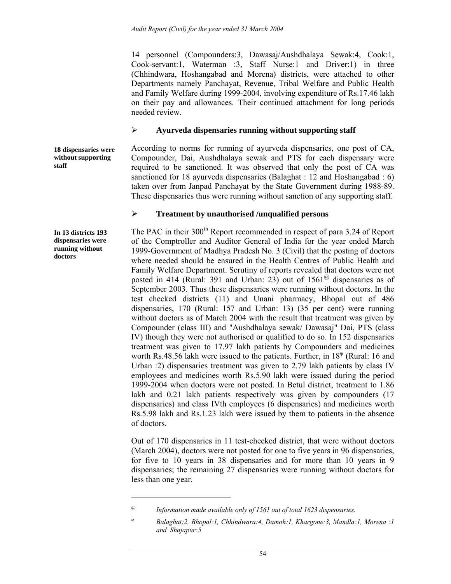14 personnel (Compounders:3, Dawasaj/Aushdhalaya Sewak:4, Cook:1, Cook-servant:1, Waterman :3, Staff Nurse:1 and Driver:1) in three (Chhindwara, Hoshangabad and Morena) districts, were attached to other Departments namely Panchayat, Revenue, Tribal Welfare and Public Health and Family Welfare during 1999-2004, involving expenditure of Rs.17.46 lakh on their pay and allowances. Their continued attachment for long periods needed review.

### ¾ **Ayurveda dispensaries running without supporting staff**

**18 dispensaries were without supporting staff** 

According to norms for running of ayurveda dispensaries, one post of CA, Compounder, Dai, Aushdhalaya sewak and PTS for each dispensary were required to be sanctioned. It was observed that only the post of CA was sanctioned for 18 ayurveda dispensaries (Balaghat : 12 and Hoshangabad : 6) taken over from Janpad Panchayat by the State Government during 1988-89. These dispensaries thus were running without sanction of any supporting staff.

### ¾ **Treatment by unauthorised /unqualified persons**

The PAC in their 300<sup>th</sup> Report recommended in respect of para 3.24 of Report of the Comptroller and Auditor General of India for the year ended March 1999-Government of Madhya Pradesh No. 3 (Civil) that the posting of doctors where needed should be ensured in the Health Centres of Public Health and Family Welfare Department. Scrutiny of reports revealed that doctors were not posted in 414 (Rural: 391 and Urban: 23) out of  $1561^\circ$  dispensaries as of September 2003. Thus these dispensaries were running without doctors. In the test checked districts (11) and Unani pharmacy, Bhopal out of 486 dispensaries, 170 (Rural: 157 and Urban: 13) (35 per cent) were running without doctors as of March 2004 with the result that treatment was given by Compounder (class III) and "Aushdhalaya sewak/ Dawasaj" Dai, PTS (class IV) though they were not authorised or qualified to do so. In 152 dispensaries treatment was given to 17.97 lakh patients by Compounders and medicines worth Rs.48.56 lakh were issued to the patients. Further, in  $18^{\psi}$  (Rural: 16 and Urban :2) dispensaries treatment was given to 2.79 lakh patients by class IV employees and medicines worth Rs.5.90 lakh were issued during the period 1999-2004 when doctors were not posted. In Betul district, treatment to 1.86 lakh and 0.21 lakh patients respectively was given by compounders  $(17)$ dispensaries) and class IVth employees (6 dispensaries) and medicines worth Rs.5.98 lakh and Rs.1.23 lakh were issued by them to patients in the absence of doctors.

Out of 170 dispensaries in 11 test-checked district, that were without doctors (March 2004), doctors were not posted for one to five years in 96 dispensaries, for five to 10 years in 38 dispensaries and for more than 10 years in 9 dispensaries; the remaining 27 dispensaries were running without doctors for less than one year.

**In 13 districts 193 dispensaries were running without doctors** 

 $\overline{a}$ 

*<sup>@</sup> Information made available only of 1561 out of total 1623 dispensaries.* 

*ψ Balaghat:2, Bhopal:1, Chhindwara:4, Damoh:1, Khargone:3, Mandla:1, Morena :1 and Shajapur:5*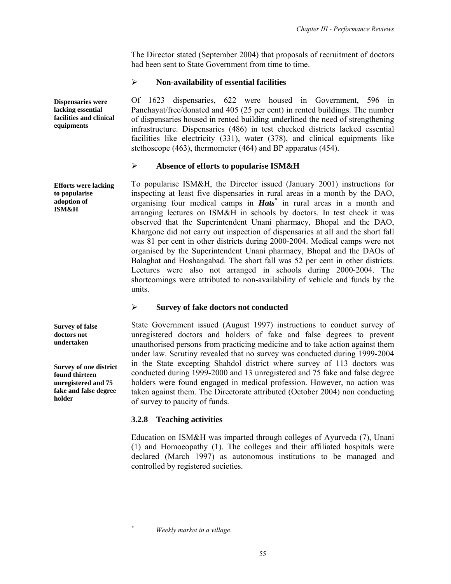The Director stated (September 2004) that proposals of recruitment of doctors had been sent to State Government from time to time.

### ¾ **Non-availability of essential facilities**

Of 1623 dispensaries, 622 were housed in Government, 596 in Panchayat/free/donated and 405 (25 per cent) in rented buildings. The number of dispensaries housed in rented building underlined the need of strengthening infrastructure. Dispensaries (486) in test checked districts lacked essential facilities like electricity (331), water (378), and clinical equipments like stethoscope (463), thermometer (464) and BP apparatus (454).

### ¾ **Absence of efforts to popularise ISM&H**

To popularise ISM&H, the Director issued (January 2001) instructions for inspecting at least five dispensaries in rural areas in a month by the DAO, organising four medical camps in *Hats\** in rural areas in a month and arranging lectures on ISM&H in schools by doctors. In test check it was observed that the Superintendent Unani pharmacy, Bhopal and the DAO, Khargone did not carry out inspection of dispensaries at all and the short fall was 81 per cent in other districts during 2000-2004. Medical camps were not organised by the Superintendent Unani pharmacy, Bhopal and the DAOs of Balaghat and Hoshangabad. The short fall was 52 per cent in other districts. Lectures were also not arranged in schools during 2000-2004. The shortcomings were attributed to non-availability of vehicle and funds by the units.

# ¾ **Survey of fake doctors not conducted**

State Government issued (August 1997) instructions to conduct survey of unregistered doctors and holders of fake and false degrees to prevent unauthorised persons from practicing medicine and to take action against them under law. Scrutiny revealed that no survey was conducted during 1999-2004 in the State excepting Shahdol district where survey of 113 doctors was conducted during 1999-2000 and 13 unregistered and 75 fake and false degree holders were found engaged in medical profession. However, no action was taken against them. The Directorate attributed (October 2004) non conducting of survey to paucity of funds.

# **3.2.8 Teaching activities**

Education on ISM&H was imparted through colleges of Ayurveda (7), Unani (1) and Homoeopathy (1). The colleges and their affiliated hospitals were declared (March 1997) as autonomous institutions to be managed and controlled by registered societies.

**Efforts were lacking to popularise adoption of ISM&H** 

**Survey of false doctors not undertaken** 

**Survey of one district found thirteen unregistered and 75 fake and false degree holder** 

 $\overline{a}$ *\**

**Dispensaries were lacking essential facilities and clinical equipments** 

*Weekly market in a village.*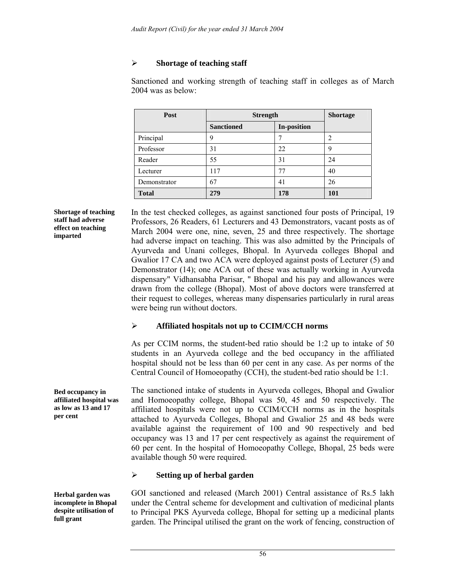# ¾ **Shortage of teaching staff**

Sanctioned and working strength of teaching staff in colleges as of March 2004 was as below:

| Post         | <b>Strength</b>   |                    | <b>Shortage</b> |
|--------------|-------------------|--------------------|-----------------|
|              | <b>Sanctioned</b> | <b>In-position</b> |                 |
| Principal    | q                 |                    | 2               |
| Professor    | 31                | 22                 | 9               |
| Reader       | 55                | 31                 | 24              |
| Lecturer     | 117               | 77                 | 40              |
| Demonstrator | 67                | 41                 | 26              |
| <b>Total</b> | 279               | 178                | <b>101</b>      |

**Shortage of teaching staff had adverse effect on teaching imparted** 

In the test checked colleges, as against sanctioned four posts of Principal, 19 Professors, 26 Readers, 61 Lecturers and 43 Demonstrators, vacant posts as of March 2004 were one, nine, seven, 25 and three respectively. The shortage had adverse impact on teaching. This was also admitted by the Principals of Ayurveda and Unani colleges, Bhopal. In Ayurveda colleges Bhopal and Gwalior 17 CA and two ACA were deployed against posts of Lecturer (5) and Demonstrator (14); one ACA out of these was actually working in Ayurveda dispensary" Vidhansabha Parisar, " Bhopal and his pay and allowances were drawn from the college (Bhopal). Most of above doctors were transferred at their request to colleges, whereas many dispensaries particularly in rural areas were being run without doctors.

### ¾ **Affiliated hospitals not up to CCIM/CCH norms**

As per CCIM norms, the student-bed ratio should be 1:2 up to intake of 50 students in an Ayurveda college and the bed occupancy in the affiliated hospital should not be less than 60 per cent in any case. As per norms of the Central Council of Homoeopathy (CCH), the student-bed ratio should be 1:1.

The sanctioned intake of students in Ayurveda colleges, Bhopal and Gwalior and Homoeopathy college, Bhopal was 50, 45 and 50 respectively. The affiliated hospitals were not up to CCIM/CCH norms as in the hospitals attached to Ayurveda Colleges, Bhopal and Gwalior 25 and 48 beds were available against the requirement of 100 and 90 respectively and bed occupancy was 13 and 17 per cent respectively as against the requirement of 60 per cent. In the hospital of Homoeopathy College, Bhopal, 25 beds were available though 50 were required.

# ¾ **Setting up of herbal garden**

**Herbal garden was incomplete in Bhopal despite utilisation of full grant** 

**Bed occupancy in affiliated hospital was as low as 13 and 17** 

**per cent** 

GOI sanctioned and released (March 2001) Central assistance of Rs.5 lakh under the Central scheme for development and cultivation of medicinal plants to Principal PKS Ayurveda college, Bhopal for setting up a medicinal plants garden. The Principal utilised the grant on the work of fencing, construction of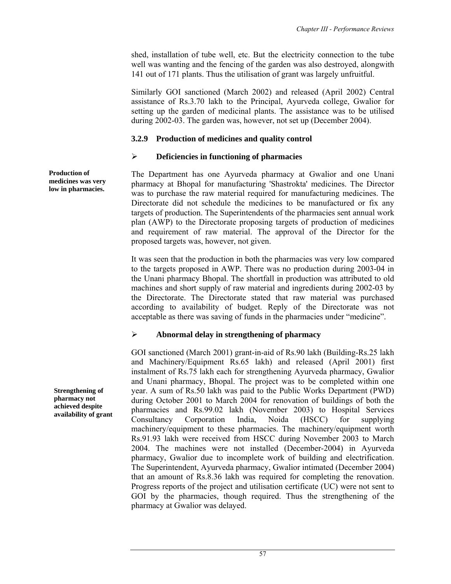shed, installation of tube well, etc. But the electricity connection to the tube well was wanting and the fencing of the garden was also destroyed, alongwith 141 out of 171 plants. Thus the utilisation of grant was largely unfruitful.

Similarly GOI sanctioned (March 2002) and released (April 2002) Central assistance of Rs.3.70 lakh to the Principal, Ayurveda college, Gwalior for setting up the garden of medicinal plants. The assistance was to be utilised during 2002-03. The garden was, however, not set up (December 2004).

### **3.2.9 Production of medicines and quality control**

### ¾ **Deficiencies in functioning of pharmacies**

The Department has one Ayurveda pharmacy at Gwalior and one Unani pharmacy at Bhopal for manufacturing 'Shastrokta' medicines. The Director was to purchase the raw material required for manufacturing medicines. The Directorate did not schedule the medicines to be manufactured or fix any targets of production. The Superintendents of the pharmacies sent annual work plan (AWP) to the Directorate proposing targets of production of medicines and requirement of raw material. The approval of the Director for the proposed targets was, however, not given.

It was seen that the production in both the pharmacies was very low compared to the targets proposed in AWP. There was no production during 2003-04 in the Unani pharmacy Bhopal. The shortfall in production was attributed to old machines and short supply of raw material and ingredients during 2002-03 by the Directorate. The Directorate stated that raw material was purchased according to availability of budget. Reply of the Directorate was not acceptable as there was saving of funds in the pharmacies under "medicine".

# ¾ **Abnormal delay in strengthening of pharmacy**

GOI sanctioned (March 2001) grant-in-aid of Rs.90 lakh (Building-Rs.25 lakh and Machinery/Equipment Rs.65 lakh) and released (April 2001) first instalment of Rs.75 lakh each for strengthening Ayurveda pharmacy, Gwalior and Unani pharmacy, Bhopal. The project was to be completed within one year. A sum of Rs.50 lakh was paid to the Public Works Department (PWD) during October 2001 to March 2004 for renovation of buildings of both the pharmacies and Rs.99.02 lakh (November 2003) to Hospital Services<br>Consultancy Corporation India, Noida (HSCC) for supplying Consultancy Corporation India, Noida (HSCC) for supplying machinery/equipment to these pharmacies. The machinery/equipment worth Rs.91.93 lakh were received from HSCC during November 2003 to March 2004. The machines were not installed (December-2004) in Ayurveda pharmacy, Gwalior due to incomplete work of building and electrification. The Superintendent, Ayurveda pharmacy, Gwalior intimated (December 2004) that an amount of Rs.8.36 lakh was required for completing the renovation. Progress reports of the project and utilisation certificate (UC) were not sent to GOI by the pharmacies, though required. Thus the strengthening of the pharmacy at Gwalior was delayed.

**Production of medicines was very low in pharmacies.** 

**Strengthening of pharmacy not achieved despite availability of grant**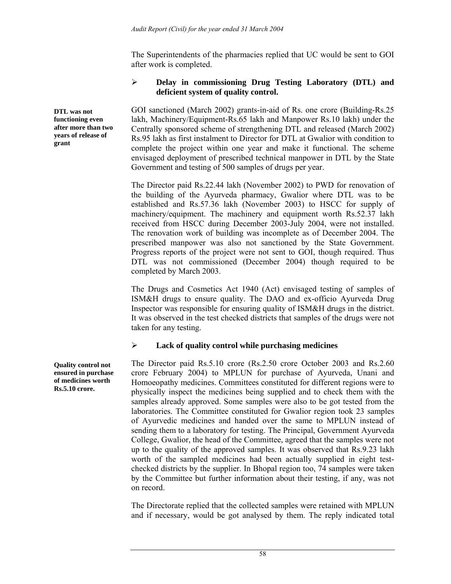The Superintendents of the pharmacies replied that UC would be sent to GOI after work is completed.

## ¾ **Delay in commissioning Drug Testing Laboratory (DTL) and deficient system of quality control.**

GOI sanctioned (March 2002) grants-in-aid of Rs. one crore (Building-Rs.25 lakh, Machinery/Equipment-Rs.65 lakh and Manpower Rs.10 lakh) under the Centrally sponsored scheme of strengthening DTL and released (March 2002) Rs.95 lakh as first instalment to Director for DTL at Gwalior with condition to complete the project within one year and make it functional. The scheme envisaged deployment of prescribed technical manpower in DTL by the State Government and testing of 500 samples of drugs per year.

The Director paid Rs.22.44 lakh (November 2002) to PWD for renovation of the building of the Ayurveda pharmacy, Gwalior where DTL was to be established and Rs.57.36 lakh (November 2003) to HSCC for supply of machinery/equipment. The machinery and equipment worth Rs.52.37 lakh received from HSCC during December 2003-July 2004, were not installed. The renovation work of building was incomplete as of December 2004. The prescribed manpower was also not sanctioned by the State Government. Progress reports of the project were not sent to GOI, though required. Thus DTL was not commissioned (December 2004) though required to be completed by March 2003.

The Drugs and Cosmetics Act 1940 (Act) envisaged testing of samples of ISM&H drugs to ensure quality. The DAO and ex-officio Ayurveda Drug Inspector was responsible for ensuring quality of ISM&H drugs in the district. It was observed in the test checked districts that samples of the drugs were not taken for any testing.

# ¾ **Lack of quality control while purchasing medicines**

The Director paid Rs.5.10 crore (Rs.2.50 crore October 2003 and Rs.2.60 crore February 2004) to MPLUN for purchase of Ayurveda, Unani and Homoeopathy medicines. Committees constituted for different regions were to physically inspect the medicines being supplied and to check them with the samples already approved. Some samples were also to be got tested from the laboratories. The Committee constituted for Gwalior region took 23 samples of Ayurvedic medicines and handed over the same to MPLUN instead of sending them to a laboratory for testing. The Principal, Government Ayurveda College, Gwalior, the head of the Committee, agreed that the samples were not up to the quality of the approved samples. It was observed that Rs.9.23 lakh worth of the sampled medicines had been actually supplied in eight testchecked districts by the supplier. In Bhopal region too, 74 samples were taken by the Committee but further information about their testing, if any, was not on record.

The Directorate replied that the collected samples were retained with MPLUN and if necessary, would be got analysed by them. The reply indicated total

**Quality control not ensured in purchase of medicines worth Rs.5.10 crore.** 

**DTL was not functioning even after more than two years of release of** 

**grant**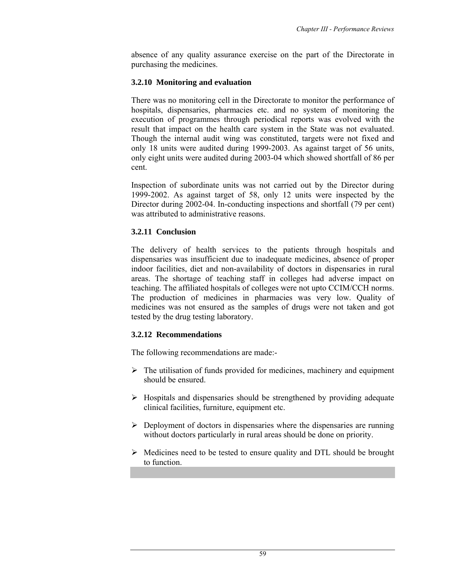absence of any quality assurance exercise on the part of the Directorate in purchasing the medicines.

### **3.2.10 Monitoring and evaluation**

There was no monitoring cell in the Directorate to monitor the performance of hospitals, dispensaries, pharmacies etc. and no system of monitoring the execution of programmes through periodical reports was evolved with the result that impact on the health care system in the State was not evaluated. Though the internal audit wing was constituted, targets were not fixed and only 18 units were audited during 1999-2003. As against target of 56 units, only eight units were audited during 2003-04 which showed shortfall of 86 per cent.

Inspection of subordinate units was not carried out by the Director during 1999-2002. As against target of 58, only 12 units were inspected by the Director during 2002-04. In-conducting inspections and shortfall (79 per cent) was attributed to administrative reasons.

### **3.2.11 Conclusion**

The delivery of health services to the patients through hospitals and dispensaries was insufficient due to inadequate medicines, absence of proper indoor facilities, diet and non-availability of doctors in dispensaries in rural areas. The shortage of teaching staff in colleges had adverse impact on teaching. The affiliated hospitals of colleges were not upto CCIM/CCH norms. The production of medicines in pharmacies was very low. Quality of medicines was not ensured as the samples of drugs were not taken and got tested by the drug testing laboratory.

### **3.2.12 Recommendations**

The following recommendations are made:-

- $\triangleright$  The utilisation of funds provided for medicines, machinery and equipment should be ensured.
- $\triangleright$  Hospitals and dispensaries should be strengthened by providing adequate clinical facilities, furniture, equipment etc.
- $\triangleright$  Deployment of doctors in dispensaries where the dispensaries are running without doctors particularly in rural areas should be done on priority.
- $\triangleright$  Medicines need to be tested to ensure quality and DTL should be brought to function.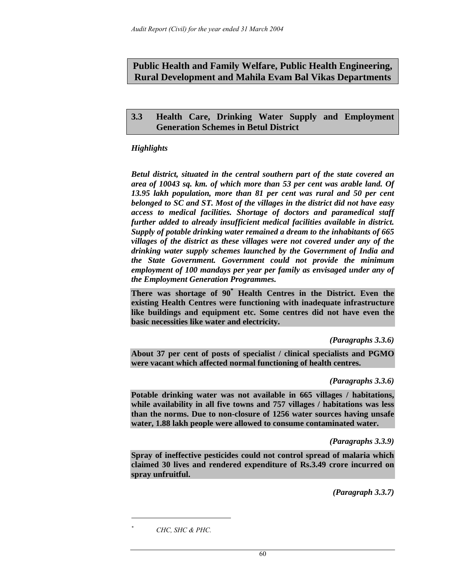# **Public Health and Family Welfare, Public Health Engineering, Rural Development and Mahila Evam Bal Vikas Departments**

# **3.3 Health Care, Drinking Water Supply and Employment Generation Schemes in Betul District**

# *Highlights*

*Betul district, situated in the central southern part of the state covered an area of 10043 sq. km. of which more than 53 per cent was arable land. Of 13.95 lakh population, more than 81 per cent was rural and 50 per cent belonged to SC and ST. Most of the villages in the district did not have easy access to medical facilities. Shortage of doctors and paramedical staff further added to already insufficient medical facilities available in district. Supply of potable drinking water remained a dream to the inhabitants of 665 villages of the district as these villages were not covered under any of the drinking water supply schemes launched by the Government of India and the State Government. Government could not provide the minimum employment of 100 mandays per year per family as envisaged under any of the Employment Generation Programmes.* 

**There was shortage of 90\* Health Centres in the District. Even the existing Health Centres were functioning with inadequate infrastructure like buildings and equipment etc. Some centres did not have even the basic necessities like water and electricity.** 

*(Paragraphs 3.3.6)* 

**About 37 per cent of posts of specialist / clinical specialists and PGMO were vacant which affected normal functioning of health centres.** 

*(Paragraphs 3.3.6)* 

**Potable drinking water was not available in 665 villages / habitations, while availability in all five towns and 757 villages / habitations was less than the norms. Due to non-closure of 1256 water sources having unsafe water, 1.88 lakh people were allowed to consume contaminated water.** 

*(Paragraphs 3.3.9)* 

**Spray of ineffective pesticides could not control spread of malaria which claimed 30 lives and rendered expenditure of Rs.3.49 crore incurred on spray unfruitful.** 

*(Paragraph 3.3.7)* 

 *CHC, SHC & PHC.* 

 $\overline{a}$ *\**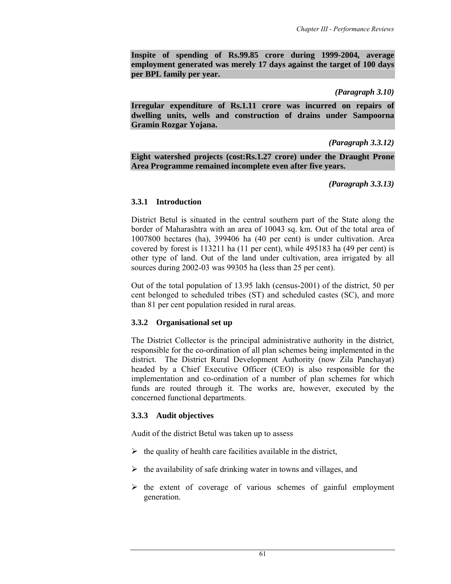**Inspite of spending of Rs.99.85 crore during 1999-2004, average employment generated was merely 17 days against the target of 100 days per BPL family per year.** 

*(Paragraph 3.10)* 

**Irregular expenditure of Rs.1.11 crore was incurred on repairs of dwelling units, wells and construction of drains under Sampoorna Gramin Rozgar Yojana.** 

### *(Paragraph 3.3.12)*

**Eight watershed projects (cost:Rs.1.27 crore) under the Draught Prone Area Programme remained incomplete even after five years.** 

*(Paragraph 3.3.13)* 

### **3.3.1 Introduction**

District Betul is situated in the central southern part of the State along the border of Maharashtra with an area of 10043 sq. km. Out of the total area of 1007800 hectares (ha), 399406 ha (40 per cent) is under cultivation. Area covered by forest is 113211 ha (11 per cent), while 495183 ha (49 per cent) is other type of land. Out of the land under cultivation, area irrigated by all sources during 2002-03 was 99305 ha (less than 25 per cent).

Out of the total population of 13.95 lakh (census-2001) of the district, 50 per cent belonged to scheduled tribes (ST) and scheduled castes (SC), and more than 81 per cent population resided in rural areas.

### **3.3.2 Organisational set up**

The District Collector is the principal administrative authority in the district, responsible for the co-ordination of all plan schemes being implemented in the district. The District Rural Development Authority (now Zila Panchayat) headed by a Chief Executive Officer (CEO) is also responsible for the implementation and co-ordination of a number of plan schemes for which funds are routed through it. The works are, however, executed by the concerned functional departments.

### **3.3.3 Audit objectives**

Audit of the district Betul was taken up to assess

- $\triangleright$  the quality of health care facilities available in the district,
- $\triangleright$  the availability of safe drinking water in towns and villages, and
- $\triangleright$  the extent of coverage of various schemes of gainful employment generation.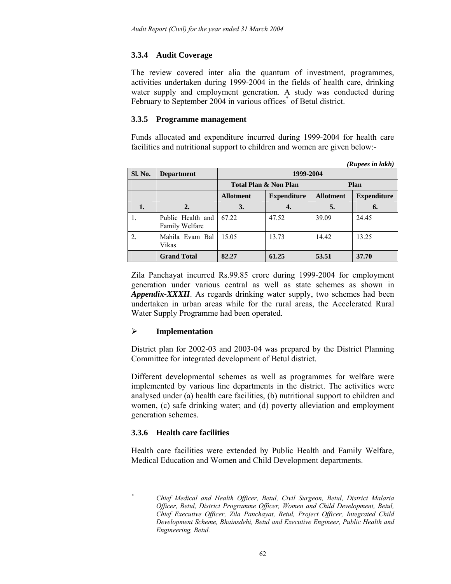# **3.3.4 Audit Coverage**

The review covered inter alia the quantum of investment, programmes, activities undertaken during 1999-2004 in the fields of health care, drinking water supply and employment generation. A study was conducted during February to September 2004 in various offices<sup>\*</sup> of Betul district.

## **3.3.5 Programme management**

Funds allocated and expenditure incurred during 1999-2004 for health care facilities and nutritional support to children and women are given below:-

*(Rupees in lakh)* 

|                  |                                     |                  |                                  |                  | (Kupees in шкп)    |  |  |  |  |
|------------------|-------------------------------------|------------------|----------------------------------|------------------|--------------------|--|--|--|--|
| Sl. No.          | <b>Department</b>                   |                  | 1999-2004                        |                  |                    |  |  |  |  |
|                  |                                     |                  | <b>Total Plan &amp; Non Plan</b> | Plan             |                    |  |  |  |  |
|                  |                                     | <b>Allotment</b> | <b>Expenditure</b>               | <b>Allotment</b> | <b>Expenditure</b> |  |  |  |  |
| 1.               | 2.                                  | 3.               | 4.                               | 5.               | 6.                 |  |  |  |  |
|                  | Public Health and<br>Family Welfare | 67.22            | 47.52                            | 39.09            | 24.45              |  |  |  |  |
| $\overline{2}$ . | Mahila Evam Bal<br>Vikas            | 15.05            | 13.73                            | 14.42            | 13.25              |  |  |  |  |
|                  | <b>Grand Total</b>                  | 82.27            | 61.25                            | 53.51            | 37.70              |  |  |  |  |

Zila Panchayat incurred Rs.99.85 crore during 1999-2004 for employment generation under various central as well as state schemes as shown in *Appendix-XXXII*. As regards drinking water supply, two schemes had been undertaken in urban areas while for the rural areas, the Accelerated Rural Water Supply Programme had been operated.

# ¾ **Implementation**

District plan for 2002-03 and 2003-04 was prepared by the District Planning Committee for integrated development of Betul district.

Different developmental schemes as well as programmes for welfare were implemented by various line departments in the district. The activities were analysed under (a) health care facilities, (b) nutritional support to children and women, (c) safe drinking water; and (d) poverty alleviation and employment generation schemes.

# **3.3.6 Health care facilities**

 $\overline{\phantom{a}}$ *\**

Health care facilities were extended by Public Health and Family Welfare, Medical Education and Women and Child Development departments.

*Chief Medical and Health Officer, Betul, Civil Surgeon, Betul, District Malaria Officer, Betul, District Programme Officer, Women and Child Development, Betul, Chief Executive Officer, Zila Panchayat, Betul, Project Officer, Integrated Child Development Scheme, Bhainsdehi, Betul and Executive Engineer, Public Health and Engineering, Betul.*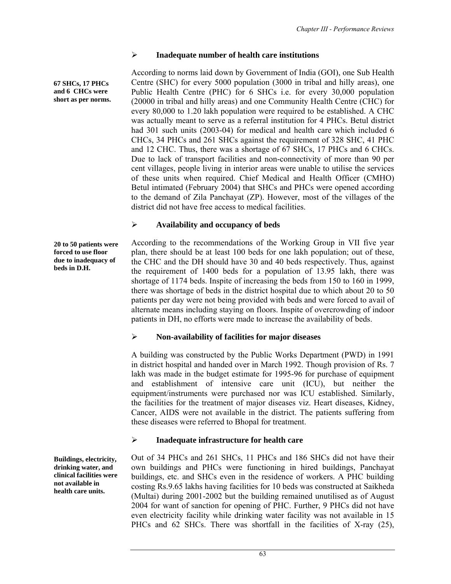## ¾ **Inadequate number of health care institutions**

According to norms laid down by Government of India (GOI), one Sub Health Centre (SHC) for every 5000 population (3000 in tribal and hilly areas), one Public Health Centre (PHC) for 6 SHCs i.e. for every 30,000 population (20000 in tribal and hilly areas) and one Community Health Centre (CHC) for every 80,000 to 1.20 lakh population were required to be established. A CHC was actually meant to serve as a referral institution for 4 PHCs. Betul district had 301 such units (2003-04) for medical and health care which included 6 CHCs, 34 PHCs and 261 SHCs against the requirement of 328 SHC, 41 PHC and 12 CHC. Thus, there was a shortage of 67 SHCs, 17 PHCs and 6 CHCs. Due to lack of transport facilities and non-connectivity of more than 90 per cent villages, people living in interior areas were unable to utilise the services of these units when required. Chief Medical and Health Officer (CMHO) Betul intimated (February 2004) that SHCs and PHCs were opened according to the demand of Zila Panchayat (ZP). However, most of the villages of the district did not have free access to medical facilities.

## ¾ **Availability and occupancy of beds**

**20 to 50 patients were forced to use floor due to inadequacy of beds in D.H.** 

**67 SHCs, 17 PHCs and 6 CHCs were short as per norms.** 

> According to the recommendations of the Working Group in VII five year plan, there should be at least 100 beds for one lakh population; out of these, the CHC and the DH should have 30 and 40 beds respectively. Thus, against the requirement of 1400 beds for a population of 13.95 lakh, there was shortage of 1174 beds. Inspite of increasing the beds from 150 to 160 in 1999, there was shortage of beds in the district hospital due to which about 20 to 50 patients per day were not being provided with beds and were forced to avail of alternate means including staying on floors. Inspite of overcrowding of indoor patients in DH, no efforts were made to increase the availability of beds.

# ¾ **Non-availability of facilities for major diseases**

A building was constructed by the Public Works Department (PWD) in 1991 in district hospital and handed over in March 1992. Though provision of Rs. 7 lakh was made in the budget estimate for 1995-96 for purchase of equipment and establishment of intensive care unit (ICU), but neither the equipment/instruments were purchased nor was ICU established. Similarly, the facilities for the treatment of major diseases viz. Heart diseases, Kidney, Cancer, AIDS were not available in the district. The patients suffering from these diseases were referred to Bhopal for treatment.

# ¾ **Inadequate infrastructure for health care**

Out of 34 PHCs and 261 SHCs, 11 PHCs and 186 SHCs did not have their own buildings and PHCs were functioning in hired buildings, Panchayat buildings, etc. and SHCs even in the residence of workers. A PHC building costing Rs.9.65 lakhs having facilities for 10 beds was constructed at Saikheda (Multai) during 2001-2002 but the building remained unutilised as of August 2004 for want of sanction for opening of PHC. Further, 9 PHCs did not have even electricity facility while drinking water facility was not available in 15 PHCs and 62 SHCs. There was shortfall in the facilities of X-ray (25),

**Buildings, electricity, drinking water, and clinical facilities were not available in health care units.**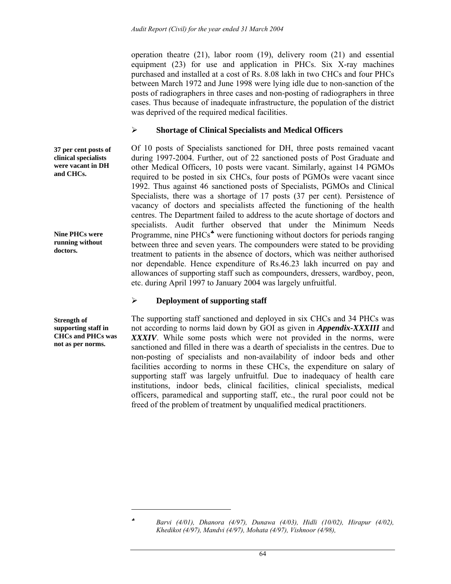operation theatre (21), labor room (19), delivery room (21) and essential equipment (23) for use and application in PHCs. Six X-ray machines purchased and installed at a cost of Rs. 8.08 lakh in two CHCs and four PHCs between March 1972 and June 1998 were lying idle due to non-sanction of the posts of radiographers in three cases and non-posting of radiographers in three cases. Thus because of inadequate infrastructure, the population of the district was deprived of the required medical facilities.

## ¾ **Shortage of Clinical Specialists and Medical Officers**

Of 10 posts of Specialists sanctioned for DH, three posts remained vacant during 1997-2004. Further, out of 22 sanctioned posts of Post Graduate and other Medical Officers, 10 posts were vacant. Similarly, against 14 PGMOs required to be posted in six CHCs, four posts of PGMOs were vacant since 1992. Thus against 46 sanctioned posts of Specialists, PGMOs and Clinical Specialists, there was a shortage of 17 posts (37 per cent). Persistence of vacancy of doctors and specialists affected the functioning of the health centres. The Department failed to address to the acute shortage of doctors and specialists. Audit further observed that under the Minimum Needs Programme, nine PHCs<sup>\*</sup> were functioning without doctors for periods ranging between three and seven years. The compounders were stated to be providing treatment to patients in the absence of doctors, which was neither authorised nor dependable. Hence expenditure of Rs.46.23 lakh incurred on pay and allowances of supporting staff such as compounders, dressers, wardboy, peon, etc. during April 1997 to January 2004 was largely unfruitful.

# ¾ **Deployment of supporting staff**

The supporting staff sanctioned and deployed in six CHCs and 34 PHCs was not according to norms laid down by GOI as given in *Appendix-XXXIII* and *XXXIV*. While some posts which were not provided in the norms, were sanctioned and filled in there was a dearth of specialists in the centres. Due to non-posting of specialists and non-availability of indoor beds and other facilities according to norms in these CHCs, the expenditure on salary of supporting staff was largely unfruitful. Due to inadequacy of health care institutions, indoor beds, clinical facilities, clinical specialists, medical officers, paramedical and supporting staff, etc., the rural poor could not be freed of the problem of treatment by unqualified medical practitioners.

 $\overline{\phantom{a}}$ 

**37 per cent posts of clinical specialists were vacant in DH and CHCs.** 

**Nine PHCs were running without doctors.** 

**Strength of supporting staff in CHCs and PHCs was not as per norms.** 

<sup>♣</sup> *Barvi (4/01), Dhanora (4/97), Dunawa (4/03), Hidli (10/02), Hirapur (4/02), Khedikot (4/97), Mandvi (4/97), Mohata (4/97), Vishnoor (4/98),*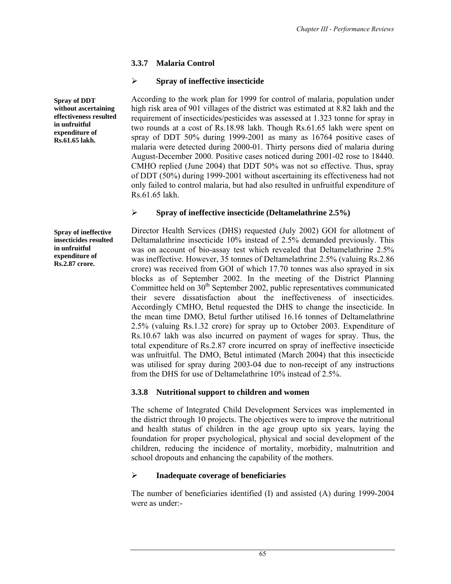# **3.3.7 Malaria Control**

# ¾ **Spray of ineffective insecticide**

According to the work plan for 1999 for control of malaria, population under high risk area of 901 villages of the district was estimated at 8.82 lakh and the requirement of insecticides/pesticides was assessed at 1.323 tonne for spray in two rounds at a cost of Rs.18.98 lakh. Though Rs.61.65 lakh were spent on spray of DDT 50% during 1999-2001 as many as 16764 positive cases of malaria were detected during 2000-01. Thirty persons died of malaria during August-December 2000. Positive cases noticed during 2001-02 rose to 18440. CMHO replied (June 2004) that DDT 50% was not so effective. Thus, spray of DDT (50%) during 1999-2001 without ascertaining its effectiveness had not only failed to control malaria, but had also resulted in unfruitful expenditure of Rs.61.65 lakh.

# ¾ **Spray of ineffective insecticide (Deltamelathrine 2.5%)**

**Spray of ineffective insecticides resulted in unfruitful expenditure of Rs.2.87 crore.** 

Director Health Services (DHS) requested (July 2002) GOI for allotment of Deltamalathrine insecticide 10% instead of 2.5% demanded previously. This was on account of bio-assay test which revealed that Deltamelathrine 2.5% was ineffective. However, 35 tonnes of Deltamelathrine 2.5% (valuing Rs.2.86 crore) was received from GOI of which 17.70 tonnes was also sprayed in six blocks as of September 2002. In the meeting of the District Planning Committee held on 30<sup>th</sup> September 2002, public representatives communicated their severe dissatisfaction about the ineffectiveness of insecticides. Accordingly CMHO, Betul requested the DHS to change the insecticide. In the mean time DMO, Betul further utilised 16.16 tonnes of Deltamelathrine 2.5% (valuing Rs.1.32 crore) for spray up to October 2003. Expenditure of Rs.10.67 lakh was also incurred on payment of wages for spray. Thus, the total expenditure of Rs.2.87 crore incurred on spray of ineffective insecticide was unfruitful. The DMO, Betul intimated (March 2004) that this insecticide was utilised for spray during 2003-04 due to non-receipt of any instructions from the DHS for use of Deltamelathrine 10% instead of 2.5%.

# **3.3.8 Nutritional support to children and women**

The scheme of Integrated Child Development Services was implemented in the district through 10 projects. The objectives were to improve the nutritional and health status of children in the age group upto six years, laying the foundation for proper psychological, physical and social development of the children, reducing the incidence of mortality, morbidity, malnutrition and school dropouts and enhancing the capability of the mothers.

# ¾ **Inadequate coverage of beneficiaries**

The number of beneficiaries identified (I) and assisted (A) during 1999-2004 were as under:-

**effectiveness resulted in unfruitful expenditure of Rs.61.65 lakh.** 

**Spray of DDT without ascertaining**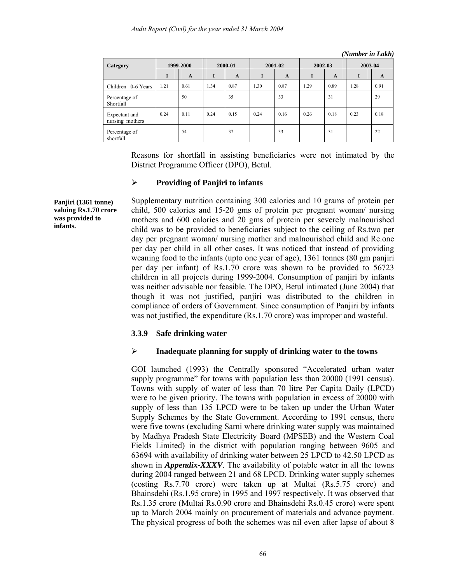| Category                         | 1999-2000 |              | 2000-01 |              | 2001-02 |              | 2002-03 |              | 2003-04 |              |
|----------------------------------|-----------|--------------|---------|--------------|---------|--------------|---------|--------------|---------|--------------|
|                                  | 1         | $\mathbf{A}$ | I       | $\mathbf{A}$ |         | $\mathbf{A}$ | I       | $\mathbf{A}$ | I       | $\mathbf{A}$ |
| Children -0-6 Years              | 1.21      | 0.61         | 1.34    | 0.87         | 1.30    | 0.87         | i.29    | 0.89         | 1.28    | 0.91         |
| Percentage of<br>Shortfall       |           | 50           |         | 35           |         | 33           |         | 31           |         | 29           |
| Expectant and<br>nursing mothers | 0.24      | 0.11         | 0.24    | 0.15         | 0.24    | 0.16         | 0.26    | 0.18         | 0.23    | 0.18         |
| Percentage of<br>shortfall       |           | 54           |         | 37           |         | 33           |         | 31           |         | 22           |

*(Number in Lakh)* 

Reasons for shortfall in assisting beneficiaries were not intimated by the District Programme Officer (DPO), Betul.

### ¾ **Providing of Panjiri to infants**

Supplementary nutrition containing 300 calories and 10 grams of protein per child, 500 calories and 15-20 gms of protein per pregnant woman/ nursing mothers and 600 calories and 20 gms of protein per severely malnourished child was to be provided to beneficiaries subject to the ceiling of Rs.two per day per pregnant woman/ nursing mother and malnourished child and Re.one per day per child in all other cases. It was noticed that instead of providing weaning food to the infants (upto one year of age), 1361 tonnes (80 gm panjiri per day per infant) of Rs.1.70 crore was shown to be provided to 56723 children in all projects during 1999-2004. Consumption of panjiri by infants was neither advisable nor feasible. The DPO, Betul intimated (June 2004) that though it was not justified, panjiri was distributed to the children in compliance of orders of Government. Since consumption of Panjiri by infants was not justified, the expenditure (Rs.1.70 crore) was improper and wasteful.

### **3.3.9 Safe drinking water**

### ¾ **Inadequate planning for supply of drinking water to the towns**

GOI launched (1993) the Centrally sponsored "Accelerated urban water supply programme" for towns with population less than 20000 (1991 census). Towns with supply of water of less than 70 litre Per Capita Daily (LPCD) were to be given priority. The towns with population in excess of 20000 with supply of less than 135 LPCD were to be taken up under the Urban Water Supply Schemes by the State Government. According to 1991 census, there were five towns (excluding Sarni where drinking water supply was maintained by Madhya Pradesh State Electricity Board (MPSEB) and the Western Coal Fields Limited) in the district with population ranging between 9605 and 63694 with availability of drinking water between 25 LPCD to 42.50 LPCD as shown in *Appendix-XXXV*. The availability of potable water in all the towns during 2004 ranged between 21 and 68 LPCD. Drinking water supply schemes (costing Rs.7.70 crore) were taken up at Multai (Rs.5.75 crore) and Bhainsdehi (Rs.1.95 crore) in 1995 and 1997 respectively. It was observed that Rs.1.35 crore (Multai Rs.0.90 crore and Bhainsdehi Rs.0.45 crore) were spent up to March 2004 mainly on procurement of materials and advance payment. The physical progress of both the schemes was nil even after lapse of about 8

**Panjiri (1361 tonne) valuing Rs.1.70 crore was provided to infants.**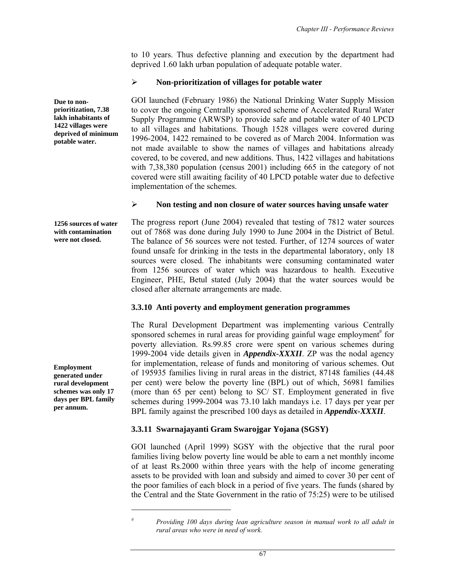to 10 years. Thus defective planning and execution by the department had deprived 1.60 lakh urban population of adequate potable water.

## ¾ **Non-prioritization of villages for potable water**

GOI launched (February 1986) the National Drinking Water Supply Mission to cover the ongoing Centrally sponsored scheme of Accelerated Rural Water Supply Programme (ARWSP) to provide safe and potable water of 40 LPCD to all villages and habitations. Though 1528 villages were covered during 1996-2004, 1422 remained to be covered as of March 2004. Information was not made available to show the names of villages and habitations already covered, to be covered, and new additions. Thus, 1422 villages and habitations with 7,38,380 population (census 2001) including 665 in the category of not covered were still awaiting facility of 40 LPCD potable water due to defective implementation of the schemes.

## ¾ **Non testing and non closure of water sources having unsafe water**

The progress report (June 2004) revealed that testing of 7812 water sources out of 7868 was done during July 1990 to June 2004 in the District of Betul. The balance of 56 sources were not tested. Further, of 1274 sources of water found unsafe for drinking in the tests in the departmental laboratory, only 18 sources were closed. The inhabitants were consuming contaminated water from 1256 sources of water which was hazardous to health. Executive Engineer, PHE, Betul stated (July 2004) that the water sources would be closed after alternate arrangements are made. **1256 sources of water** 

### **3.3.10 Anti poverty and employment generation programmes**

The Rural Development Department was implementing various Centrally sponsored schemes in rural areas for providing gainful wage employment<sup>#</sup> for poverty alleviation. Rs.99.85 crore were spent on various schemes during 1999-2004 vide details given in *Appendix-XXXII*. ZP was the nodal agency for implementation, release of funds and monitoring of various schemes. Out of 195935 families living in rural areas in the district, 87148 families (44.48 per cent) were below the poverty line (BPL) out of which, 56981 families (more than 65 per cent) belong to SC/ ST. Employment generated in five schemes during 1999-2004 was 73.10 lakh mandays i.e. 17 days per year per BPL family against the prescribed 100 days as detailed in *Appendix-XXXII*.

# **3.3.11 Swarnajayanti Gram Swarojgar Yojana (SGSY)**

GOI launched (April 1999) SGSY with the objective that the rural poor families living below poverty line would be able to earn a net monthly income of at least Rs.2000 within three years with the help of income generating assets to be provided with loan and subsidy and aimed to cover 30 per cent of the poor families of each block in a period of five years. The funds (shared by the Central and the State Government in the ratio of 75:25) were to be utilised

**Due to nonprioritization, 7.38 lakh inhabitants of 1422 villages were deprived of minimum potable water.** 

**with contamination were not closed.** 

**Employment generated under rural development schemes was only 17 days per BPL family per annum.** 

 $\overline{a}$ 

*<sup>#</sup> Providing 100 days during lean agriculture season in manual work to all adult in rural areas who were in need of work.*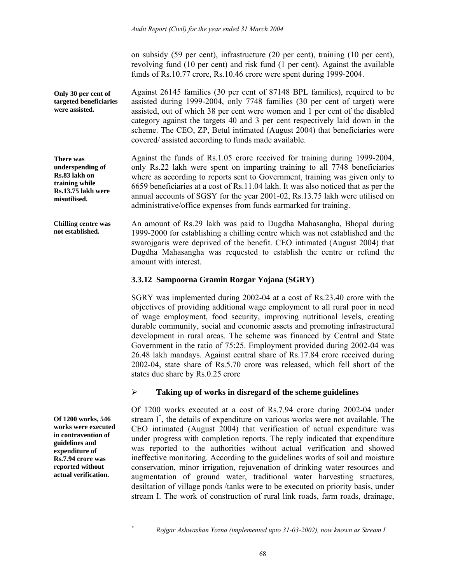on subsidy (59 per cent), infrastructure (20 per cent), training (10 per cent), revolving fund (10 per cent) and risk fund (1 per cent). Against the available funds of Rs.10.77 crore, Rs.10.46 crore were spent during 1999-2004.

Against 26145 families (30 per cent of 87148 BPL families), required to be assisted during 1999-2004, only 7748 families (30 per cent of target) were assisted, out of which 38 per cent were women and 1 per cent of the disabled category against the targets 40 and 3 per cent respectively laid down in the scheme. The CEO, ZP, Betul intimated (August 2004) that beneficiaries were covered/ assisted according to funds made available. **Only 30 per cent of targeted beneficiaries were assisted.** 

Against the funds of Rs.1.05 crore received for training during 1999-2004, only Rs.22 lakh were spent on imparting training to all 7748 beneficiaries where as according to reports sent to Government, training was given only to 6659 beneficiaries at a cost of Rs.11.04 lakh. It was also noticed that as per the annual accounts of SGSY for the year 2001-02, Rs.13.75 lakh were utilised on administrative/office expenses from funds earmarked for training. **underspending of Rs.13.75 lakh were** 

An amount of Rs.29 lakh was paid to Dugdha Mahasangha, Bhopal during 1999-2000 for establishing a chilling centre which was not established and the swarojgaris were deprived of the benefit. CEO intimated (August 2004) that Dugdha Mahasangha was requested to establish the centre or refund the amount with interest. **Chilling centre was not established.** 

### **3.3.12 Sampoorna Gramin Rozgar Yojana (SGRY)**

SGRY was implemented during 2002-04 at a cost of Rs.23.40 crore with the objectives of providing additional wage employment to all rural poor in need of wage employment, food security, improving nutritional levels, creating durable community, social and economic assets and promoting infrastructural development in rural areas. The scheme was financed by Central and State Government in the ratio of 75:25. Employment provided during 2002-04 was 26.48 lakh mandays. Against central share of Rs.17.84 crore received during 2002-04, state share of Rs.5.70 crore was released, which fell short of the states due share by Rs.0.25 crore

#### ¾ **Taking up of works in disregard of the scheme guidelines**

Of 1200 works executed at a cost of Rs.7.94 crore during 2002-04 under stream I\* , the details of expenditure on various works were not available. The CEO intimated (August 2004) that verification of actual expenditure was under progress with completion reports. The reply indicated that expenditure was reported to the authorities without actual verification and showed ineffective monitoring. According to the guidelines works of soil and moisture conservation, minor irrigation, rejuvenation of drinking water resources and augmentation of ground water, traditional water harvesting structures, desiltation of village ponds /tanks were to be executed on priority basis, under stream I. The work of construction of rural link roads, farm roads, drainage,

**Of 1200 works, 546 works were executed in contravention of guidelines and expenditure of Rs.7.94 crore was reported without actual verification.** 

**There was** 

**Rs.83 lakh on training while** 

**misutilised.** 

 $\overline{a}$ *\**

*Rojgar Ashwashan Yozna (implemented upto 31-03-2002), now known as Stream I.*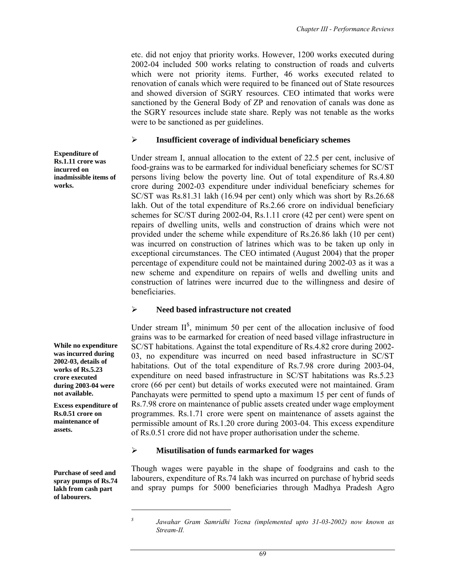etc. did not enjoy that priority works. However, 1200 works executed during 2002-04 included 500 works relating to construction of roads and culverts which were not priority items. Further, 46 works executed related to renovation of canals which were required to be financed out of State resources and showed diversion of SGRY resources. CEO intimated that works were sanctioned by the General Body of ZP and renovation of canals was done as the SGRY resources include state share. Reply was not tenable as the works were to be sanctioned as per guidelines.

#### ¾ **Insufficient coverage of individual beneficiary schemes**

Under stream I, annual allocation to the extent of 22.5 per cent, inclusive of food-grains was to be earmarked for individual beneficiary schemes for SC/ST persons living below the poverty line. Out of total expenditure of Rs.4.80 crore during 2002-03 expenditure under individual beneficiary schemes for SC/ST was Rs.81.31 lakh (16.94 per cent) only which was short by Rs.26.68 lakh. Out of the total expenditure of Rs.2.66 crore on individual beneficiary schemes for SC/ST during 2002-04, Rs.1.11 crore (42 per cent) were spent on repairs of dwelling units, wells and construction of drains which were not provided under the scheme while expenditure of Rs.26.86 lakh (10 per cent) was incurred on construction of latrines which was to be taken up only in exceptional circumstances. The CEO intimated (August 2004) that the proper percentage of expenditure could not be maintained during 2002-03 as it was a new scheme and expenditure on repairs of wells and dwelling units and construction of latrines were incurred due to the willingness and desire of beneficiaries.

#### ¾ **Need based infrastructure not created**

Under stream  $II<sup>S</sup>$ , minimum 50 per cent of the allocation inclusive of food grains was to be earmarked for creation of need based village infrastructure in SC/ST habitations. Against the total expenditure of Rs.4.82 crore during 2002- 03, no expenditure was incurred on need based infrastructure in SC/ST habitations. Out of the total expenditure of Rs.7.98 crore during 2003-04, expenditure on need based infrastructure in SC/ST habitations was Rs.5.23 crore (66 per cent) but details of works executed were not maintained. Gram Panchayats were permitted to spend upto a maximum 15 per cent of funds of Rs.7.98 crore on maintenance of public assets created under wage employment programmes. Rs.1.71 crore were spent on maintenance of assets against the permissible amount of Rs.1.20 crore during 2003-04. This excess expenditure of Rs.0.51 crore did not have proper authorisation under the scheme.

#### ¾ **Misutilisation of funds earmarked for wages**

Though wages were payable in the shape of foodgrains and cash to the labourers, expenditure of Rs.74 lakh was incurred on purchase of hybrid seeds and spray pumps for 5000 beneficiaries through Madhya Pradesh Agro

**Expenditure of Rs.1.11 crore was incurred on inadmissible items of works.** 

**While no expenditure was incurred during 2002-03, details of works of Rs.5.23 crore executed during 2003-04 were not available.** 

**Excess expenditure of Rs.0.51 crore on maintenance of assets.** 

**Purchase of seed and spray pumps of Rs.74 lakh from cash part of labourers.** 

 $\overline{a}$ 

*<sup>\$</sup> Jawahar Gram Samridhi Yozna (implemented upto 31-03-2002) now known as Stream-II.*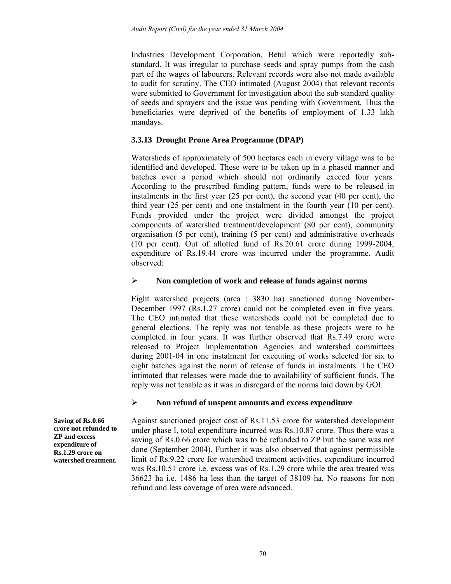Industries Development Corporation, Betul which were reportedly substandard. It was irregular to purchase seeds and spray pumps from the cash part of the wages of labourers. Relevant records were also not made available to audit for scrutiny. The CEO intimated (August 2004) that relevant records were submitted to Government for investigation about the sub standard quality of seeds and sprayers and the issue was pending with Government. Thus the beneficiaries were deprived of the benefits of employment of 1.33 lakh mandays.

## **3.3.13 Drought Prone Area Programme (DPAP)**

Watersheds of approximately of 500 hectares each in every village was to be identified and developed. These were to be taken up in a phased manner and batches over a period which should not ordinarily exceed four years. According to the prescribed funding pattern, funds were to be released in instalments in the first year (25 per cent), the second year (40 per cent), the third year (25 per cent) and one instalment in the fourth year (10 per cent). Funds provided under the project were divided amongst the project components of watershed treatment/development (80 per cent), community organisation (5 per cent), training (5 per cent) and administrative overheads (10 per cent). Out of allotted fund of Rs.20.61 crore during 1999-2004, expenditure of Rs.19.44 crore was incurred under the programme. Audit observed:

## ¾ **Non completion of work and release of funds against norms**

Eight watershed projects (area : 3830 ha) sanctioned during November-December 1997 (Rs.1.27 crore) could not be completed even in five years. The CEO intimated that these watersheds could not be completed due to general elections. The reply was not tenable as these projects were to be completed in four years. It was further observed that Rs.7.49 crore were released to Project Implementation Agencies and watershed committees during 2001-04 in one instalment for executing of works selected for six to eight batches against the norm of release of funds in instalments. The CEO intimated that releases were made due to availability of sufficient funds. The reply was not tenable as it was in disregard of the norms laid down by GOI.

### ¾ **Non refund of unspent amounts and excess expenditure**

Against sanctioned project cost of Rs.11.53 crore for watershed development under phase I, total expenditure incurred was Rs.10.87 crore. Thus there was a saving of Rs.0.66 crore which was to be refunded to ZP but the same was not done (September 2004). Further it was also observed that against permissible limit of Rs.9.22 crore for watershed treatment activities, expenditure incurred was Rs.10.51 crore i.e. excess was of Rs.1.29 crore while the area treated was 36623 ha i.e. 1486 ha less than the target of 38109 ha. No reasons for non refund and less coverage of area were advanced.

**Saving of Rs.0.66 crore not refunded to ZP and excess expenditure of Rs.1.29 crore on watershed treatment.**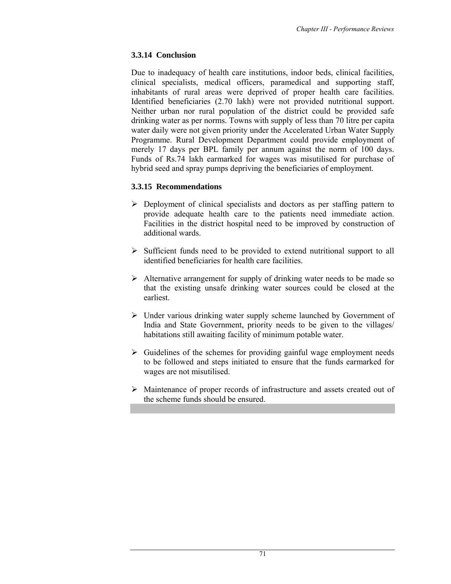# **3.3.14 Conclusion**

Due to inadequacy of health care institutions, indoor beds, clinical facilities, clinical specialists, medical officers, paramedical and supporting staff, inhabitants of rural areas were deprived of proper health care facilities. Identified beneficiaries (2.70 lakh) were not provided nutritional support. Neither urban nor rural population of the district could be provided safe drinking water as per norms. Towns with supply of less than 70 litre per capita water daily were not given priority under the Accelerated Urban Water Supply Programme. Rural Development Department could provide employment of merely 17 days per BPL family per annum against the norm of 100 days. Funds of Rs.74 lakh earmarked for wages was misutilised for purchase of hybrid seed and spray pumps depriving the beneficiaries of employment.

# **3.3.15 Recommendations**

- $\triangleright$  Deployment of clinical specialists and doctors as per staffing pattern to provide adequate health care to the patients need immediate action. Facilities in the district hospital need to be improved by construction of additional wards.
- $\triangleright$  Sufficient funds need to be provided to extend nutritional support to all identified beneficiaries for health care facilities.
- $\triangleright$  Alternative arrangement for supply of drinking water needs to be made so that the existing unsafe drinking water sources could be closed at the earliest.
- $\triangleright$  Under various drinking water supply scheme launched by Government of India and State Government, priority needs to be given to the villages/ habitations still awaiting facility of minimum potable water.
- $\triangleright$  Guidelines of the schemes for providing gainful wage employment needs to be followed and steps initiated to ensure that the funds earmarked for wages are not misutilised.
- ¾ Maintenance of proper records of infrastructure and assets created out of the scheme funds should be ensured.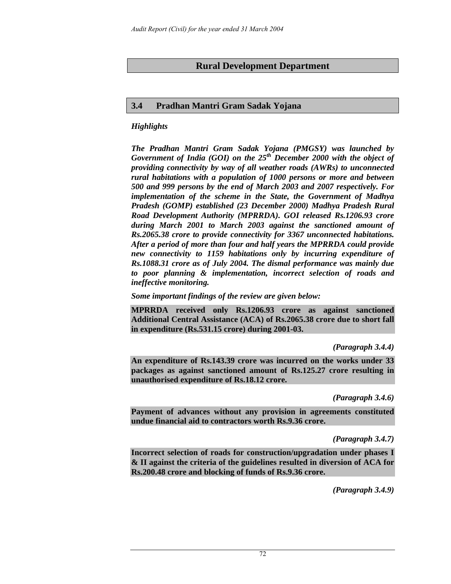## **Rural Development Department**

### **3.4 Pradhan Mantri Gram Sadak Yojana**

### *Highlights*

*The Pradhan Mantri Gram Sadak Yojana (PMGSY) was launched by Government of India (GOI) on the 25th December 2000 with the object of providing connectivity by way of all weather roads (AWRs) to unconnected rural habitations with a population of 1000 persons or more and between 500 and 999 persons by the end of March 2003 and 2007 respectively. For implementation of the scheme in the State, the Government of Madhya Pradesh (GOMP) established (23 December 2000) Madhya Pradesh Rural Road Development Authority (MPRRDA). GOI released Rs.1206.93 crore during March 2001 to March 2003 against the sanctioned amount of Rs.2065.38 crore to provide connectivity for 3367 unconnected habitations. After a period of more than four and half years the MPRRDA could provide new connectivity to 1159 habitations only by incurring expenditure of Rs.1088.31 crore as of July 2004. The dismal performance was mainly due to poor planning & implementation, incorrect selection of roads and ineffective monitoring.* 

*Some important findings of the review are given below:* 

**MPRRDA received only Rs.1206.93 crore as against sanctioned Additional Central Assistance (ACA) of Rs.2065.38 crore due to short fall in expenditure (Rs.531.15 crore) during 2001-03.** 

*(Paragraph 3.4.4)*

**An expenditure of Rs.143.39 crore was incurred on the works under 33 packages as against sanctioned amount of Rs.125.27 crore resulting in unauthorised expenditure of Rs.18.12 crore.**

*(Paragraph 3.4.6)*

**Payment of advances without any provision in agreements constituted undue financial aid to contractors worth Rs.9.36 crore.** 

*(Paragraph 3.4.7)*

**Incorrect selection of roads for construction/upgradation under phases I & II against the criteria of the guidelines resulted in diversion of ACA for Rs.200.48 crore and blocking of funds of Rs.9.36 crore.** 

*(Paragraph 3.4.9)*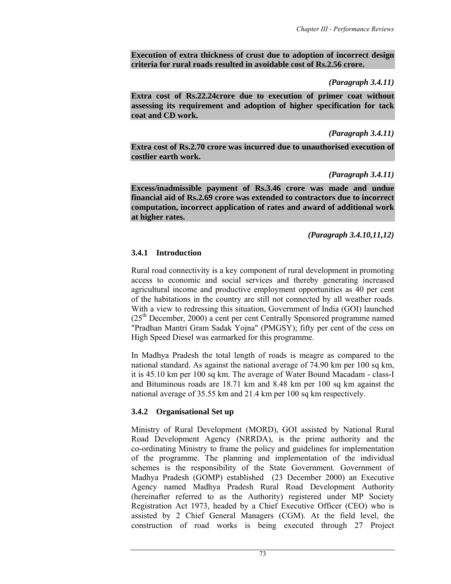**Execution of extra thickness of crust due to adoption of incorrect design criteria for rural roads resulted in avoidable cost of Rs.2.56 crore.** 

### *(Paragraph 3.4.11)*

**Extra cost of Rs.22.24crore due to execution of primer coat without assessing its requirement and adoption of higher specification for tack coat and CD work.** 

### *(Paragraph 3.4.11)*

**Extra cost of Rs.2.70 crore was incurred due to unauthorised execution of costlier earth work.** 

### *(Paragraph 3.4.11)*

**Excess/inadmissible payment of Rs.3.46 crore was made and undue financial aid of Rs.2.69 crore was extended to contractors due to incorrect computation, incorrect application of rates and award of additional work at higher rates.** 

## *(Paragraph 3.4.10,11,12)*

## **3.4.1 Introduction**

Rural road connectivity is a key component of rural development in promoting access to economic and social services and thereby generating increased agricultural income and productive employment opportunities as 40 per cent of the habitations in the country are still not connected by all weather roads. With a view to redressing this situation, Government of India (GOI) launched  $(25<sup>th</sup> December, 2000)$  a cent per cent Centrally Sponsored programme named "Pradhan Mantri Gram Sadak Yojna" (PMGSY); fifty per cent of the cess on High Speed Diesel was earmarked for this programme.

In Madhya Pradesh the total length of roads is meagre as compared to the national standard. As against the national average of 74.90 km per 100 sq km, it is 45.10 km per 100 sq km. The average of Water Bound Macadam - class-I and Bituminous roads are 18.71 km and 8.48 km per 100 sq km against the national average of 35.55 km and 21.4 km per 100 sq km respectively.

# **3.4.2 Organisational Set up**

Ministry of Rural Development (MORD), GOI assisted by National Rural Road Development Agency (NRRDA), is the prime authority and the co-ordinating Ministry to frame the policy and guidelines for implementation of the programme. The planning and implementation of the individual schemes is the responsibility of the State Government. Government of Madhya Pradesh (GOMP) established (23 December 2000) an Executive Agency named Madhya Pradesh Rural Road Development Authority (hereinafter referred to as the Authority) registered under MP Society Registration Act 1973, headed by a Chief Executive Officer (CEO) who is assisted by 2 Chief General Managers (CGM). At the field level, the construction of road works is being executed through 27 Project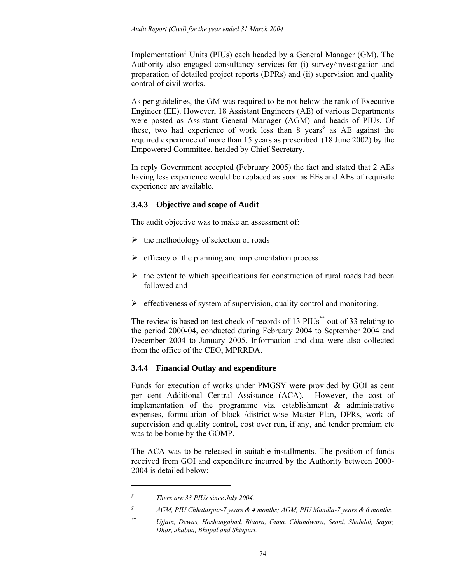Implementation‡ Units (PIUs) each headed by a General Manager (GM). The Authority also engaged consultancy services for (i) survey/investigation and preparation of detailed project reports (DPRs) and (ii) supervision and quality control of civil works.

As per guidelines, the GM was required to be not below the rank of Executive Engineer (EE). However, 18 Assistant Engineers (AE) of various Departments were posted as Assistant General Manager (AGM) and heads of PIUs. Of these, two had experience of work less than 8 years<sup>§</sup> as AE against the required experience of more than 15 years as prescribed (18 June 2002) by the Empowered Committee, headed by Chief Secretary.

In reply Government accepted (February 2005) the fact and stated that 2 AEs having less experience would be replaced as soon as EEs and AEs of requisite experience are available.

## **3.4.3 Objective and scope of Audit**

The audit objective was to make an assessment of:

- $\triangleright$  the methodology of selection of roads
- $\triangleright$  efficacy of the planning and implementation process
- $\triangleright$  the extent to which specifications for construction of rural roads had been followed and
- $\triangleright$  effectiveness of system of supervision, quality control and monitoring.

The review is based on test check of records of 13 PIUs<sup>\*\*</sup> out of 33 relating to the period 2000-04, conducted during February 2004 to September 2004 and December 2004 to January 2005. Information and data were also collected from the office of the CEO, MPRRDA.

# **3.4.4 Financial Outlay and expenditure**

Funds for execution of works under PMGSY were provided by GOI as cent per cent Additional Central Assistance (ACA). However, the cost of implementation of the programme viz. establishment & administrative expenses, formulation of block /district-wise Master Plan, DPRs, work of supervision and quality control, cost over run, if any, and tender premium etc was to be borne by the GOMP.

The ACA was to be released in suitable installments. The position of funds received from GOI and expenditure incurred by the Authority between 2000- 2004 is detailed below:-

 $\overline{\phantom{a}}$ 

*<sup>‡</sup> There are 33 PIUs since July 2004.* 

*<sup>§</sup> AGM, PIU Chhatarpur-7 years & 4 months; AGM, PIU Mandla-7 years & 6 months.* 

*<sup>\*\*</sup> Ujjain, Dewas, Hoshangabad, Biaora, Guna, Chhindwara, Seoni, Shahdol, Sagar, Dhar, Jhabua, Bhopal and Shivpuri.*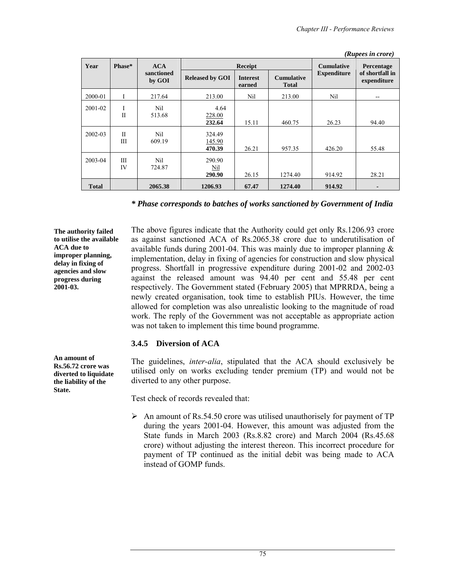*(Rupees in crore)* 

|              |                   |                      |                            |                           |                                   |                   | им <i>р</i> еез ни стотет      |
|--------------|-------------------|----------------------|----------------------------|---------------------------|-----------------------------------|-------------------|--------------------------------|
| Year         | Phase*            | ACA                  |                            | <b>Receipt</b>            |                                   | <b>Cumulative</b> | Percentage                     |
|              |                   | sanctioned<br>by GOI | <b>Released by GOI</b>     | <b>Interest</b><br>earned | <b>Cumulative</b><br><b>Total</b> |                   | of shortfall in<br>expenditure |
| 2000-01      |                   | 217.64               | 213.00                     | Nil                       | 213.00                            | Nil               | --                             |
| 2001-02      | I<br>$\mathbf{I}$ | Nil<br>513.68        | 4.64<br>228.00<br>232.64   | 15.11                     | 460.75                            | 26.23             | 94.40                          |
| 2002-03      | H<br>Ш            | Nil<br>609.19        | 324.49<br>145.90<br>470.39 | 26.21                     | 957.35                            | 426.20            | 55.48                          |
| 2003-04      | Ш<br>IV           | Nil<br>724.87        | 290.90<br>Nil<br>290.90    | 26.15                     | 1274.40                           | 914.92            | 28.21                          |
| <b>Total</b> |                   | 2065.38              | 1206.93                    | 67.47                     | 1274.40                           | 914.92            |                                |

*\* Phase corresponds to batches of works sanctioned by Government of India* 

**The authority failed to utilise the available ACA due to improper planning, delay in fixing of agencies and slow progress during 2001-03.** 

The above figures indicate that the Authority could get only Rs.1206.93 crore as against sanctioned ACA of Rs.2065.38 crore due to underutilisation of available funds during 2001-04. This was mainly due to improper planning & implementation, delay in fixing of agencies for construction and slow physical progress. Shortfall in progressive expenditure during 2001-02 and 2002-03 against the released amount was 94.40 per cent and 55.48 per cent respectively. The Government stated (February 2005) that MPRRDA, being a newly created organisation, took time to establish PIUs. However, the time allowed for completion was also unrealistic looking to the magnitude of road work. The reply of the Government was not acceptable as appropriate action was not taken to implement this time bound programme.

### **3.4.5 Diversion of ACA**

The guidelines, *inter-alia*, stipulated that the ACA should exclusively be utilised only on works excluding tender premium (TP) and would not be diverted to any other purpose.

Test check of records revealed that:

 $\triangleright$  An amount of Rs.54.50 crore was utilised unauthorisely for payment of TP during the years 2001-04. However, this amount was adjusted from the State funds in March 2003 (Rs.8.82 crore) and March 2004 (Rs.45.68 crore) without adjusting the interest thereon. This incorrect procedure for payment of TP continued as the initial debit was being made to ACA instead of GOMP funds.

**An amount of Rs.56.72 crore was diverted to liquidate the liability of the State.**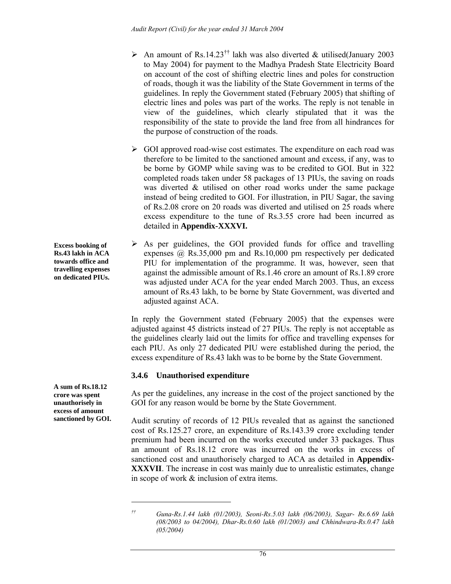- $\triangleright$  An amount of Rs.14.23<sup>††</sup> lakh was also diverted & utilised(January 2003) to May 2004) for payment to the Madhya Pradesh State Electricity Board on account of the cost of shifting electric lines and poles for construction of roads, though it was the liability of the State Government in terms of the guidelines. In reply the Government stated (February 2005) that shifting of electric lines and poles was part of the works. The reply is not tenable in view of the guidelines, which clearly stipulated that it was the responsibility of the state to provide the land free from all hindrances for the purpose of construction of the roads.
- $\triangleright$  GOI approved road-wise cost estimates. The expenditure on each road was therefore to be limited to the sanctioned amount and excess, if any, was to be borne by GOMP while saving was to be credited to GOI. But in 322 completed roads taken under 58 packages of 13 PIUs, the saving on roads was diverted & utilised on other road works under the same package instead of being credited to GOI. For illustration, in PIU Sagar, the saving of Rs.2.08 crore on 20 roads was diverted and utilised on 25 roads where excess expenditure to the tune of Rs.3.55 crore had been incurred as detailed in **Appendix-XXXVI.**
- $\triangleright$  As per guidelines, the GOI provided funds for office and travelling expenses @ Rs.35,000 pm and Rs.10,000 pm respectively per dedicated PIU for implementation of the programme. It was, however, seen that against the admissible amount of Rs.1.46 crore an amount of Rs.1.89 crore was adjusted under ACA for the year ended March 2003. Thus, an excess amount of Rs.43 lakh, to be borne by State Government, was diverted and adjusted against ACA.

In reply the Government stated (February 2005) that the expenses were adjusted against 45 districts instead of 27 PIUs. The reply is not acceptable as the guidelines clearly laid out the limits for office and travelling expenses for each PIU. As only 27 dedicated PIU were established during the period, the excess expenditure of Rs.43 lakh was to be borne by the State Government.

# **3.4.6 Unauthorised expenditure**

As per the guidelines, any increase in the cost of the project sanctioned by the GOI for any reason would be borne by the State Government.

Audit scrutiny of records of 12 PIUs revealed that as against the sanctioned cost of Rs.125.27 crore, an expenditure of Rs.143.39 crore excluding tender premium had been incurred on the works executed under 33 packages. Thus an amount of Rs.18.12 crore was incurred on the works in excess of sanctioned cost and unauthorisely charged to ACA as detailed in **Appendix-XXXVII**. The increase in cost was mainly due to unrealistic estimates, change in scope of work & inclusion of extra items.

**Excess booking of Rs.43 lakh in ACA towards office and travelling expenses on dedicated PIUs.** 

**A sum of Rs.18.12 crore was spent unauthorisely in excess of amount sanctioned by GOI.** 

 $\overline{a}$ 

*<sup>††</sup> Guna-Rs.1.44 lakh (01/2003), Seoni-Rs.5.03 lakh (06/2003), Sagar- Rs.6.69 lakh (08/2003 to 04/2004), Dhar-Rs.0.60 lakh (01/2003) and Chhindwara-Rs.0.47 lakh (05/2004)*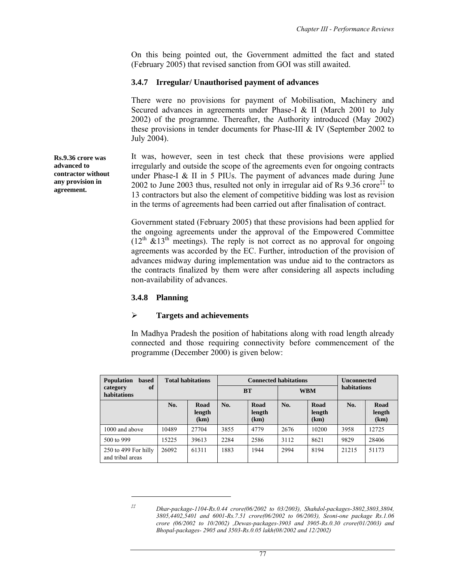On this being pointed out, the Government admitted the fact and stated (February 2005) that revised sanction from GOI was still awaited.

### **3.4.7 Irregular/ Unauthorised payment of advances**

There were no provisions for payment of Mobilisation, Machinery and Secured advances in agreements under Phase-I & II (March 2001 to July 2002) of the programme. Thereafter, the Authority introduced (May 2002) these provisions in tender documents for Phase-III & IV (September 2002 to July 2004).

It was, however, seen in test check that these provisions were applied irregularly and outside the scope of the agreements even for ongoing contracts under Phase-I & II in 5 PIUs. The payment of advances made during June 2002 to June 2003 thus, resulted not only in irregular aid of Rs  $9.36$  crore<sup> $\ddagger\ddagger$ </sup> to 13 contractors but also the element of competitive bidding was lost as revision in the terms of agreements had been carried out after finalisation of contract.

Government stated (February 2005) that these provisions had been applied for the ongoing agreements under the approval of the Empowered Committee  $(12<sup>th</sup> \& 13<sup>th</sup>$  meetings). The reply is not correct as no approval for ongoing agreements was accorded by the EC. Further, introduction of the provision of advances midway during implementation was undue aid to the contractors as the contracts finalized by them were after considering all aspects including non-availability of advances.

### **3.4.8 Planning**

 $\overline{a}$ 

#### ¾ **Targets and achievements**

In Madhya Pradesh the position of habitations along with road length already connected and those requiring connectivity before commencement of the programme (December 2000) is given below:

| <b>Population</b><br><b>based</b>        |       | <b>Total habitations</b> |           | <b>Connected habitations</b> |            | <b>Unconnected</b>     |             |                        |
|------------------------------------------|-------|--------------------------|-----------|------------------------------|------------|------------------------|-------------|------------------------|
| of<br>category<br>habitations            |       |                          | <b>BT</b> |                              | <b>WBM</b> |                        | habitations |                        |
|                                          | No.   | Road<br>length<br>(km)   | No.       | Road<br>length<br>(km)       | No.        | Road<br>length<br>(km) | No.         | Road<br>length<br>(km) |
| 1000 and above                           | 10489 | 27704                    | 3855      | 4779                         | 2676       | 10200                  | 3958        | 12725                  |
| 500 to 999                               | 15225 | 39613                    | 2284      | 2586                         | 3112       | 8621                   | 9829        | 28406                  |
| 250 to 499 For hilly<br>and tribal areas | 26092 | 61311                    | 1883      | 1944                         | 2994       | 8194                   | 21215       | 51173                  |

**Rs.9.36 crore was advanced to contractor without any provision in agreement.** 

*<sup>‡‡</sup> Dhar-package-1104-Rs.0.44 crore(06/2002 to 03/2003), Shahdol-packages-3802,3803,3804, 3805,4402,5401 and 6001-Rs.7.51 crore(06/2002 to 06/2003), Seoni-one package Rs.1.06 crore (06/2002 to 10/2002) ,Dewas-packages-3903 and 3905-Rs.0.30 crore(01/2003) and Bhopal-packages- 2905 and 3503-Rs.0.05 lakh(08/2002 and 12/2002)*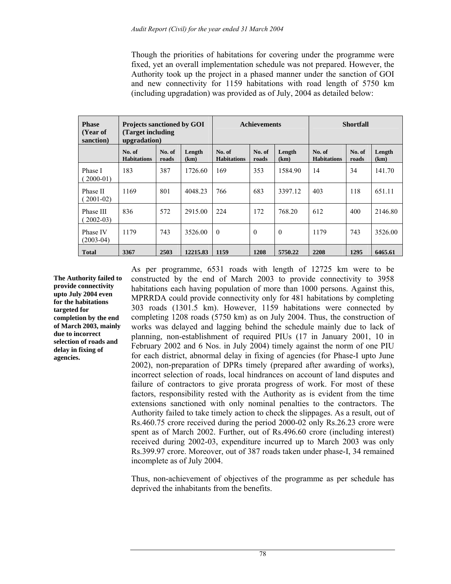Though the priorities of habitations for covering under the programme were fixed, yet an overall implementation schedule was not prepared. However, the Authority took up the project in a phased manner under the sanction of GOI and new connectivity for 1159 habitations with road length of 5750 km (including upgradation) was provided as of July, 2004 as detailed below:

| <b>Phase</b><br>(Year of<br>sanction) | <b>Projects sanctioned by GOI</b><br>(Target including)<br>upgradation) |                 |                | <b>Achievements</b>          |                 |                | <b>Shortfall</b>             |                 |                |
|---------------------------------------|-------------------------------------------------------------------------|-----------------|----------------|------------------------------|-----------------|----------------|------------------------------|-----------------|----------------|
|                                       | No. of<br><b>Habitations</b>                                            | No. of<br>roads | Length<br>(km) | No. of<br><b>Habitations</b> | No. of<br>roads | Length<br>(km) | No. of<br><b>Habitations</b> | No. of<br>roads | Length<br>(km) |
| Phase I<br>$(2000-01)$                | 183                                                                     | 387             | 1726.60        | 169                          | 353             | 1584.90        | 14                           | 34              | 141.70         |
| Phase II<br>$(2001-02)$               | 1169                                                                    | 801             | 4048.23        | 766                          | 683             | 3397.12        | 403                          | 118             | 651.11         |
| Phase III<br>$(2002-03)$              | 836                                                                     | 572             | 2915.00        | 224                          | 172             | 768.20         | 612                          | 400             | 2146.80        |
| Phase IV<br>$(2003-04)$               | 1179                                                                    | 743             | 3526.00        | $\theta$                     | $\Omega$        | $\theta$       | 1179                         | 743             | 3526.00        |
| <b>Total</b>                          | 3367                                                                    | 2503            | 12215.83       | 1159                         | 1208            | 5750.22        | 2208                         | 1295            | 6465.61        |

**The Authority failed to provide connectivity upto July 2004 even for the habitations targeted for completion by the end of March 2003, mainly due to incorrect selection of roads and delay in fixing of agencies.** 

As per programme, 6531 roads with length of 12725 km were to be constructed by the end of March 2003 to provide connectivity to 3958 habitations each having population of more than 1000 persons. Against this, MPRRDA could provide connectivity only for 481 habitations by completing 303 roads (1301.5 km). However, 1159 habitations were connected by completing 1208 roads (5750 km) as on July 2004. Thus, the construction of works was delayed and lagging behind the schedule mainly due to lack of planning, non-establishment of required PIUs (17 in January 2001, 10 in February 2002 and 6 Nos. in July 2004) timely against the norm of one PIU for each district, abnormal delay in fixing of agencies (for Phase-I upto June 2002), non-preparation of DPRs timely (prepared after awarding of works), incorrect selection of roads, local hindrances on account of land disputes and failure of contractors to give prorata progress of work. For most of these factors, responsibility rested with the Authority as is evident from the time extensions sanctioned with only nominal penalties to the contractors. The Authority failed to take timely action to check the slippages. As a result, out of Rs.460.75 crore received during the period 2000-02 only Rs.26.23 crore were spent as of March 2002. Further, out of Rs.496.60 crore (including interest) received during 2002-03, expenditure incurred up to March 2003 was only Rs.399.97 crore. Moreover, out of 387 roads taken under phase-I, 34 remained incomplete as of July 2004.

Thus, non-achievement of objectives of the programme as per schedule has deprived the inhabitants from the benefits.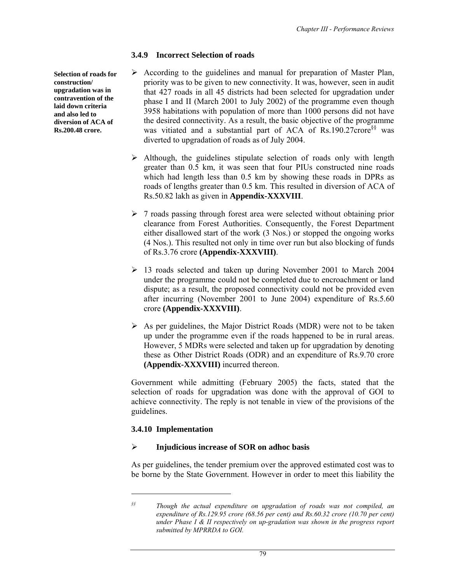## **3.4.9 Incorrect Selection of roads**

- $\triangleright$  According to the guidelines and manual for preparation of Master Plan, priority was to be given to new connectivity. It was, however, seen in audit that 427 roads in all 45 districts had been selected for upgradation under phase I and II (March 2001 to July 2002) of the programme even though 3958 habitations with population of more than 1000 persons did not have the desired connectivity. As a result, the basic objective of the programme was vitiated and a substantial part of ACA of Rs.190.27crore<sup>§§</sup> was diverted to upgradation of roads as of July 2004.
	- $\triangleright$  Although, the guidelines stipulate selection of roads only with length greater than 0.5 km, it was seen that four PIUs constructed nine roads which had length less than  $0.5$  km by showing these roads in DPRs as roads of lengths greater than 0.5 km. This resulted in diversion of ACA of Rs.50.82 lakh as given in **Appendix-XXXVIII**.
	- $\triangleright$  7 roads passing through forest area were selected without obtaining prior clearance from Forest Authorities. Consequently, the Forest Department either disallowed start of the work (3 Nos.) or stopped the ongoing works (4 Nos.). This resulted not only in time over run but also blocking of funds of Rs.3.76 crore **(Appendix-XXXVIII)**.
	- $\geq$  13 roads selected and taken up during November 2001 to March 2004 under the programme could not be completed due to encroachment or land dispute; as a result, the proposed connectivity could not be provided even after incurring (November 2001 to June 2004) expenditure of Rs.5.60 crore **(Appendix-XXXVIII)**.
	- $\triangleright$  As per guidelines, the Major District Roads (MDR) were not to be taken up under the programme even if the roads happened to be in rural areas. However, 5 MDRs were selected and taken up for upgradation by denoting these as Other District Roads (ODR) and an expenditure of Rs.9.70 crore **(Appendix-XXXVIII)** incurred thereon.

Government while admitting (February 2005) the facts, stated that the selection of roads for upgradation was done with the approval of GOI to achieve connectivity. The reply is not tenable in view of the provisions of the guidelines.

### **3.4.10 Implementation**

 $\overline{\phantom{a}}$ 

### ¾ **Injudicious increase of SOR on adhoc basis**

As per guidelines, the tender premium over the approved estimated cost was to be borne by the State Government. However in order to meet this liability the

**Selection of roads for construction/ upgradation was in contravention of the laid down criteria and also led to diversion of ACA of Rs.200.48 crore.** 

*<sup>§§</sup> Though the actual expenditure on upgradation of roads was not compiled, an expenditure of Rs.129.95 crore (68.56 per cent) and Rs.60.32 crore (10.70 per cent) under Phase I & II respectively on up-gradation was shown in the progress report submitted by MPRRDA to GOI.*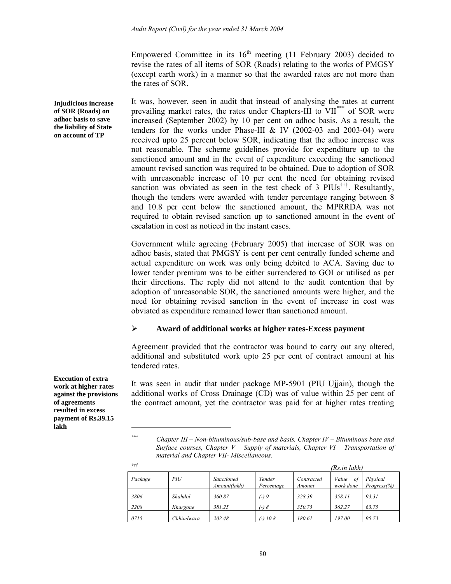Empowered Committee in its  $16<sup>th</sup>$  meeting (11 February 2003) decided to revise the rates of all items of SOR (Roads) relating to the works of PMGSY (except earth work) in a manner so that the awarded rates are not more than the rates of SOR.

It was, however, seen in audit that instead of analysing the rates at current prevailing market rates, the rates under Chapters-III to VII\*\*\* of SOR were increased (September 2002) by 10 per cent on adhoc basis. As a result, the tenders for the works under Phase-III & IV (2002-03 and 2003-04) were received upto 25 percent below SOR, indicating that the adhoc increase was not reasonable. The scheme guidelines provide for expenditure up to the sanctioned amount and in the event of expenditure exceeding the sanctioned amount revised sanction was required to be obtained. Due to adoption of SOR with unreasonable increase of 10 per cent the need for obtaining revised sanction was obviated as seen in the test check of 3  $PIUs<sup>†††</sup>$ . Resultantly, though the tenders were awarded with tender percentage ranging between 8 and 10.8 per cent below the sanctioned amount, the MPRRDA was not required to obtain revised sanction up to sanctioned amount in the event of escalation in cost as noticed in the instant cases.

Government while agreeing (February 2005) that increase of SOR was on adhoc basis, stated that PMGSY is cent per cent centrally funded scheme and actual expenditure on work was only being debited to ACA. Saving due to lower tender premium was to be either surrendered to GOI or utilised as per their directions. The reply did not attend to the audit contention that by adoption of unreasonable SOR, the sanctioned amounts were higher, and the need for obtaining revised sanction in the event of increase in cost was obviated as expenditure remained lower than sanctioned amount.

### ¾ **Award of additional works at higher rates-Excess payment**

Agreement provided that the contractor was bound to carry out any altered, additional and substituted work upto 25 per cent of contract amount at his tendered rates.

It was seen in audit that under package MP-5901 (PIU Ujjain), though the additional works of Cross Drainage (CD) was of value within 25 per cent of the contract amount, yet the contractor was paid for at higher rates treating

*\*\*\* Chapter III – Non-bituminous/sub-base and basis, Chapter IV – Bituminous base and Surface courses, Chapter V – Supply of materials, Chapter VI – Transportation of material and Chapter VII- Miscellaneous.* 

| $^{\dagger\dagger\dagger}$ | (Rs.in lakh) |                            |                      |                      |                          |                         |
|----------------------------|--------------|----------------------------|----------------------|----------------------|--------------------------|-------------------------|
| Package                    | PIU          | Sanctioned<br>Amount(lakh) | Tender<br>Percentage | Contracted<br>Amount | Value<br>οf<br>work done | Physical<br>Progress(%) |
| 3806                       | Shahdol      | 360.87                     | $(-)9$               | 328.39               | 358.11                   | 93.31                   |
| 2208                       | Khargone     | 381.25                     | $(-) 8$              | 350.75               | 362.27                   | 63.75                   |
| 0715                       | Chhindwara   | 202.48                     | $(-)$ 10.8           | 180.61               | 197.00                   | 95.73                   |

**Execution of extra work at higher rates against the provisions of agreements resulted in excess payment of Rs.39.15 lakh** 

**Injudicious increase of SOR (Roads) on adhoc basis to save the liability of State on account of TP** 

 $\overline{\phantom{a}}$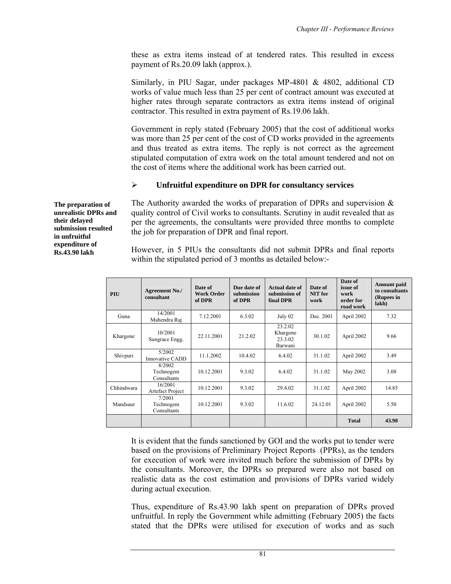these as extra items instead of at tendered rates. This resulted in excess payment of Rs.20.09 lakh (approx.).

Similarly, in PIU Sagar, under packages MP-4801 & 4802, additional CD works of value much less than 25 per cent of contract amount was executed at higher rates through separate contractors as extra items instead of original contractor. This resulted in extra payment of Rs.19.06 lakh.

Government in reply stated (February 2005) that the cost of additional works was more than 25 per cent of the cost of CD works provided in the agreements and thus treated as extra items. The reply is not correct as the agreement stipulated computation of extra work on the total amount tendered and not on the cost of items where the additional work has been carried out.

# ¾ **Unfruitful expenditure on DPR for consultancy services**

The Authority awarded the works of preparation of DPRs and supervision  $\&$ quality control of Civil works to consultants. Scrutiny in audit revealed that as per the agreements, the consultants were provided three months to complete the job for preparation of DPR and final report.

However, in 5 PIUs the consultants did not submit DPRs and final reports within the stipulated period of 3 months as detailed below:-

| PIU        | <b>Agreement No./</b><br>consultant | Date of<br>Work Order<br>of DPR | Due date of<br>submission<br>of DPR | Actual date of<br>submission of<br>final DPR | Date of<br>NIT for<br>work | Date of<br>issue of<br>work<br>order for<br>road work | Amount paid<br>to consultants<br>(Rupees in<br>lakh) |
|------------|-------------------------------------|---------------------------------|-------------------------------------|----------------------------------------------|----------------------------|-------------------------------------------------------|------------------------------------------------------|
| Guna       | 14/2001<br>Mahendra Raj             | 7.12.2001                       | 6.3.02                              | July 02                                      | Dec. 2001                  | April 2002                                            | 7.32                                                 |
| Khargone   | 10/2001<br>Sungrace Engg.           | 22.11.2001                      | 21.2.02                             | 23.2.02<br>Khargone<br>23.3.02<br>Barwani    | 30.1.02                    | April 2002                                            | 9.66                                                 |
| Shivpuri   | 5/2002<br><b>Innovative CADD</b>    | 11.1.2002                       | 10.4.02                             | 6.4.02                                       | 31.1.02                    | April 2002                                            | 3.49                                                 |
|            | 8/2002<br>Technogem<br>Consultants  | 10.12.2001                      | 9.3.02                              | 6.4.02                                       | 31.1.02                    | May 2002                                              | 3.08                                                 |
| Chhindwara | 16/2001<br>Artefact Project         | 10.12.2001                      | 9.3.02                              | 29.4.02                                      | 31.1.02                    | April 2002                                            | 14.85                                                |
| Mandsaur   | 7/2001<br>Technogem<br>Consultants  | 10.12.2001                      | 9.3.02                              | 11.6.02                                      | 24.12.01                   | April 2002                                            | 5.50                                                 |
|            |                                     |                                 |                                     |                                              |                            | <b>Total</b>                                          | 43.90                                                |

It is evident that the funds sanctioned by GOI and the works put to tender were based on the provisions of Preliminary Project Reports (PPRs), as the tenders for execution of work were invited much before the submission of DPRs by the consultants. Moreover, the DPRs so prepared were also not based on realistic data as the cost estimation and provisions of DPRs varied widely during actual execution.

Thus, expenditure of Rs.43.90 lakh spent on preparation of DPRs proved unfruitful. In reply the Government while admitting (February 2005) the facts stated that the DPRs were utilised for execution of works and as such

**The preparation of unrealistic DPRs and their delayed submission resulted in unfruitful expenditure of Rs.43.90 lakh**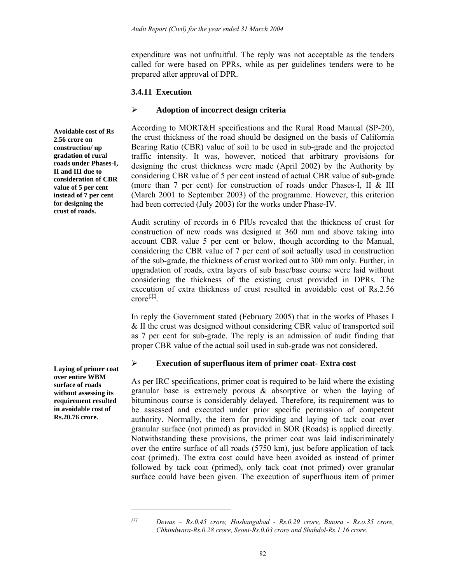expenditure was not unfruitful. The reply was not acceptable as the tenders called for were based on PPRs, while as per guidelines tenders were to be prepared after approval of DPR.

#### **3.4.11 Execution**

### ¾ **Adoption of incorrect design criteria**

According to MORT&H specifications and the Rural Road Manual (SP-20), the crust thickness of the road should be designed on the basis of California Bearing Ratio (CBR) value of soil to be used in sub-grade and the projected traffic intensity. It was, however, noticed that arbitrary provisions for designing the crust thickness were made (April 2002) by the Authority by considering CBR value of 5 per cent instead of actual CBR value of sub-grade (more than 7 per cent) for construction of roads under Phases-I, II & III (March 2001 to September 2003) of the programme. However, this criterion had been corrected (July 2003) for the works under Phase-IV.

Audit scrutiny of records in 6 PIUs revealed that the thickness of crust for construction of new roads was designed at 360 mm and above taking into account CBR value 5 per cent or below, though according to the Manual, considering the CBR value of 7 per cent of soil actually used in construction of the sub-grade, the thickness of crust worked out to 300 mm only. Further, in upgradation of roads, extra layers of sub base/base course were laid without considering the thickness of the existing crust provided in DPRs. The execution of extra thickness of crust resulted in avoidable cost of Rs.2.56 crore‡‡‡.

In reply the Government stated (February 2005) that in the works of Phases I & II the crust was designed without considering CBR value of transported soil as 7 per cent for sub-grade. The reply is an admission of audit finding that proper CBR value of the actual soil used in sub-grade was not considered.

### ¾ **Execution of superfluous item of primer coat- Extra cost**

As per IRC specifications, primer coat is required to be laid where the existing granular base is extremely porous & absorptive or when the laying of bituminous course is considerably delayed. Therefore, its requirement was to be assessed and executed under prior specific permission of competent authority. Normally, the item for providing and laying of tack coat over granular surface (not primed) as provided in SOR (Roads) is applied directly. Notwithstanding these provisions, the primer coat was laid indiscriminately over the entire surface of all roads (5750 km), just before application of tack coat (primed). The extra cost could have been avoided as instead of primer followed by tack coat (primed), only tack coat (not primed) over granular surface could have been given. The execution of superfluous item of primer

**Avoidable cost of Rs 2.56 crore on construction/ up gradation of rural roads under Phases-I, II and III due to consideration of CBR value of 5 per cent instead of 7 per cent for designing the crust of roads.** 

**over entire WBM surface of roads without assessing its requirement resulted in avoidable cost of Rs.20.76 crore.** 

**Laying of primer coat** 

 $\overline{a}$ 

*<sup>‡‡‡</sup> Dewas – Rs.0.45 crore, Hoshangabad - Rs.0.29 crore, Biaora - Rs.o.35 crore, Chhindwara-Rs.0.28 crore, Seoni-Rs.0.03 crore and Shahdol-Rs.1.16 crore.*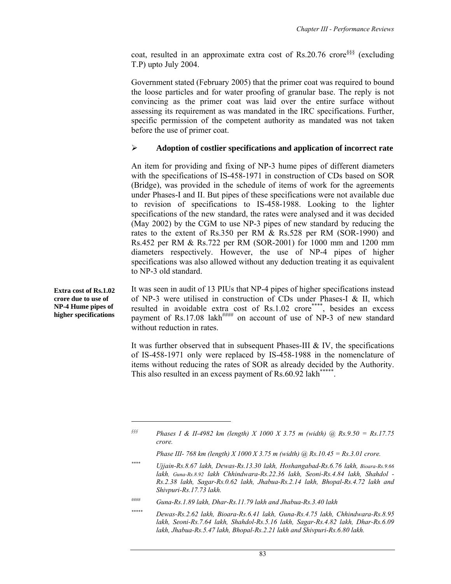coat, resulted in an approximate extra cost of Rs.20.76 crore§§§ (excluding T.P) upto July 2004.

Government stated (February 2005) that the primer coat was required to bound the loose particles and for water proofing of granular base. The reply is not convincing as the primer coat was laid over the entire surface without assessing its requirement as was mandated in the IRC specifications. Further, specific permission of the competent authority as mandated was not taken before the use of primer coat.

### ¾ **Adoption of costlier specifications and application of incorrect rate**

An item for providing and fixing of NP-3 hume pipes of different diameters with the specifications of IS-458-1971 in construction of CDs based on SOR (Bridge), was provided in the schedule of items of work for the agreements under Phases-I and II. But pipes of these specifications were not available due to revision of specifications to IS-458-1988. Looking to the lighter specifications of the new standard, the rates were analysed and it was decided (May 2002) by the CGM to use NP-3 pipes of new standard by reducing the rates to the extent of Rs.350 per RM & Rs.528 per RM (SOR-1990) and Rs.452 per RM & Rs.722 per RM (SOR-2001) for 1000 mm and 1200 mm diameters respectively. However, the use of NP-4 pipes of higher specifications was also allowed without any deduction treating it as equivalent to NP-3 old standard.

It was seen in audit of 13 PIUs that NP-4 pipes of higher specifications instead of NP-3 were utilised in construction of CDs under Phases-I & II, which resulted in avoidable extra cost of Rs.1.02 crore\*\*\*\*, besides an excess payment of Rs.17.08 lakh<sup>####</sup> on account of use of NP-3 of new standard without reduction in rates.

It was further observed that in subsequent Phases-III & IV, the specifications of IS-458-1971 only were replaced by IS-458-1988 in the nomenclature of items without reducing the rates of SOR as already decided by the Authority. This also resulted in an excess payment of Rs.60.92 lakh<sup>\*\*\*\*\*</sup>.

*§§§ Phases I & II-4982 km (length) X 1000 X 3.75 m (width) @ Rs.9.50 = Rs.17.75 crore.* 

*#### Guna-Rs.1.89 lakh, Dhar-Rs.11.79 lakh and Jhabua-Rs.3.40 lakh* 

**Extra cost of Rs.1.02 crore due to use of NP-4 Hume pipes of higher specifications** 

 $\overline{a}$ 

*Phase III- 768 km (length) X 1000 X 3.75 m (width) @ Rs.10.45 = Rs.3.01 crore.* 

*<sup>\*\*\*\*</sup> Ujjain-Rs.8.67 lakh, Dewas-Rs.13.30 lakh, Hoshangabad-Rs.6.76 lakh, Bioara-Rs.9.66 lakh, Guna-Rs.8.92 lakh Chhindwara-Rs.22.36 lakh, Seoni-Rs.4.84 lakh, Shahdol - Rs.2.38 lakh, Sagar-Rs.0.62 lakh, Jhabua-Rs.2.14 lakh, Bhopal-Rs.4.72 lakh and Shivpuri-Rs.17.73 lakh.* 

*<sup>\*\*\*\*\*</sup> Dewas-Rs.2.62 lakh, Bioara-Rs.6.41 lakh, Guna-Rs.4.75 lakh, Chhindwara-Rs.8.95 lakh, Seoni-Rs.7.64 lakh, Shahdol-Rs.5.16 lakh, Sagar-Rs.4.82 lakh, Dhar-Rs.6.09 lakh, Jhabua-Rs.5.47 lakh, Bhopal-Rs.2.21 lakh and Shivpuri-Rs.6.80 lakh.*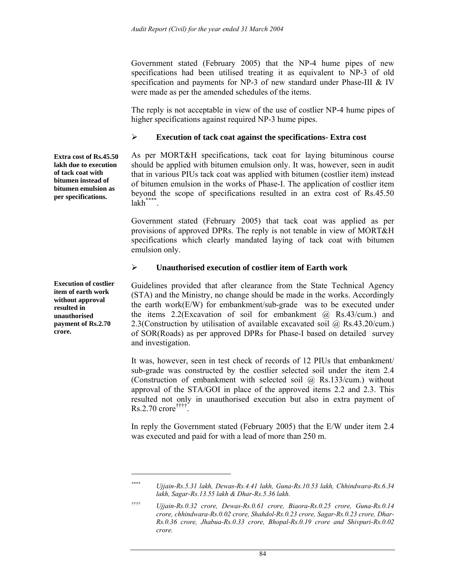Government stated (February 2005) that the NP-4 hume pipes of new specifications had been utilised treating it as equivalent to NP-3 of old specification and payments for NP-3 of new standard under Phase-III & IV were made as per the amended schedules of the items.

The reply is not acceptable in view of the use of costlier NP-4 hume pipes of higher specifications against required NP-3 hume pipes.

### ¾ **Execution of tack coat against the specifications- Extra cost**

As per MORT&H specifications, tack coat for laying bituminous course should be applied with bitumen emulsion only. It was, however, seen in audit that in various PIUs tack coat was applied with bitumen (costlier item) instead of bitumen emulsion in the works of Phase-I. The application of costlier item beyond the scope of specifications resulted in an extra cost of Rs.45.50  $lakh$ \*\*\*\*.

Government stated (February 2005) that tack coat was applied as per provisions of approved DPRs. The reply is not tenable in view of MORT&H specifications which clearly mandated laying of tack coat with bitumen emulsion only.

### ¾ **Unauthorised execution of costlier item of Earth work**

Guidelines provided that after clearance from the State Technical Agency (STA) and the Ministry, no change should be made in the works. Accordingly the earth work(E/W) for embankment/sub-grade was to be executed under the items  $2.2$ (Excavation of soil for embankment  $(a)$ , Rs.43/cum.) and 2.3(Construction by utilisation of available excavated soil @ Rs.43.20/cum.) of SOR(Roads) as per approved DPRs for Phase-I based on detailed survey and investigation.

It was, however, seen in test check of records of 12 PIUs that embankment/ sub-grade was constructed by the costlier selected soil under the item 2.4 (Construction of embankment with selected soil  $\omega$  Rs.133/cum.) without approval of the STA/GOI in place of the approved items 2.2 and 2.3. This resulted not only in unauthorised execution but also in extra payment of Rs.2.70 crore††††.

In reply the Government stated (February 2005) that the E/W under item 2.4 was executed and paid for with a lead of more than 250 m.

**Extra cost of Rs.45.50 lakh due to execution of tack coat with bitumen instead of bitumen emulsion as per specifications.** 

**Execution of costlier item of earth work without approval resulted in unauthorised payment of Rs.2.70 crore.** 

 $\overline{\phantom{a}}$ 

*<sup>\*\*\*\*</sup> Ujjain-Rs.5.31 lakh, Dewas-Rs.4.41 lakh, Guna-Rs.10.53 lakh, Chhindwara-Rs.6.34 lakh, Sagar-Rs.13.55 lakh & Dhar-Rs.5.36 lakh.* 

*<sup>††††</sup> Ujjain-Rs.0.32 crore, Dewas-Rs.0.61 crore, Biaora-Rs.0.25 crore, Guna-Rs.0.14 crore, chhindwara-Rs.0.02 crore, Shahdol-Rs.0.23 crore, Sagar-Rs.0.23 crore, Dhar-Rs.0.36 crore, Jhabua-Rs.0.33 crore, Bhopal-Rs.0.19 crore and Shivpuri-Rs.0.02 crore.*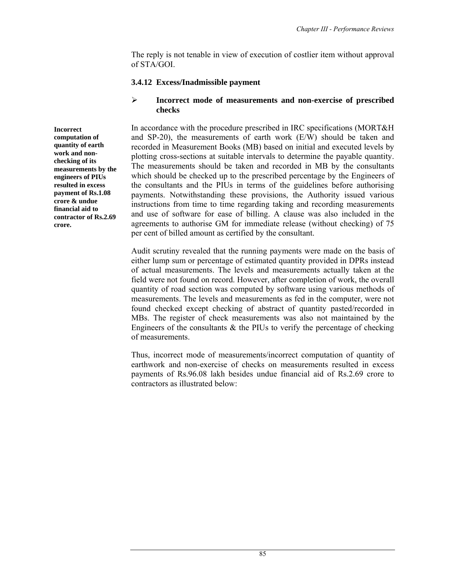The reply is not tenable in view of execution of costlier item without approval of STA/GOI.

## **3.4.12 Excess/Inadmissible payment**

## ¾ **Incorrect mode of measurements and non-exercise of prescribed checks**

In accordance with the procedure prescribed in IRC specifications (MORT&H and SP-20), the measurements of earth work (E/W) should be taken and recorded in Measurement Books (MB) based on initial and executed levels by plotting cross-sections at suitable intervals to determine the payable quantity. The measurements should be taken and recorded in MB by the consultants which should be checked up to the prescribed percentage by the Engineers of the consultants and the PIUs in terms of the guidelines before authorising payments. Notwithstanding these provisions, the Authority issued various instructions from time to time regarding taking and recording measurements and use of software for ease of billing. A clause was also included in the agreements to authorise GM for immediate release (without checking) of 75 per cent of billed amount as certified by the consultant.

Audit scrutiny revealed that the running payments were made on the basis of either lump sum or percentage of estimated quantity provided in DPRs instead of actual measurements. The levels and measurements actually taken at the field were not found on record. However, after completion of work, the overall quantity of road section was computed by software using various methods of measurements. The levels and measurements as fed in the computer, were not found checked except checking of abstract of quantity pasted/recorded in MBs. The register of check measurements was also not maintained by the Engineers of the consultants  $\&$  the PIUs to verify the percentage of checking of measurements.

Thus, incorrect mode of measurements/incorrect computation of quantity of earthwork and non-exercise of checks on measurements resulted in excess payments of Rs.96.08 lakh besides undue financial aid of Rs.2.69 crore to contractors as illustrated below:

**Incorrect computation of quantity of earth work and nonchecking of its measurements by the engineers of PIUs resulted in excess payment of Rs.1.08 crore & undue financial aid to contractor of Rs.2.69 crore.**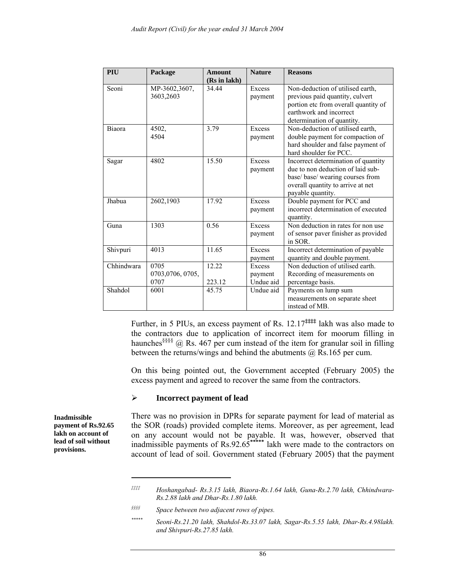| PIU        | Package                         | <b>Amount</b><br>(Rs in lakh) | <b>Nature</b>                  | <b>Reasons</b>                                                                                                                                                         |
|------------|---------------------------------|-------------------------------|--------------------------------|------------------------------------------------------------------------------------------------------------------------------------------------------------------------|
| Seoni      | MP-3602,3607,<br>3603,2603      | 34.44                         | Excess<br>payment              | Non-deduction of utilised earth.<br>previous paid quantity, culvert<br>portion etc from overall quantity of<br>earthwork and incorrect<br>determination of quantity.   |
| Biaora     | 4502,<br>4504                   | 3.79                          | Excess<br>payment              | Non-deduction of utilised earth,<br>double payment for compaction of<br>hard shoulder and false payment of<br>hard shoulder for PCC.                                   |
| Sagar      | 4802                            | 15.50                         | Excess<br>payment              | Incorrect determination of quantity<br>due to non deduction of laid sub-<br>base/ base/ wearing courses from<br>overall quantity to arrive at net<br>payable quantity. |
| Jhabua     | 2602,1903                       | 17.92                         | Excess<br>payment              | Double payment for PCC and<br>incorrect determination of executed<br>quantity.                                                                                         |
| Guna       | 1303                            | 0.56                          | Excess<br>payment              | Non deduction in rates for non use<br>of sensor paver finisher as provided<br>in SOR.                                                                                  |
| Shivpuri   | 4013                            | 11.65                         | Excess<br>payment              | Incorrect determination of payable<br>quantity and double payment.                                                                                                     |
| Chhindwara | 0705<br>0703,0706,0705,<br>0707 | 12.22<br>223.12               | Excess<br>payment<br>Undue aid | Non deduction of utilised earth.<br>Recording of measurements on<br>percentage basis.                                                                                  |
| Shahdol    | 6001                            | 45.75                         | Undue aid                      | Payments on lump sum<br>measurements on separate sheet<br>instead of MB.                                                                                               |

Further, in 5 PIUs, an excess payment of Rs. 12.17**‡‡‡‡** lakh was also made to the contractors due to application of incorrect item for moorum filling in haunches<sup>§§§§</sup> @ Rs. 467 per cum instead of the item for granular soil in filling between the returns/wings and behind the abutments @ Rs.165 per cum.

On this being pointed out, the Government accepted (February 2005) the excess payment and agreed to recover the same from the contractors.

#### ¾ **Incorrect payment of lead**

There was no provision in DPRs for separate payment for lead of material as the SOR (roads) provided complete items. Moreover, as per agreement, lead on any account would not be payable. It was, however, observed that inadmissible payments of  $Rs.92.65***$ <sup>\*\*\*\*\*\*</sup> lakh were made to the contractors on account of lead of soil. Government stated (February 2005) that the payment

*§§§§ Space between two adjacent rows of pipes.* 

**Inadmissible payment of Rs.92.65 lakh on account of lead of soil without provisions.** 

 $\overline{\phantom{a}}$ 

*<sup>‡‡‡‡</sup> Hoshangabad- Rs.3.15 lakh, Biaora-Rs.1.64 lakh, Guna-Rs.2.70 lakh, Chhindwara-Rs.2.88 lakh and Dhar-Rs.1.80 lakh.* 

*<sup>\*\*\*\*\*</sup> Seoni-Rs.21.20 lakh, Shahdol-Rs.33.07 lakh, Sagar-Rs.5.55 lakh, Dhar-Rs.4.98lakh. and Shivpuri-Rs.27.85 lakh.*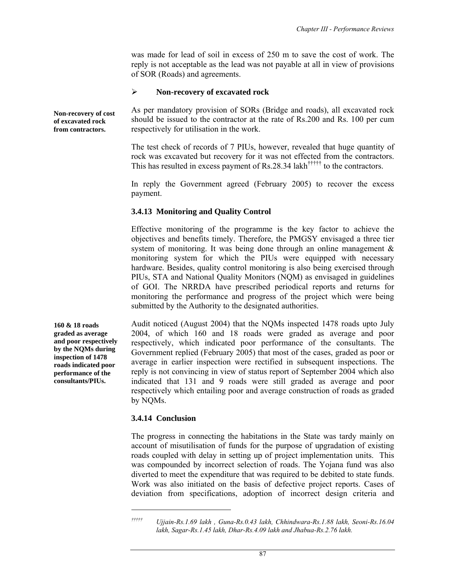was made for lead of soil in excess of 250 m to save the cost of work. The reply is not acceptable as the lead was not payable at all in view of provisions of SOR (Roads) and agreements.

#### ¾ **Non-recovery of excavated rock**

**Non-recovery of cost of excavated rock from contractors.** 

As per mandatory provision of SORs (Bridge and roads), all excavated rock should be issued to the contractor at the rate of Rs.200 and Rs. 100 per cum respectively for utilisation in the work.

The test check of records of 7 PIUs, however, revealed that huge quantity of rock was excavated but recovery for it was not effected from the contractors. This has resulted in excess payment of Rs.28.34 lakh††††† to the contractors.

In reply the Government agreed (February 2005) to recover the excess payment.

#### **3.4.13 Monitoring and Quality Control**

Effective monitoring of the programme is the key factor to achieve the objectives and benefits timely. Therefore, the PMGSY envisaged a three tier system of monitoring. It was being done through an online management & monitoring system for which the PIUs were equipped with necessary hardware. Besides, quality control monitoring is also being exercised through PIUs, STA and National Quality Monitors (NQM) as envisaged in guidelines of GOI. The NRRDA have prescribed periodical reports and returns for monitoring the performance and progress of the project which were being submitted by the Authority to the designated authorities.

**160 & 18 roads graded as average and poor respectively by the NQMs during inspection of 1478 roads indicated poor performance of the consultants/PIUs.** 

Audit noticed (August 2004) that the NQMs inspected 1478 roads upto July 2004, of which 160 and 18 roads were graded as average and poor respectively, which indicated poor performance of the consultants. The Government replied (February 2005) that most of the cases, graded as poor or average in earlier inspection were rectified in subsequent inspections. The reply is not convincing in view of status report of September 2004 which also indicated that 131 and 9 roads were still graded as average and poor respectively which entailing poor and average construction of roads as graded by NQMs.

#### **3.4.14 Conclusion**

 $\overline{a}$ 

The progress in connecting the habitations in the State was tardy mainly on account of misutilisation of funds for the purpose of upgradation of existing roads coupled with delay in setting up of project implementation units. This was compounded by incorrect selection of roads. The Yojana fund was also diverted to meet the expenditure that was required to be debited to state funds. Work was also initiated on the basis of defective project reports. Cases of deviation from specifications, adoption of incorrect design criteria and

*<sup>†††††</sup> Ujjain-Rs.1.69 lakh , Guna-Rs.0.43 lakh, Chhindwara-Rs.1.88 lakh, Seoni-Rs.16.04 lakh, Sagar-Rs.1.45 lakh, Dhar-Rs.4.09 lakh and Jhabua-Rs.2.76 lakh.*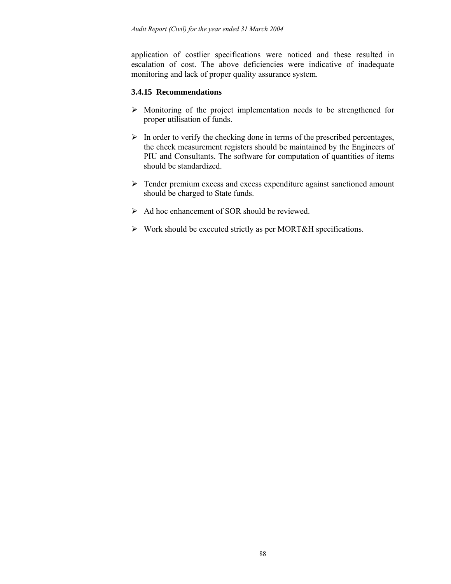application of costlier specifications were noticed and these resulted in escalation of cost. The above deficiencies were indicative of inadequate monitoring and lack of proper quality assurance system.

## **3.4.15 Recommendations**

- $\triangleright$  Monitoring of the project implementation needs to be strengthened for proper utilisation of funds.
- $\triangleright$  In order to verify the checking done in terms of the prescribed percentages, the check measurement registers should be maintained by the Engineers of PIU and Consultants. The software for computation of quantities of items should be standardized.
- ¾ Tender premium excess and excess expenditure against sanctioned amount should be charged to State funds.
- $\triangleright$  Ad hoc enhancement of SOR should be reviewed.
- ¾ Work should be executed strictly as per MORT&H specifications.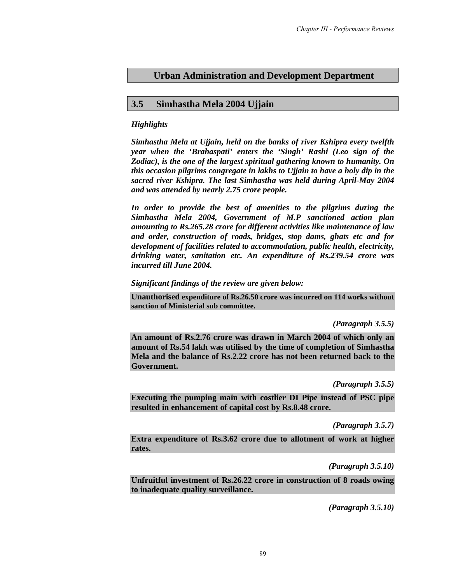# **Urban Administration and Development Department**

## **3.5 Simhastha Mela 2004 Ujjain**

## *Highlights*

*Simhastha Mela at Ujjain, held on the banks of river Kshipra every twelfth year when the 'Brahaspati' enters the 'Singh' Rashi (Leo sign of the Zodiac), is the one of the largest spiritual gathering known to humanity. On this occasion pilgrims congregate in lakhs to Ujjain to have a holy dip in the sacred river Kshipra. The last Simhastha was held during April-May 2004 and was attended by nearly 2.75 crore people.* 

*In order to provide the best of amenities to the pilgrims during the Simhastha Mela 2004, Government of M.P sanctioned action plan amounting to Rs.265.28 crore for different activities like maintenance of law and order, construction of roads, bridges, stop dams, ghats etc and for development of facilities related to accommodation, public health, electricity, drinking water, sanitation etc. An expenditure of Rs.239.54 crore was incurred till June 2004.* 

### *Significant findings of the review are given below:*

**Unauthorised expenditure of Rs.26.50 crore was incurred on 114 works without sanction of Ministerial sub committee.** 

*(Paragraph 3.5.5)* 

**An amount of Rs.2.76 crore was drawn in March 2004 of which only an amount of Rs.54 lakh was utilised by the time of completion of Simhastha Mela and the balance of Rs.2.22 crore has not been returned back to the Government.** 

*(Paragraph 3.5.5)* 

**Executing the pumping main with costlier DI Pipe instead of PSC pipe resulted in enhancement of capital cost by Rs.8.48 crore.** 

*(Paragraph 3.5.7)* 

**Extra expenditure of Rs.3.62 crore due to allotment of work at higher rates.** 

*(Paragraph 3.5.10)* 

**Unfruitful investment of Rs.26.22 crore in construction of 8 roads owing to inadequate quality surveillance.** 

*(Paragraph 3.5.10)*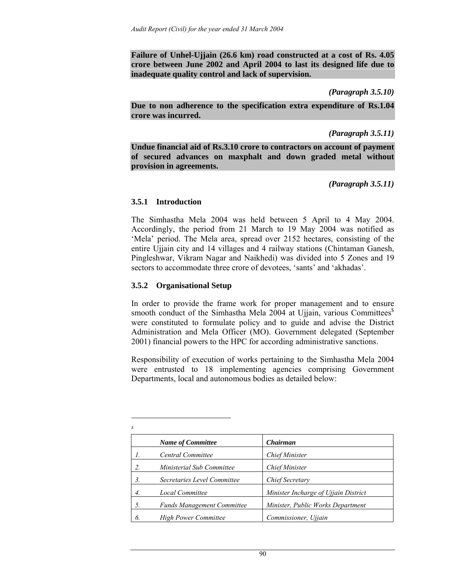**Failure of Unhel-Ujjain (26.6 km) road constructed at a cost of Rs. 4.05 crore between June 2002 and April 2004 to last its designed life due to inadequate quality control and lack of supervision.** 

*(Paragraph 3.5.10)* 

**Due to non adherence to the specification extra expenditure of Rs.1.04 crore was incurred.** 

*(Paragraph 3.5.11)* 

**Undue financial aid of Rs.3.10 crore to contractors on account of payment of secured advances on maxphalt and down graded metal without provision in agreements.** 

*(Paragraph 3.5.11)* 

### **3.5.1 Introduction**

The Simhastha Mela 2004 was held between 5 April to 4 May 2004. Accordingly, the period from 21 March to 19 May 2004 was notified as 'Mela' period. The Mela area, spread over 2152 hectares, consisting of the entire Ujjain city and 14 villages and 4 railway stations (Chintaman Ganesh, Pingleshwar, Vikram Nagar and Naikhedi) was divided into 5 Zones and 19 sectors to accommodate three crore of devotees, 'sants' and 'akhadas'.

## **3.5.2 Organisational Setup**

In order to provide the frame work for proper management and to ensure smooth conduct of the Simhastha Mela 2004 at Ujjain, various Committees $\delta$ were constituted to formulate policy and to guide and advise the District Administration and Mela Officer (MO). Government delegated (September 2001) financial powers to the HPC for according administrative sanctions.

Responsibility of execution of works pertaining to the Simhastha Mela 2004 were entrusted to 18 implementing agencies comprising Government Departments, local and autonomous bodies as detailed below:

|    | <b>Name of Committee</b>          | Chairman                             |
|----|-----------------------------------|--------------------------------------|
|    | Central Committee                 | <b>Chief Minister</b>                |
|    | Ministerial Sub Committee         | <b>Chief Minister</b>                |
| 3. | Secretaries Level Committee       | Chief Secretary                      |
| 4. | Local Committee                   | Minister Incharge of Ujjain District |
| 5. | <b>Funds Management Committee</b> | Minister, Public Works Department    |
| 6. | <b>High Power Committee</b>       | Commissioner, Ujjain                 |

 $\overline{\phantom{a}}$ *\$*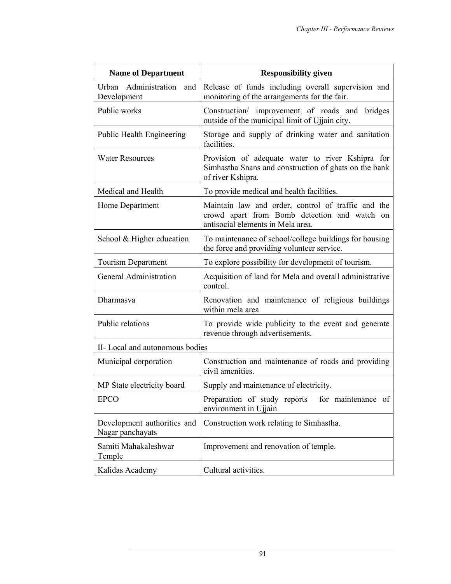| <b>Name of Department</b>                       | <b>Responsibility given</b>                                                                                                             |  |  |  |  |
|-------------------------------------------------|-----------------------------------------------------------------------------------------------------------------------------------------|--|--|--|--|
| Urban Administration<br>and<br>Development      | Release of funds including overall supervision and<br>monitoring of the arrangements for the fair.                                      |  |  |  |  |
| Public works                                    | Construction/ improvement of roads and bridges<br>outside of the municipal limit of Ujjain city.                                        |  |  |  |  |
| Public Health Engineering                       | Storage and supply of drinking water and sanitation<br>facilities.                                                                      |  |  |  |  |
| <b>Water Resources</b>                          | Provision of adequate water to river Kshipra for<br>Simhastha Snans and construction of ghats on the bank<br>of river Kshipra.          |  |  |  |  |
| Medical and Health                              | To provide medical and health facilities.                                                                                               |  |  |  |  |
| Home Department                                 | Maintain law and order, control of traffic and the<br>crowd apart from Bomb detection and watch on<br>antisocial elements in Mela area. |  |  |  |  |
| School & Higher education                       | To maintenance of school/college buildings for housing<br>the force and providing volunteer service.                                    |  |  |  |  |
| Tourism Department                              | To explore possibility for development of tourism.                                                                                      |  |  |  |  |
| General Administration                          | Acquisition of land for Mela and overall administrative<br>control.                                                                     |  |  |  |  |
| Dharmasya                                       | Renovation and maintenance of religious buildings<br>within mela area                                                                   |  |  |  |  |
| Public relations                                | To provide wide publicity to the event and generate<br>revenue through advertisements.                                                  |  |  |  |  |
| II-Local and autonomous bodies                  |                                                                                                                                         |  |  |  |  |
| Municipal corporation                           | Construction and maintenance of roads and providing<br>civil amenities.                                                                 |  |  |  |  |
| MP State electricity board                      | Supply and maintenance of electricity.                                                                                                  |  |  |  |  |
| <b>EPCO</b>                                     | Preparation of study reports<br>for maintenance of<br>environment in Ujjain                                                             |  |  |  |  |
| Development authorities and<br>Nagar panchayats | Construction work relating to Simhastha.                                                                                                |  |  |  |  |
| Samiti Mahakaleshwar<br>Temple                  | Improvement and renovation of temple.                                                                                                   |  |  |  |  |
| Kalidas Academy                                 | Cultural activities.                                                                                                                    |  |  |  |  |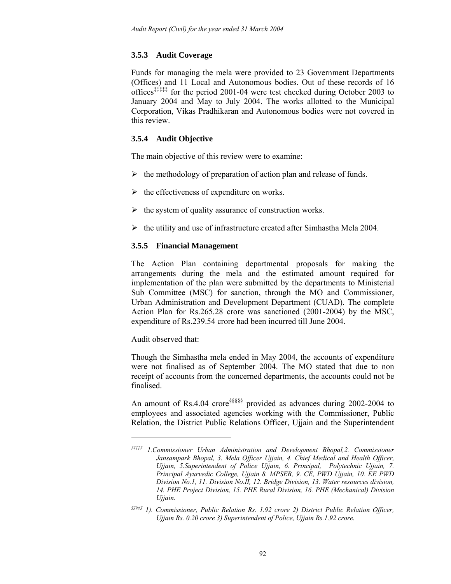# **3.5.3 Audit Coverage**

Funds for managing the mela were provided to 23 Government Departments (Offices) and 11 Local and Autonomous bodies. Out of these records of 16 offices‡‡‡‡‡ for the period 2001-04 were test checked during October 2003 to January 2004 and May to July 2004. The works allotted to the Municipal Corporation, Vikas Pradhikaran and Autonomous bodies were not covered in this review.

# **3.5.4 Audit Objective**

The main objective of this review were to examine:

- $\triangleright$  the methodology of preparation of action plan and release of funds.
- $\triangleright$  the effectiveness of expenditure on works.
- $\triangleright$  the system of quality assurance of construction works.
- $\triangleright$  the utility and use of infrastructure created after Simhastha Mela 2004.

## **3.5.5 Financial Management**

The Action Plan containing departmental proposals for making the arrangements during the mela and the estimated amount required for implementation of the plan were submitted by the departments to Ministerial Sub Committee (MSC) for sanction, through the MO and Commissioner, Urban Administration and Development Department (CUAD). The complete Action Plan for Rs.265.28 crore was sanctioned (2001-2004) by the MSC, expenditure of Rs.239.54 crore had been incurred till June 2004.

Audit observed that:

 $\overline{a}$ 

Though the Simhastha mela ended in May 2004, the accounts of expenditure were not finalised as of September 2004. The MO stated that due to non receipt of accounts from the concerned departments, the accounts could not be finalised.

An amount of Rs.4.04 crore§§§§§ provided as advances during 2002-2004 to employees and associated agencies working with the Commissioner, Public Relation, the District Public Relations Officer, Ujjain and the Superintendent

*<sup>‡‡‡‡‡ 1.</sup>Commissioner Urban Administration and Development Bhopal,2. Commissioner Jansampark Bhopal, 3. Mela Officer Ujjain, 4. Chief Medical and Health Officer, Ujjain, 5.Superintendent of Police Ujjain, 6. Principal, Polytechnic Ujjain, 7. Principal Ayurvedic College, Ujjain 8. MPSEB, 9. CE, PWD Ujjain, 10. EE PWD Division No.1, 11. Division No.II, 12. Bridge Division, 13. Water resources division, 14. PHE Project Division, 15. PHE Rural Division, 16. PHE (Mechanical) Division Ujjain.* 

*<sup>§§§§§ 1).</sup> Commissioner, Public Relation Rs. 1.92 crore 2) District Public Relation Officer, Ujjain Rs. 0.20 crore 3) Superintendent of Police, Ujjain Rs.1.92 crore.*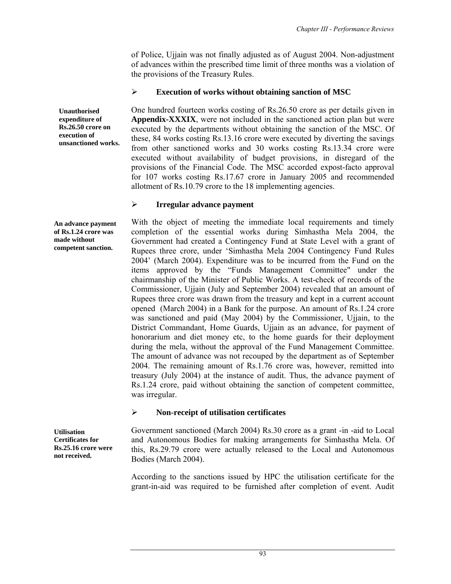of Police, Ujjain was not finally adjusted as of August 2004. Non-adjustment of advances within the prescribed time limit of three months was a violation of the provisions of the Treasury Rules.

## ¾ **Execution of works without obtaining sanction of MSC**

One hundred fourteen works costing of Rs.26.50 crore as per details given in **Appendix-XXXIX**, were not included in the sanctioned action plan but were executed by the departments without obtaining the sanction of the MSC. Of these, 84 works costing Rs.13.16 crore were executed by diverting the savings from other sanctioned works and 30 works costing Rs.13.34 crore were executed without availability of budget provisions, in disregard of the provisions of the Financial Code. The MSC accorded expost-facto approval for 107 works costing Rs.17.67 crore in January 2005 and recommended allotment of Rs.10.79 crore to the 18 implementing agencies.

### ¾ **Irregular advance payment**

With the object of meeting the immediate local requirements and timely completion of the essential works during Simhastha Mela 2004, the Government had created a Contingency Fund at State Level with a grant of Rupees three crore, under 'Simhastha Mela 2004 Contingency Fund Rules 2004' (March 2004). Expenditure was to be incurred from the Fund on the items approved by the "Funds Management Committee" under the chairmanship of the Minister of Public Works. A test-check of records of the Commissioner, Ujjain (July and September 2004) revealed that an amount of Rupees three crore was drawn from the treasury and kept in a current account opened (March 2004) in a Bank for the purpose. An amount of Rs.1.24 crore was sanctioned and paid (May 2004) by the Commissioner, Ujjain, to the District Commandant, Home Guards, Ujjain as an advance, for payment of honorarium and diet money etc, to the home guards for their deployment during the mela, without the approval of the Fund Management Committee. The amount of advance was not recouped by the department as of September 2004. The remaining amount of Rs.1.76 crore was, however, remitted into treasury (July 2004) at the instance of audit. Thus, the advance payment of Rs.1.24 crore, paid without obtaining the sanction of competent committee, was irregular.

### ¾ **Non-receipt of utilisation certificates**

Government sanctioned (March 2004) Rs.30 crore as a grant -in -aid to Local and Autonomous Bodies for making arrangements for Simhastha Mela. Of this, Rs.29.79 crore were actually released to the Local and Autonomous Bodies (March 2004).

According to the sanctions issued by HPC the utilisation certificate for the grant-in-aid was required to be furnished after completion of event. Audit

**Unauthorised expenditure of Rs.26.50 crore on execution of unsanctioned works.** 

**An advance payment of Rs.1.24 crore was made without competent sanction.** 

**Utilisation Certificates for Rs.25.16 crore were not received.**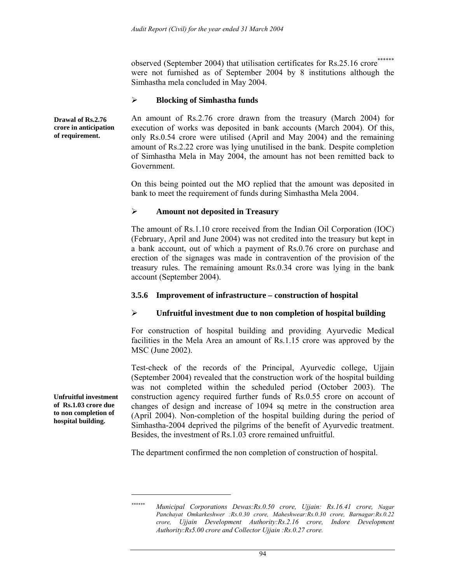observed (September 2004) that utilisation certificates for Rs.25.16 crore\*\*\* were not furnished as of September 2004 by 8 institutions although the Simhastha mela concluded in May 2004.

#### ¾ **Blocking of Simhastha funds**

**Drawal of Rs.2.76 crore in anticipation of requirement.** 

An amount of Rs.2.76 crore drawn from the treasury (March 2004) for execution of works was deposited in bank accounts (March 2004). Of this, only Rs.0.54 crore were utilised (April and May 2004) and the remaining amount of Rs.2.22 crore was lying unutilised in the bank. Despite completion of Simhastha Mela in May 2004, the amount has not been remitted back to Government.

On this being pointed out the MO replied that the amount was deposited in bank to meet the requirement of funds during Simhastha Mela 2004.

### ¾ **Amount not deposited in Treasury**

The amount of Rs.1.10 crore received from the Indian Oil Corporation (IOC) (February, April and June 2004) was not credited into the treasury but kept in a bank account, out of which a payment of Rs.0.76 crore on purchase and erection of the signages was made in contravention of the provision of the treasury rules. The remaining amount Rs.0.34 crore was lying in the bank account (September 2004).

### **3.5.6 Improvement of infrastructure – construction of hospital**

#### ¾ **Unfruitful investment due to non completion of hospital building**

For construction of hospital building and providing Ayurvedic Medical facilities in the Mela Area an amount of Rs.1.15 crore was approved by the MSC (June 2002).

Test-check of the records of the Principal, Ayurvedic college, Ujjain (September 2004) revealed that the construction work of the hospital building was not completed within the scheduled period (October 2003). The construction agency required further funds of Rs.0.55 crore on account of changes of design and increase of 1094 sq metre in the construction area (April 2004). Non-completion of the hospital building during the period of Simhastha-2004 deprived the pilgrims of the benefit of Ayurvedic treatment. Besides, the investment of Rs.1.03 crore remained unfruitful.

The department confirmed the non completion of construction of hospital.

**Unfruitful investment of Rs.1.03 crore due to non completion of hospital building.** 

 $\overline{\phantom{a}}$ 

*<sup>\*\*\*\*\*\*</sup> Municipal Corporations Dewas:Rs.0.50 crore, Ujjain: Rs.16.41 crore, Nagar Panchayat Omkarkeshwer :Rs.0.30 crore, Maheshwear:Rs.0.30 crore, Barnagar:Rs.0.22 crore, Ujjain Development Authority:Rs.2.16 crore, Indore Development Authority:Rs5.00 crore and Collector Ujjain :Rs.0.27 crore.*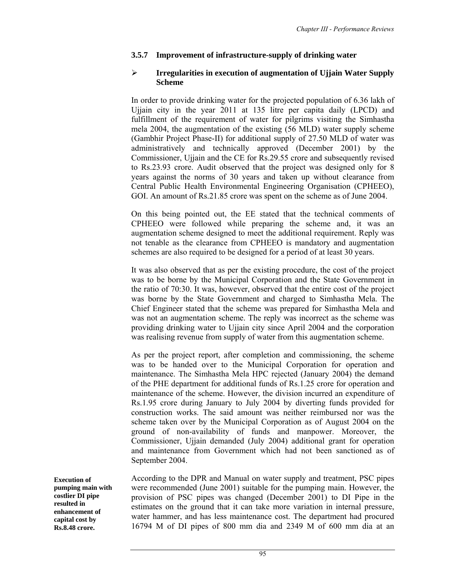# **3.5.7 Improvement of infrastructure-supply of drinking water**

### ¾ **Irregularities in execution of augmentation of Ujjain Water Supply Scheme**

In order to provide drinking water for the projected population of 6.36 lakh of Ujjain city in the year 2011 at 135 litre per capita daily (LPCD) and fulfillment of the requirement of water for pilgrims visiting the Simhastha mela 2004, the augmentation of the existing (56 MLD) water supply scheme (Gambhir Project Phase-II) for additional supply of 27.50 MLD of water was administratively and technically approved (December 2001) by the Commissioner, Ujjain and the CE for Rs.29.55 crore and subsequently revised to Rs.23.93 crore. Audit observed that the project was designed only for 8 years against the norms of 30 years and taken up without clearance from Central Public Health Environmental Engineering Organisation (CPHEEO), GOI. An amount of Rs.21.85 crore was spent on the scheme as of June 2004.

On this being pointed out, the EE stated that the technical comments of CPHEEO were followed while preparing the scheme and, it was an augmentation scheme designed to meet the additional requirement. Reply was not tenable as the clearance from CPHEEO is mandatory and augmentation schemes are also required to be designed for a period of at least 30 years.

It was also observed that as per the existing procedure, the cost of the project was to be borne by the Municipal Corporation and the State Government in the ratio of 70:30. It was, however, observed that the entire cost of the project was borne by the State Government and charged to Simhastha Mela. The Chief Engineer stated that the scheme was prepared for Simhastha Mela and was not an augmentation scheme. The reply was incorrect as the scheme was providing drinking water to Ujjain city since April 2004 and the corporation was realising revenue from supply of water from this augmentation scheme.

As per the project report, after completion and commissioning, the scheme was to be handed over to the Municipal Corporation for operation and maintenance. The Simhastha Mela HPC rejected (January 2004) the demand of the PHE department for additional funds of Rs.1.25 crore for operation and maintenance of the scheme. However, the division incurred an expenditure of Rs.1.95 crore during January to July 2004 by diverting funds provided for construction works. The said amount was neither reimbursed nor was the scheme taken over by the Municipal Corporation as of August 2004 on the ground of non-availability of funds and manpower. Moreover, the Commissioner, Ujjain demanded (July 2004) additional grant for operation and maintenance from Government which had not been sanctioned as of September 2004.

**Execution of pumping main with costlier DI pipe resulted in enhancement of capital cost by Rs.8.48 crore.** 

According to the DPR and Manual on water supply and treatment, PSC pipes were recommended (June 2001) suitable for the pumping main. However, the provision of PSC pipes was changed (December 2001) to DI Pipe in the estimates on the ground that it can take more variation in internal pressure, water hammer, and has less maintenance cost. The department had procured 16794 M of DI pipes of 800 mm dia and 2349 M of 600 mm dia at an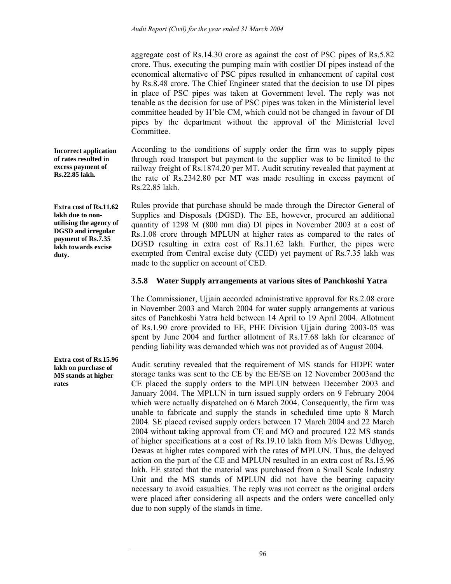aggregate cost of Rs.14.30 crore as against the cost of PSC pipes of Rs.5.82 crore. Thus, executing the pumping main with costlier DI pipes instead of the economical alternative of PSC pipes resulted in enhancement of capital cost by Rs.8.48 crore. The Chief Engineer stated that the decision to use DI pipes in place of PSC pipes was taken at Government level. The reply was not tenable as the decision for use of PSC pipes was taken in the Ministerial level committee headed by H'ble CM, which could not be changed in favour of DI pipes by the department without the approval of the Ministerial level Committee.

According to the conditions of supply order the firm was to supply pipes through road transport but payment to the supplier was to be limited to the railway freight of Rs.1874.20 per MT. Audit scrutiny revealed that payment at the rate of Rs.2342.80 per MT was made resulting in excess payment of Rs.22.85 lakh. **Incorrect application of rates resulted in excess payment of Rs.22.85 lakh.** 

> Rules provide that purchase should be made through the Director General of Supplies and Disposals (DGSD). The EE, however, procured an additional quantity of 1298 M (800 mm dia) DI pipes in November 2003 at a cost of Rs.1.08 crore through MPLUN at higher rates as compared to the rates of DGSD resulting in extra cost of Rs.11.62 lakh. Further, the pipes were exempted from Central excise duty (CED) yet payment of Rs.7.35 lakh was made to the supplier on account of CED.

### **3.5.8 Water Supply arrangements at various sites of Panchkoshi Yatra**

The Commissioner, Ujjain accorded administrative approval for Rs.2.08 crore in November 2003 and March 2004 for water supply arrangements at various sites of Panchkoshi Yatra held between 14 April to 19 April 2004. Allotment of Rs.1.90 crore provided to EE, PHE Division Ujjain during 2003-05 was spent by June 2004 and further allotment of Rs.17.68 lakh for clearance of pending liability was demanded which was not provided as of August 2004.

Audit scrutiny revealed that the requirement of MS stands for HDPE water storage tanks was sent to the CE by the EE/SE on 12 November 2003and the CE placed the supply orders to the MPLUN between December 2003 and January 2004. The MPLUN in turn issued supply orders on 9 February 2004 which were actually dispatched on 6 March 2004. Consequently, the firm was unable to fabricate and supply the stands in scheduled time upto 8 March 2004. SE placed revised supply orders between 17 March 2004 and 22 March 2004 without taking approval from CE and MO and procured 122 MS stands of higher specifications at a cost of Rs.19.10 lakh from M/s Dewas Udhyog, Dewas at higher rates compared with the rates of MPLUN. Thus, the delayed action on the part of the CE and MPLUN resulted in an extra cost of Rs.15.96 lakh. EE stated that the material was purchased from a Small Scale Industry Unit and the MS stands of MPLUN did not have the bearing capacity necessary to avoid casualties. The reply was not correct as the original orders were placed after considering all aspects and the orders were cancelled only due to non supply of the stands in time.

**Extra cost of Rs.11.62 lakh due to non-**

**utilising the agency of DGSD and irregular payment of Rs.7.35 lakh towards excise duty.** 

**Extra cost of Rs.15.96 lakh on purchase of MS stands at higher rates**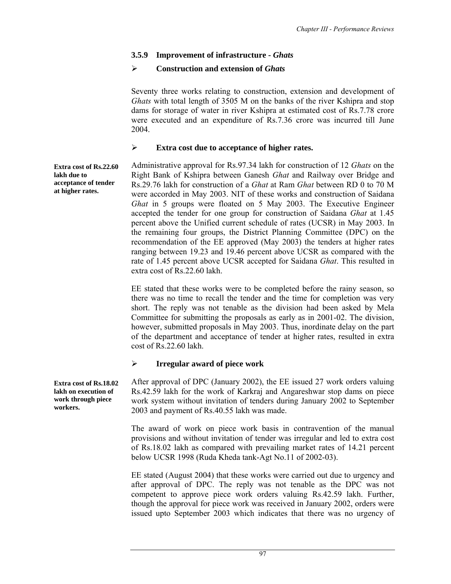# **3.5.9 Improvement of infrastructure -** *Ghats*

# ¾ **Construction and extension of** *Ghats*

Seventy three works relating to construction, extension and development of *Ghats* with total length of 3505 M on the banks of the river Kshipra and stop dams for storage of water in river Kshipra at estimated cost of Rs.7.78 crore were executed and an expenditure of Rs.7.36 crore was incurred till June 2004.

## ¾ **Extra cost due to acceptance of higher rates.**

Administrative approval for Rs.97.34 lakh for construction of 12 *Ghats* on the Right Bank of Kshipra between Ganesh *Ghat* and Railway over Bridge and Rs.29.76 lakh for construction of a *Ghat* at Ram *Ghat* between RD 0 to 70 M were accorded in May 2003. NIT of these works and construction of Saidana *Ghat* in 5 groups were floated on 5 May 2003. The Executive Engineer accepted the tender for one group for construction of Saidana *Ghat* at 1.45 percent above the Unified current schedule of rates (UCSR) in May 2003. In the remaining four groups, the District Planning Committee (DPC) on the recommendation of the EE approved (May 2003) the tenders at higher rates ranging between 19.23 and 19.46 percent above UCSR as compared with the rate of 1.45 percent above UCSR accepted for Saidana *Ghat*. This resulted in extra cost of Rs.22.60 lakh. **Extra cost of Rs.22.60 acceptance of tender** 

> EE stated that these works were to be completed before the rainy season, so there was no time to recall the tender and the time for completion was very short. The reply was not tenable as the division had been asked by Mela Committee for submitting the proposals as early as in 2001-02. The division, however, submitted proposals in May 2003. Thus, inordinate delay on the part of the department and acceptance of tender at higher rates, resulted in extra cost of Rs.22.60 lakh.

# ¾ **Irregular award of piece work**

After approval of DPC (January 2002), the EE issued 27 work orders valuing Rs.42.59 lakh for the work of Karkraj and Angareshwar stop dams on piece work system without invitation of tenders during January 2002 to September 2003 and payment of Rs.40.55 lakh was made.

The award of work on piece work basis in contravention of the manual provisions and without invitation of tender was irregular and led to extra cost of Rs.18.02 lakh as compared with prevailing market rates of 14.21 percent below UCSR 1998 (Ruda Kheda tank-Agt No.11 of 2002-03).

EE stated (August 2004) that these works were carried out due to urgency and after approval of DPC. The reply was not tenable as the DPC was not competent to approve piece work orders valuing Rs.42.59 lakh. Further, though the approval for piece work was received in January 2002, orders were issued upto September 2003 which indicates that there was no urgency of

**Extra cost of Rs.18.02 lakh on execution of work through piece workers.** 

**lakh due to** 

**at higher rates.**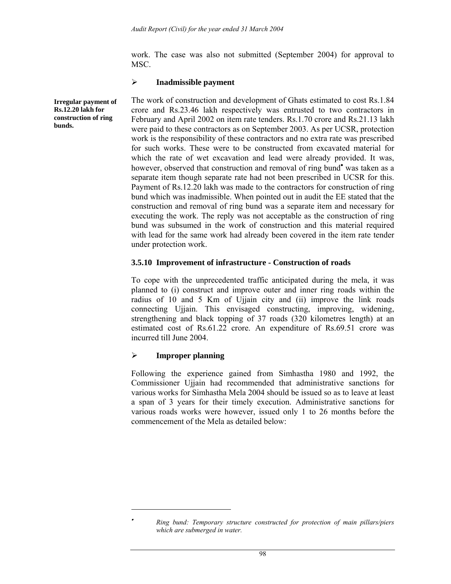work. The case was also not submitted (September 2004) for approval to MSC.

#### ¾ **Inadmissible payment**

The work of construction and development of Ghats estimated to cost Rs.1.84 crore and Rs.23.46 lakh respectively was entrusted to two contractors in February and April 2002 on item rate tenders. Rs.1.70 crore and Rs.21.13 lakh were paid to these contractors as on September 2003. As per UCSR, protection work is the responsibility of these contractors and no extra rate was prescribed for such works. These were to be constructed from excavated material for which the rate of wet excavation and lead were already provided. It was, however, observed that construction and removal of ring bund<sup>•</sup> was taken as a separate item though separate rate had not been prescribed in UCSR for this. Payment of Rs.12.20 lakh was made to the contractors for construction of ring bund which was inadmissible. When pointed out in audit the EE stated that the construction and removal of ring bund was a separate item and necessary for executing the work. The reply was not acceptable as the construction of ring bund was subsumed in the work of construction and this material required with lead for the same work had already been covered in the item rate tender under protection work.

### **3.5.10 Improvement of infrastructure - Construction of roads**

To cope with the unprecedented traffic anticipated during the mela, it was planned to (i) construct and improve outer and inner ring roads within the radius of 10 and 5 Km of Ujjain city and (ii) improve the link roads connecting Ujjain. This envisaged constructing, improving, widening, strengthening and black topping of 37 roads (320 kilometres length) at an estimated cost of Rs.61.22 crore. An expenditure of Rs.69.51 crore was incurred till June 2004.

### ¾ **Improper planning**

 $\overline{\phantom{a}}$ 

Following the experience gained from Simhastha 1980 and 1992, the Commissioner Ujjain had recommended that administrative sanctions for various works for Simhastha Mela 2004 should be issued so as to leave at least a span of 3 years for their timely execution. Administrative sanctions for various roads works were however, issued only 1 to 26 months before the commencement of the Mela as detailed below:

**Irregular payment of Rs.12.20 lakh for construction of ring bunds.** 

<sup>•</sup> *Ring bund: Temporary structure constructed for protection of main pillars/piers which are submerged in water.*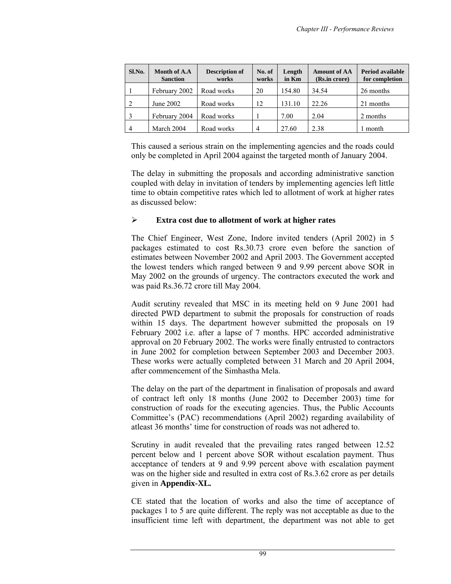| Sl.No.         | Month of A.A<br><b>Sanction</b> | <b>Description of</b><br>works | No. of<br>works | Length<br>in Km | <b>Amount of AA</b><br>(Rs.in crore) | <b>Period available</b><br>for completion |
|----------------|---------------------------------|--------------------------------|-----------------|-----------------|--------------------------------------|-------------------------------------------|
|                | February 2002                   | Road works                     | 20              | 154.80          | 34.54                                | 26 months                                 |
| 2              | June 2002                       | Road works                     | 12              | 131.10          | 22.26                                | 21 months                                 |
|                | February 2004                   | Road works                     |                 | 7.00            | 2.04                                 | 2 months                                  |
| $\overline{4}$ | March 2004                      | Road works                     | 4               | 27.60           | 2.38                                 | month                                     |

This caused a serious strain on the implementing agencies and the roads could only be completed in April 2004 against the targeted month of January 2004.

The delay in submitting the proposals and according administrative sanction coupled with delay in invitation of tenders by implementing agencies left little time to obtain competitive rates which led to allotment of work at higher rates as discussed below:

### ¾ **Extra cost due to allotment of work at higher rates**

The Chief Engineer, West Zone, Indore invited tenders (April 2002) in 5 packages estimated to cost Rs.30.73 crore even before the sanction of estimates between November 2002 and April 2003. The Government accepted the lowest tenders which ranged between 9 and 9.99 percent above SOR in May 2002 on the grounds of urgency. The contractors executed the work and was paid Rs.36.72 crore till May 2004.

Audit scrutiny revealed that MSC in its meeting held on 9 June 2001 had directed PWD department to submit the proposals for construction of roads within 15 days. The department however submitted the proposals on 19 February 2002 i.e. after a lapse of 7 months. HPC accorded administrative approval on 20 February 2002. The works were finally entrusted to contractors in June 2002 for completion between September 2003 and December 2003. These works were actually completed between 31 March and 20 April 2004, after commencement of the Simhastha Mela.

The delay on the part of the department in finalisation of proposals and award of contract left only 18 months (June 2002 to December 2003) time for construction of roads for the executing agencies. Thus, the Public Accounts Committee's (PAC) recommendations (April 2002) regarding availability of atleast 36 months' time for construction of roads was not adhered to.

Scrutiny in audit revealed that the prevailing rates ranged between 12.52 percent below and 1 percent above SOR without escalation payment. Thus acceptance of tenders at 9 and 9.99 percent above with escalation payment was on the higher side and resulted in extra cost of Rs.3.62 crore as per details given in **Appendix-XL***.* 

CE stated that the location of works and also the time of acceptance of packages 1 to 5 are quite different. The reply was not acceptable as due to the insufficient time left with department, the department was not able to get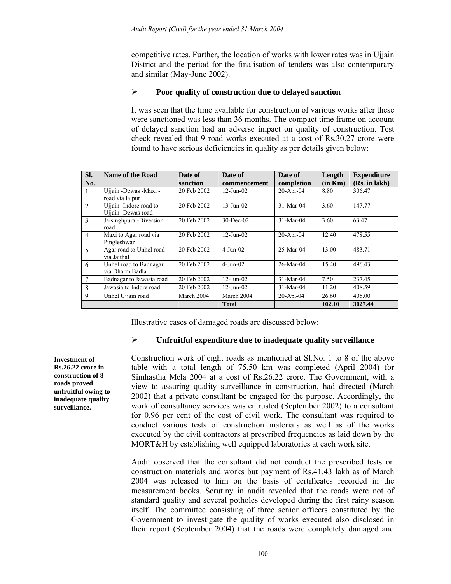competitive rates. Further, the location of works with lower rates was in Ujjain District and the period for the finalisation of tenders was also contemporary and similar (May-June 2002).

## ¾ **Poor quality of construction due to delayed sanction**

It was seen that the time available for construction of various works after these were sanctioned was less than 36 months. The compact time frame on account of delayed sanction had an adverse impact on quality of construction. Test check revealed that 9 road works executed at a cost of Rs.30.27 crore were found to have serious deficiencies in quality as per details given below:

| SI.            | Name of the Road                             | Date of     | Date of         | Date of      | Length  | <b>Expenditure</b> |
|----------------|----------------------------------------------|-------------|-----------------|--------------|---------|--------------------|
| No.            |                                              | sanction    | commencement    | completion   | (in Km) | (Rs. in lakh)      |
| $\mathbf{1}$   | Ujjain -Dewas -Maxi -<br>road via lalpur     | 20 Feb 2002 | $12 - Jun - 02$ | $20-Apr-04$  | 8.80    | 306.47             |
| 2              | Ujiain -Indore road to<br>Ujjain -Dewas road | 20 Feb 2002 | $13 - Jun - 02$ | $31-Mar-04$  | 3.60    | 147.77             |
| $\mathbf{3}$   | Jaisinghpura - Diversion<br>road             | 20 Feb 2002 | $30$ -Dec-02    | 31-Mar-04    | 3.60    | 63.47              |
| $\overline{4}$ | Maxi to Agar road via<br>Pingleshwar         | 20 Feb 2002 | $12 - Jun - 02$ | $20-Apr-04$  | 12.40   | 478.55             |
| 5              | Agar road to Unhel road<br>via Jaithal       | 20 Feb 2002 | $4$ -Jun-02     | $25-Mar-04$  | 13.00   | 483.71             |
| 6              | Unhel road to Badnagar<br>via Dharm Badla    | 20 Feb 2002 | $4-Jun-02$      | $26$ -Mar-04 | 15.40   | 496.43             |
| 7              | Badnagar to Jawasia road                     | 20 Feb 2002 | $12$ -Jun- $02$ | 31-Mar-04    | 7.50    | 237.45             |
| 8              | Jawasia to Indore road                       | 20 Feb 2002 | $12 - Jun - 02$ | $31-Mar-04$  | 11.20   | 408.59             |
| $\mathbf{Q}$   | Unhel Ujjain road                            | March 2004  | March 2004      | $20$ -Apl-04 | 26.60   | 405.00             |
|                |                                              |             | <b>Total</b>    |              | 102.10  | 3027.44            |

Illustrative cases of damaged roads are discussed below:

### ¾ **Unfruitful expenditure due to inadequate quality surveillance**

**Investment of Rs.26.22 crore in construction of 8 roads proved unfruitful owing to inadequate quality surveillance.** 

Construction work of eight roads as mentioned at Sl.No. 1 to 8 of the above table with a total length of 75.50 km was completed (April 2004) for Simhastha Mela 2004 at a cost of Rs.26.22 crore. The Government, with a view to assuring quality surveillance in construction, had directed (March 2002) that a private consultant be engaged for the purpose. Accordingly, the work of consultancy services was entrusted (September 2002) to a consultant for 0.96 per cent of the cost of civil work. The consultant was required to conduct various tests of construction materials as well as of the works executed by the civil contractors at prescribed frequencies as laid down by the MORT&H by establishing well equipped laboratories at each work site.

Audit observed that the consultant did not conduct the prescribed tests on construction materials and works but payment of Rs.41.43 lakh as of March 2004 was released to him on the basis of certificates recorded in the measurement books. Scrutiny in audit revealed that the roads were not of standard quality and several potholes developed during the first rainy season itself. The committee consisting of three senior officers constituted by the Government to investigate the quality of works executed also disclosed in their report (September 2004) that the roads were completely damaged and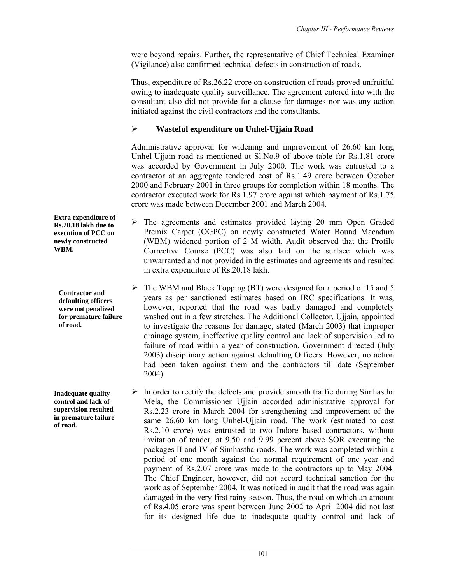were beyond repairs. Further, the representative of Chief Technical Examiner (Vigilance) also confirmed technical defects in construction of roads.

Thus, expenditure of Rs.26.22 crore on construction of roads proved unfruitful owing to inadequate quality surveillance. The agreement entered into with the consultant also did not provide for a clause for damages nor was any action initiated against the civil contractors and the consultants.

# ¾ **Wasteful expenditure on Unhel-Ujjain Road**

Administrative approval for widening and improvement of 26.60 km long Unhel-Ujjain road as mentioned at Sl.No.9 of above table for Rs.1.81 crore was accorded by Government in July 2000. The work was entrusted to a contractor at an aggregate tendered cost of Rs.1.49 crore between October 2000 and February 2001 in three groups for completion within 18 months. The contractor executed work for Rs.1.97 crore against which payment of Rs.1.75 crore was made between December 2001 and March 2004.

- $\geq$  The agreements and estimates provided laying 20 mm Open Graded Premix Carpet (OGPC) on newly constructed Water Bound Macadum (WBM) widened portion of 2 M width. Audit observed that the Profile Corrective Course (PCC) was also laid on the surface which was unwarranted and not provided in the estimates and agreements and resulted in extra expenditure of Rs.20.18 lakh.
	- $\triangleright$  The WBM and Black Topping (BT) were designed for a period of 15 and 5 years as per sanctioned estimates based on IRC specifications. It was, however, reported that the road was badly damaged and completely washed out in a few stretches. The Additional Collector, Ujjain, appointed to investigate the reasons for damage, stated (March 2003) that improper drainage system, ineffective quality control and lack of supervision led to failure of road within a year of construction. Government directed (July 2003) disciplinary action against defaulting Officers. However, no action had been taken against them and the contractors till date (September 2004).
	- $\triangleright$  In order to rectify the defects and provide smooth traffic during Simhastha Mela, the Commissioner Ujjain accorded administrative approval for Rs.2.23 crore in March 2004 for strengthening and improvement of the same 26.60 km long Unhel-Ujjain road. The work (estimated to cost Rs.2.10 crore) was entrusted to two Indore based contractors, without invitation of tender, at 9.50 and 9.99 percent above SOR executing the packages II and IV of Simhastha roads. The work was completed within a period of one month against the normal requirement of one year and payment of Rs.2.07 crore was made to the contractors up to May 2004. The Chief Engineer, however, did not accord technical sanction for the work as of September 2004. It was noticed in audit that the road was again damaged in the very first rainy season. Thus, the road on which an amount of Rs.4.05 crore was spent between June 2002 to April 2004 did not last for its designed life due to inadequate quality control and lack of

**Extra expenditure of Rs.20.18 lakh due to execution of PCC on newly constructed WBM.** 

**Contractor and defaulting officers were not penalized for premature failure of road.** 

**Inadequate quality control and lack of supervision resulted in premature failure of road.**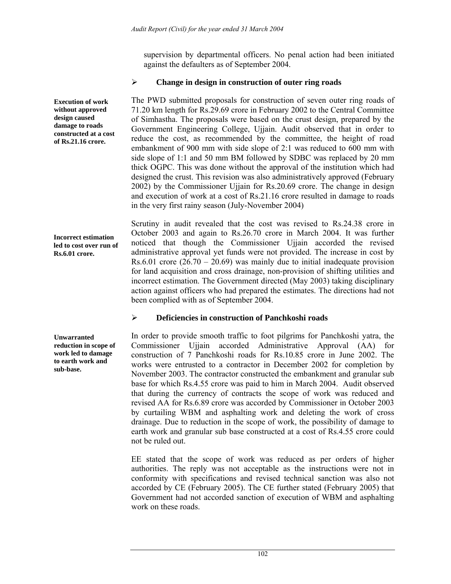supervision by departmental officers. No penal action had been initiated against the defaulters as of September 2004.

## ¾ **Change in design in construction of outer ring roads**

The PWD submitted proposals for construction of seven outer ring roads of 71.20 km length for Rs.29.69 crore in February 2002 to the Central Committee of Simhastha. The proposals were based on the crust design, prepared by the Government Engineering College, Ujjain. Audit observed that in order to reduce the cost, as recommended by the committee, the height of road embankment of 900 mm with side slope of 2:1 was reduced to 600 mm with side slope of 1:1 and 50 mm BM followed by SDBC was replaced by 20 mm thick OGPC. This was done without the approval of the institution which had designed the crust. This revision was also administratively approved (February 2002) by the Commissioner Ujjain for Rs.20.69 crore. The change in design and execution of work at a cost of Rs.21.16 crore resulted in damage to roads in the very first rainy season (July-November 2004)

**Incorrect estimation led to cost over run of Rs.6.01 crore.** 

**Execution of work without approved design caused damage to roads constructed at a cost of Rs.21.16 crore.** 

> Scrutiny in audit revealed that the cost was revised to Rs.24.38 crore in October 2003 and again to Rs.26.70 crore in March 2004. It was further noticed that though the Commissioner Ujjain accorded the revised administrative approval yet funds were not provided. The increase in cost by Rs.6.01 crore  $(26.70 - 20.69)$  was mainly due to initial inadequate provision for land acquisition and cross drainage, non-provision of shifting utilities and incorrect estimation. The Government directed (May 2003) taking disciplinary action against officers who had prepared the estimates. The directions had not been complied with as of September 2004.

# ¾ **Deficiencies in construction of Panchkoshi roads**

In order to provide smooth traffic to foot pilgrims for Panchkoshi yatra, the Commissioner Ujjain accorded Administrative Approval (AA) for construction of 7 Panchkoshi roads for Rs.10.85 crore in June 2002. The works were entrusted to a contractor in December 2002 for completion by November 2003. The contractor constructed the embankment and granular sub base for which Rs.4.55 crore was paid to him in March 2004. Audit observed that during the currency of contracts the scope of work was reduced and revised AA for Rs.6.89 crore was accorded by Commissioner in October 2003 by curtailing WBM and asphalting work and deleting the work of cross drainage. Due to reduction in the scope of work, the possibility of damage to earth work and granular sub base constructed at a cost of Rs.4.55 crore could not be ruled out.

EE stated that the scope of work was reduced as per orders of higher authorities. The reply was not acceptable as the instructions were not in conformity with specifications and revised technical sanction was also not accorded by CE (February 2005). The CE further stated (February 2005) that Government had not accorded sanction of execution of WBM and asphalting work on these roads.

**Unwarranted reduction in scope of work led to damage to earth work and** 

**sub-base.**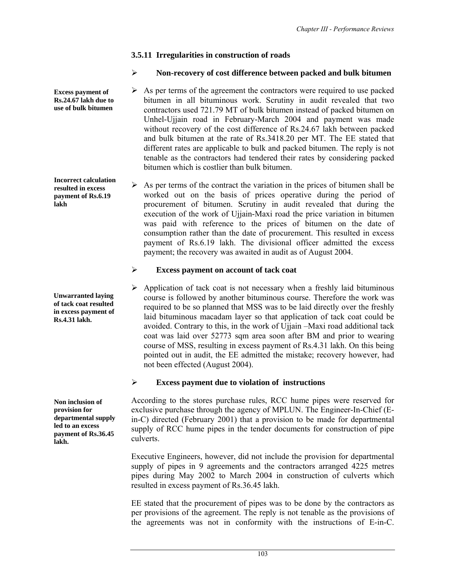# **3.5.11 Irregularities in construction of roads**

# ¾ **Non-recovery of cost difference between packed and bulk bitumen**

 $\triangleright$  As per terms of the agreement the contractors were required to use packed bitumen in all bituminous work. Scrutiny in audit revealed that two contractors used 721.79 MT of bulk bitumen instead of packed bitumen on Unhel-Ujjain road in February-March 2004 and payment was made without recovery of the cost difference of Rs.24.67 lakh between packed and bulk bitumen at the rate of Rs.3418.20 per MT. The EE stated that different rates are applicable to bulk and packed bitumen. The reply is not tenable as the contractors had tendered their rates by considering packed bitumen which is costlier than bulk bitumen.

 $\triangleright$  As per terms of the contract the variation in the prices of bitumen shall be worked out on the basis of prices operative during the period of procurement of bitumen. Scrutiny in audit revealed that during the execution of the work of Ujjain-Maxi road the price variation in bitumen was paid with reference to the prices of bitumen on the date of consumption rather than the date of procurement. This resulted in excess payment of Rs.6.19 lakh. The divisional officer admitted the excess payment; the recovery was awaited in audit as of August 2004.

## ¾ **Excess payment on account of tack coat**

 $\triangleright$  Application of tack coat is not necessary when a freshly laid bituminous course is followed by another bituminous course. Therefore the work was required to be so planned that MSS was to be laid directly over the freshly laid bituminous macadam layer so that application of tack coat could be avoided. Contrary to this, in the work of Ujjain –Maxi road additional tack coat was laid over 52773 sqm area soon after BM and prior to wearing course of MSS, resulting in excess payment of Rs.4.31 lakh. On this being pointed out in audit, the EE admitted the mistake; recovery however, had not been effected (August 2004).

# ¾ **Excess payment due to violation of instructions**

According to the stores purchase rules, RCC hume pipes were reserved for exclusive purchase through the agency of MPLUN. The Engineer-In-Chief (Ein-C) directed (February 2001) that a provision to be made for departmental supply of RCC hume pipes in the tender documents for construction of pipe culverts.

Executive Engineers, however, did not include the provision for departmental supply of pipes in 9 agreements and the contractors arranged 4225 metres pipes during May 2002 to March 2004 in construction of culverts which resulted in excess payment of Rs.36.45 lakh.

EE stated that the procurement of pipes was to be done by the contractors as per provisions of the agreement. The reply is not tenable as the provisions of the agreements was not in conformity with the instructions of E-in-C.

**Incorrect calculation resulted in excess** 

**payment of Rs.6.19** 

**lakh** 

**Excess payment of Rs.24.67 lakh due to use of bulk bitumen** 

**Unwarranted laying of tack coat resulted in excess payment of Rs.4.31 lakh.** 

**Non inclusion of provision for departmental supply led to an excess payment of Rs.36.45 lakh.**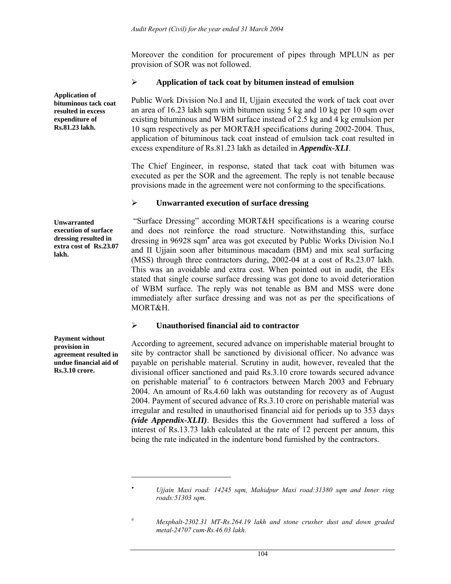Moreover the condition for procurement of pipes through MPLUN as per provision of SOR was not followed.

### ¾ **Application of tack coat by bitumen instead of emulsion**

Public Work Division No.I and II, Ujjain executed the work of tack coat over an area of 16.23 lakh sqm with bitumen using 5 kg and 10 kg per 10 sqm over existing bituminous and WBM surface instead of 2.5 kg and 4 kg emulsion per 10 sqm respectively as per MORT&H specifications during 2002-2004. Thus, application of bituminous tack coat instead of emulsion tack coat resulted in excess expenditure of Rs.81.23 lakh as detailed in *Appendix-XLI*.

The Chief Engineer, in response, stated that tack coat with bitumen was executed as per the SOR and the agreement. The reply is not tenable because provisions made in the agreement were not conforming to the specifications.

### ¾ **Unwarranted execution of surface dressing**

 "Surface Dressing" according MORT&H specifications is a wearing course and does not reinforce the road structure. Notwithstanding this, surface dressing in 96928 sqm• area was got executed by Public Works Division No.I and II Ujjain soon after bituminous macadam (BM) and mix seal surfacing (MSS) through three contractors during, 2002-04 at a cost of Rs.23.07 lakh. This was an avoidable and extra cost. When pointed out in audit, the EEs stated that single course surface dressing was got done to avoid deterioration of WBM surface. The reply was not tenable as BM and MSS were done immediately after surface dressing and was not as per the specifications of MORT&H.

### ¾ **Unauthorised financial aid to contractor**

According to agreement, secured advance on imperishable material brought to site by contractor shall be sanctioned by divisional officer. No advance was payable on perishable material. Scrutiny in audit, however, revealed that the divisional officer sanctioned and paid Rs.3.10 crore towards secured advance on perishable material<sup>#</sup> to 6 contractors between March 2003 and February 2004. An amount of Rs.4.60 lakh was outstanding for recovery as of August 2004. Payment of secured advance of Rs.3.10 crore on perishable material was irregular and resulted in unauthorised financial aid for periods up to 353 days *(vide Appendix-XLII)*. Besides this the Government had suffered a loss of interest of Rs.13.73 lakh calculated at the rate of 12 percent per annum, this being the rate indicated in the indenture bond furnished by the contractors.

*# Mexphalt-2302.31 MT-Rs.264.19 lakh and stone crusher dust and down graded metal-24707 cum-Rs.46.03 lakh.* 

**resulted in excess expenditure of Rs.81.23 lakh.** 

**Application of bituminous tack coat** 

**Unwarranted execution of surface dressing resulted in extra cost of Rs.23.07 lakh.** 

**Payment without provision in agreement resulted in undue financial aid of Rs.3.10 crore.** 

 $\overline{\phantom{a}}$ 

<sup>•</sup> *Ujjain Maxi road: 14245 sqm, Mahidpur Maxi road:31380 sqm and Inner ring roads:51303 sqm.*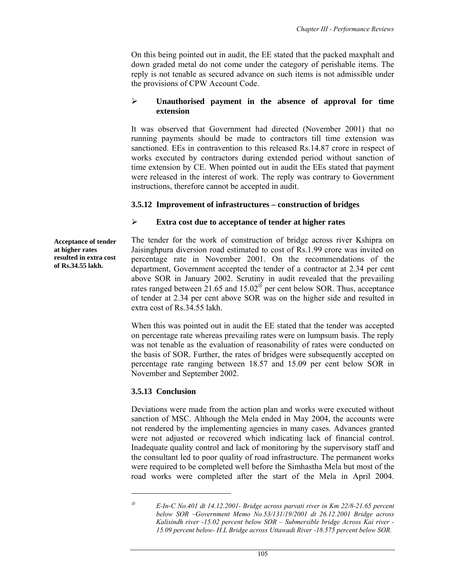On this being pointed out in audit, the EE stated that the packed maxphalt and down graded metal do not come under the category of perishable items. The reply is not tenable as secured advance on such items is not admissible under the provisions of CPW Account Code.

### ¾ **Unauthorised payment in the absence of approval for time extension**

It was observed that Government had directed (November 2001) that no running payments should be made to contractors till time extension was sanctioned. EEs in contravention to this released Rs.14.87 crore in respect of works executed by contractors during extended period without sanction of time extension by CE. When pointed out in audit the EEs stated that payment were released in the interest of work. The reply was contrary to Government instructions, therefore cannot be accepted in audit.

### **3.5.12 Improvement of infrastructures – construction of bridges**

#### ¾ **Extra cost due to acceptance of tender at higher rates**

**Acceptance of tender at higher rates resulted in extra cost of Rs.34.55 lakh.** 

The tender for the work of construction of bridge across river Kshipra on Jaisinghpura diversion road estimated to cost of Rs.1.99 crore was invited on percentage rate in November 2001. On the recommendations of the department, Government accepted the tender of a contractor at 2.34 per cent above SOR in January 2002. Scrutiny in audit revealed that the prevailing rates ranged between 21.65 and 15.02<sup>⊗</sup> per cent below SOR. Thus, acceptance of tender at 2.34 per cent above SOR was on the higher side and resulted in extra cost of Rs.34.55 lakh.

When this was pointed out in audit the EE stated that the tender was accepted on percentage rate whereas prevailing rates were on lumpsum basis. The reply was not tenable as the evaluation of reasonability of rates were conducted on the basis of SOR. Further, the rates of bridges were subsequently accepted on percentage rate ranging between 18.57 and 15.09 per cent below SOR in November and September 2002.

### **3.5.13 Conclusion**

Deviations were made from the action plan and works were executed without sanction of MSC. Although the Mela ended in May 2004, the accounts were not rendered by the implementing agencies in many cases. Advances granted were not adjusted or recovered which indicating lack of financial control. Inadequate quality control and lack of monitoring by the supervisory staff and the consultant led to poor quality of road infrastructure. The permanent works were required to be completed well before the Simhastha Mela but most of the road works were completed after the start of the Mela in April 2004.

 $\overline{\phantom{a}}$ 

<sup>⊗</sup> *E-In-C No.401 dt 14.12.2001- Bridge across parvati river in Km 22/8-21.65 percent below SOR –Government Memo No.53/131/19/2001 dt 26.12.2001 Bridge across Kalisindh river -15.02 percent below SOR – Submersible bridge Across Kai river - 15.09 percent below- H.L Bridge across Uttawadi River -18.575 percent below SOR.*